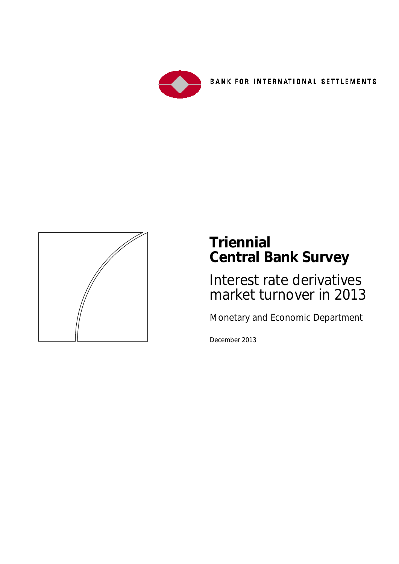

**BANK FOR INTERNATIONAL SETTLEMENTS** 



# **Triennial Central Bank Survey**

Interest rate derivatives market turnover in 2013

Monetary and Economic Department

December 2013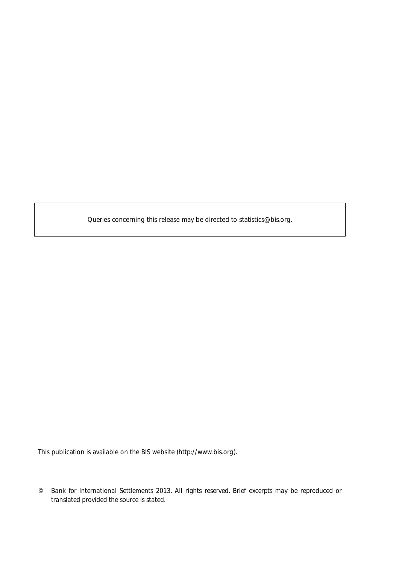Queries concerning this release may be directed to statistics@bis.org.

This publication is available on the BIS website [\(http://www.bis.org\)](http://www.bis.org/).

<sup>©</sup> *Bank for International Settlements 2013. All rights reserved. Brief excerpts may be reproduced or translated provided the source is stated.*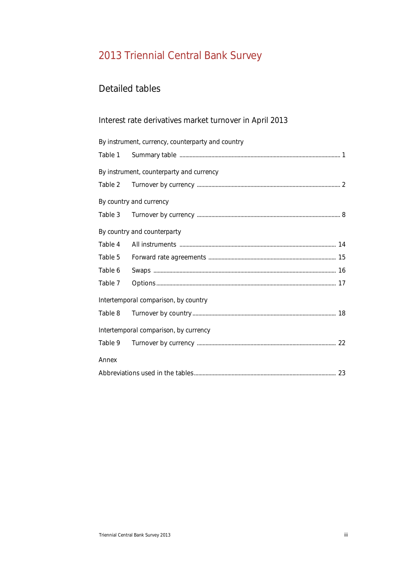## 2013 Triennial Central Bank Survey

#### Detailed tables

#### Interest rate derivatives market turnover in April 2013

|         | By instrument, currency, counterparty and country |
|---------|---------------------------------------------------|
|         |                                                   |
|         | By instrument, counterparty and currency          |
|         |                                                   |
|         | By country and currency                           |
|         |                                                   |
|         | By country and counterparty                       |
| Table 4 |                                                   |
| Table 5 |                                                   |
| Table 6 |                                                   |
| Table 7 |                                                   |
|         | Intertemporal comparison, by country              |
| Table 8 |                                                   |
|         | Intertemporal comparison, by currency             |
|         |                                                   |
| Annex   |                                                   |
|         |                                                   |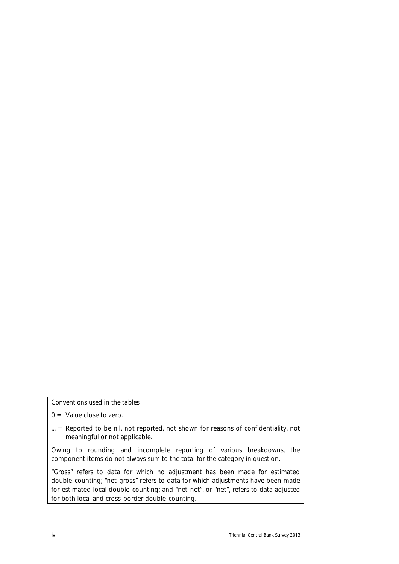#### *Conventions used in the tables*

- $0 =$  Value close to zero.
- ... = Reported to be nil, not reported, not shown for reasons of confidentiality, not meaningful or not applicable.

Owing to rounding and incomplete reporting of various breakdowns, the component items do not always sum to the total for the category in question.

"Gross" refers to data for which no adjustment has been made for estimated double-counting; "net-gross" refers to data for which adjustments have been made for estimated local double-counting; and "net-net", or "net", refers to data adjusted for both local and cross-border double-counting.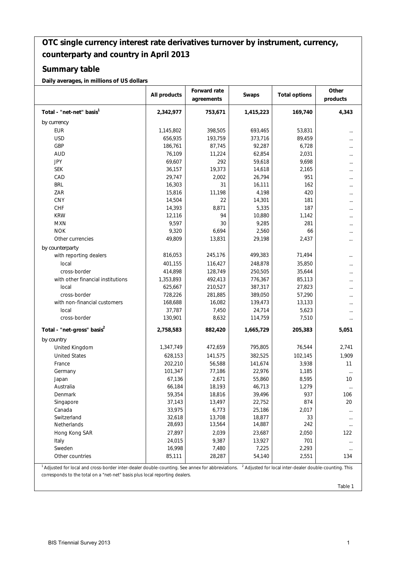#### **OTC single currency interest rate derivatives turnover by instrument, currency, counterparty and country in April 2013**

#### **Summary table**

**Daily averages, in millions of US dollars**

|                                                                                                                                                                                            | All products | Forward rate<br>agreements | Swaps     | <b>Total options</b>                                               | Other<br>products |
|--------------------------------------------------------------------------------------------------------------------------------------------------------------------------------------------|--------------|----------------------------|-----------|--------------------------------------------------------------------|-------------------|
| Total - "net-net" basis <sup>1</sup>                                                                                                                                                       | 2,342,977    | 753,671                    | 1,415,223 | 169,740                                                            | 4,343             |
| by currency                                                                                                                                                                                |              |                            |           |                                                                    |                   |
| <b>EUR</b>                                                                                                                                                                                 | 1,145,802    | 398,505                    | 693,465   | 53,831                                                             |                   |
| <b>USD</b>                                                                                                                                                                                 | 656,935      | 193,759                    | 373,716   | 89,459                                                             |                   |
| GBP                                                                                                                                                                                        | 186,761      | 87,745                     | 92,287    | 6,728                                                              |                   |
| <b>AUD</b>                                                                                                                                                                                 | 76,109       | 11,224                     | 62,854    | 2,031                                                              |                   |
| <b>JPY</b>                                                                                                                                                                                 | 69,607       | 292                        | 59,618    | 9,698                                                              |                   |
| <b>SEK</b>                                                                                                                                                                                 | 36,157       | 19,373                     | 14,618    | 2,165                                                              |                   |
| CAD                                                                                                                                                                                        | 29,747       | 2,002                      | 26,794    | 951                                                                |                   |
| <b>BRL</b>                                                                                                                                                                                 | 16,303       | 31                         | 16,111    | 162                                                                |                   |
| ZAR                                                                                                                                                                                        | 15,816       | 11,198                     | 4,198     | 420                                                                |                   |
| <b>CNY</b>                                                                                                                                                                                 | 14,504       | 22                         | 14,301    | 181                                                                |                   |
| <b>CHF</b>                                                                                                                                                                                 | 14,393       | 8,871                      | 5,335     | 187                                                                |                   |
| <b>KRW</b>                                                                                                                                                                                 | 12,116       | 94                         | 10,880    |                                                                    |                   |
| <b>MXN</b>                                                                                                                                                                                 | 9,597        | 30                         | 9,285     | 1,142<br>281                                                       |                   |
|                                                                                                                                                                                            |              |                            |           |                                                                    |                   |
| <b>NOK</b>                                                                                                                                                                                 | 9,320        | 6,694                      | 2,560     | 66                                                                 |                   |
| Other currencies                                                                                                                                                                           | 49,809       | 13,831                     | 29,198    | 2,437                                                              |                   |
| by counterparty                                                                                                                                                                            |              |                            |           |                                                                    |                   |
| with reporting dealers                                                                                                                                                                     | 816,053      | 245,176                    | 499,383   | 71,494                                                             |                   |
| local                                                                                                                                                                                      | 401,155      | 116,427                    | 248,878   | 35,850                                                             |                   |
| cross-border                                                                                                                                                                               | 414,898      | 128,749                    | 250,505   | 35,644                                                             |                   |
| with other financial institutions                                                                                                                                                          | 1,353,893    | 492,413                    | 776,367   | 85,113                                                             |                   |
| local                                                                                                                                                                                      | 625,667      | 210,527                    | 387,317   | 27,823                                                             |                   |
| cross-border                                                                                                                                                                               | 728,226      | 281,885                    | 389,050   | 57,290                                                             |                   |
| with non-financial customers                                                                                                                                                               | 168,688      | 16,082                     | 139,473   | 13,133                                                             |                   |
| local                                                                                                                                                                                      | 37,787       | 7,450                      | 24,714    | 5,623                                                              |                   |
| cross-border                                                                                                                                                                               | 130,901      | 8,632                      | 114,759   | 7,510                                                              |                   |
| Total - "net-gross" basis <sup>2</sup>                                                                                                                                                     | 2,758,583    | 882,420                    | 1,665,729 | 205,383                                                            | 5,051             |
| by country                                                                                                                                                                                 |              |                            |           |                                                                    |                   |
| United Kingdom                                                                                                                                                                             | 1,347,749    | 472,659                    | 795,805   | 76,544                                                             | 2,741             |
| <b>United States</b>                                                                                                                                                                       | 628,153      | 141,575                    | 382,525   | 102,145                                                            | 1,909             |
| France                                                                                                                                                                                     | 202,210      | 56,588                     | 141,674   | 3,938                                                              | 11                |
| Germany                                                                                                                                                                                    | 101,347      | 77,186                     | 22,976    | 1,185                                                              |                   |
| Japan                                                                                                                                                                                      | 67,136       | 2,671                      | 55,860    | 8,595                                                              | 10                |
| Australia                                                                                                                                                                                  | 66,184       | 18,193                     | 46,713    | 1,279                                                              | $\ldots$          |
| Denmark                                                                                                                                                                                    | 59,354       | 18,816                     | 39,496    | 937                                                                | 106               |
| Singapore                                                                                                                                                                                  | 37,143       | 13,497                     | 22,752    | 874                                                                | 20                |
| Canada                                                                                                                                                                                     | 33,975       | 6,773                      | 25,186    | 2,017                                                              |                   |
| Switzerland                                                                                                                                                                                | 32,618       | 13,708                     | 18,877    | 33                                                                 |                   |
| Netherlands                                                                                                                                                                                | 28,693       | 13,564                     | 14,887    | 242                                                                |                   |
| Hong Kong SAR                                                                                                                                                                              | 27,897       | 2,039                      | 23,687    | 2,050                                                              | 122               |
| Italy                                                                                                                                                                                      | 24,015       | 9,387                      | 13,927    | 701                                                                |                   |
| Sweden                                                                                                                                                                                     | 16,998       | 7,480                      | 7,225     | 2,293                                                              |                   |
| Other countries                                                                                                                                                                            | 85,111       | 28,287                     | 54,140    | 2,551                                                              | <br>134           |
|                                                                                                                                                                                            |              |                            |           |                                                                    |                   |
| <sup>1</sup> Adjusted for local and cross-border inter-dealer double-counting. See annex for abbreviations.<br>corresponds to the total on a "net-net" basis plus local reporting dealers. |              |                            |           | <sup>2</sup> Adjusted for local inter-dealer double-counting. This |                   |

Table 1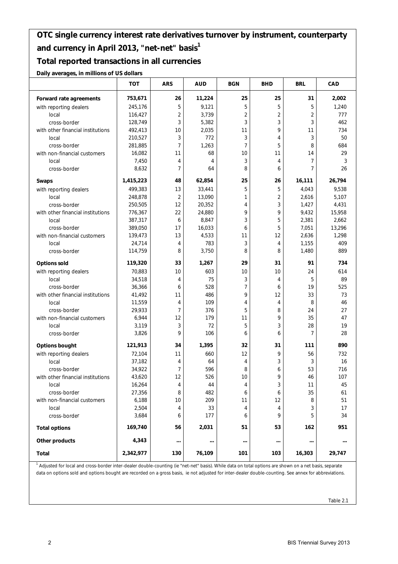#### **Total reported transactions in all currencies**

**Daily averages, in millions of US dollars**

|                                   | <b>TOT</b> | <b>ARS</b>     | <b>AUD</b>     | <b>BGN</b>     | <b>BHD</b>     | <b>BRL</b>     | CAD    |
|-----------------------------------|------------|----------------|----------------|----------------|----------------|----------------|--------|
| Forward rate agreements           | 753,671    | 26             | 11,224         | 25             | 25             | 31             | 2,002  |
| with reporting dealers            | 245,176    | 5              | 9,121          | 5              | 5              | 5              | 1,240  |
| local                             | 116,427    | $\overline{2}$ | 3,739          | $\overline{2}$ | $\overline{2}$ | $\overline{2}$ | 777    |
| cross-border                      | 128,749    | 3              | 5,382          | 3              | 3              | 3              | 462    |
| with other financial institutions | 492,413    | 10             | 2,035          | 11             | 9              | 11             | 734    |
| local                             | 210,527    | 3              | 772            | 3              | 4              | 3              | 50     |
| cross-border                      | 281,885    | $\overline{7}$ | 1,263          | $\overline{7}$ | 5              | 8              | 684    |
| with non-financial customers      | 16,082     | 11             | 68             | 10             | 11             | 14             | 29     |
| local                             | 7,450      | 4              | $\overline{4}$ | 3              | 4              | 7              | 3      |
| cross-border                      | 8,632      | 7              | 64             | 8              | 6              | $\overline{7}$ | 26     |
| <b>Swaps</b>                      | 1,415,223  | 48             | 62,854         | 25             | 26             | 16,111         | 26,794 |
| with reporting dealers            | 499,383    | 13             | 33,441         | 5              | 5              | 4,043          | 9,538  |
| local                             | 248,878    | $\sqrt{2}$     | 13,090         | 1              | $\overline{2}$ | 2,616          | 5,107  |
| cross-border                      | 250,505    | 12             | 20,352         | 4              | 3              | 1,427          | 4,431  |
| with other financial institutions | 776,367    | 22             | 24,880         | 9              | 9              | 9,432          | 15,958 |
| local                             | 387,317    | 6              | 8,847          | 3              | 5              | 2,381          | 2,662  |
| cross-border                      | 389,050    | 17             | 16,033         | 6              | 5              | 7,051          | 13,296 |
| with non-financial customers      | 139,473    | 13             | 4,533          | 11             | 12             | 2,636          | 1,298  |
| local                             | 24,714     | 4              | 783            | 3              | 4              | 1,155          | 409    |
| cross-border                      | 114,759    | 8              | 3,750          | 8              | 8              | 1,480          | 889    |
| <b>Options sold</b>               | 119,320    | 33             | 1,267          | 29             | 31             | 91             | 734    |
| with reporting dealers            | 70,883     | 10             | 603            | 10             | 10             | 24             | 614    |
| local                             | 34,518     | 4              | 75             | 3              | 4              | 5              | 89     |
| cross-border                      | 36,366     | 6              | 528            | 7              | 6              | 19             | 525    |
| with other financial institutions | 41,492     | 11             | 486            | 9              | 12             | 33             | 73     |
| local                             | 11,559     | 4              | 109            | 4              | 4              | 8              | 46     |
| cross-border                      | 29,933     | $\overline{7}$ | 376            | 5              | 8              | 24             | 27     |
| with non-financial customers      | 6,944      | 12             | 179            | 11             | 9              | 35             | 47     |
| local                             | 3,119      | 3              | 72             | 5              | 3              | 28             | 19     |
| cross-border                      | 3,826      | 9              | 106            | 6              | 6              | $\overline{7}$ | 28     |
| <b>Options bought</b>             | 121,913    | 34             | 1,395          | 32             | 31             | 111            | 890    |
| with reporting dealers            | 72,104     | 11             | 660            | 12             | 9              | 56             | 732    |
| local                             | 37,182     | 4              | 64             | 4              | 3              | 3              | 16     |
| cross-border                      | 34,922     | 7              | 596            | 8              | 6              | 53             | 716    |
| with other financial institutions | 43,620     | 12             | 526            | 10             | 9              | 46             | 107    |
| local                             | 16,264     | 4              | 44             | 4              | 3              | 11             | 45     |
| cross-border                      | 27,356     | 8              | 482            | 6              | 6              | 35             | 61     |
| with non-financial customers      | 6,188      | 10             | 209            | 11             | 12             | 8              | 51     |
| local                             | 2,504      | 4              | 33             | 4              | 4              | 3              | 17     |
| cross-border                      | 3,684      | 6              | 177            | 6              | 9              | 5              | 34     |
| <b>Total options</b>              | 169,740    | 56             | 2,031          | 51             | 53             | 162            | 951    |
| Other products                    | 4,343      |                | $\cdots$       |                |                |                |        |
| Total                             | 2,342,977  | 130            | 76,109         | 101            | 103            | 16,303         | 29,747 |

<sup>1</sup> Adjusted for local and cross-border inter-dealer double-counting (ie "net-net" basis). While data on total options are shown on a net basis, separate data on options sold and options bought are recorded on a gross basis, ie not adjusted for inter-dealer double-counting. See annex for abbreviations.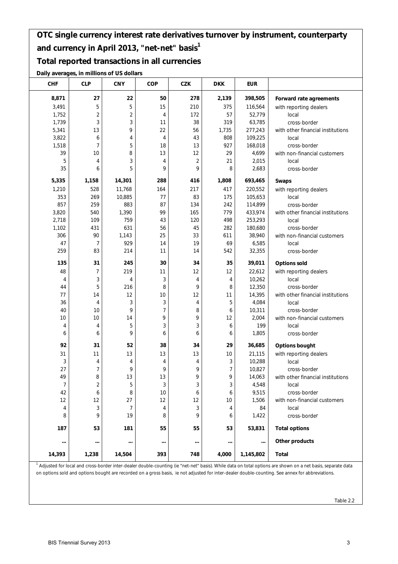#### **Total reported transactions in all currencies**

**Daily averages, in millions of US dollars**

| <b>CHF</b> | <b>CLP</b>     | <b>CNY</b>              | COP            | <b>CZK</b>     | <b>DKK</b> | <b>EUR</b> |                                                                                                                                                                         |
|------------|----------------|-------------------------|----------------|----------------|------------|------------|-------------------------------------------------------------------------------------------------------------------------------------------------------------------------|
| 8,871      | 27             | 22                      | 50             | 278            | 2,139      | 398,505    | Forward rate agreements                                                                                                                                                 |
| 3,491      | 5              | 5                       | 15             | 210            | 375        | 116,564    | with reporting dealers                                                                                                                                                  |
| 1,752      | $\overline{2}$ | $\overline{\mathbf{c}}$ | 4              | 172            | 57         | 52,779     | local                                                                                                                                                                   |
| 1,739      | 3              | 3                       | 11             | 38             | 319        | 63,785     | cross-border                                                                                                                                                            |
| 5,341      | 13             | 9                       | 22             | 56             | 1,735      | 277,243    | with other financial institutions                                                                                                                                       |
| 3,822      | 6              | 4                       | 4              | 43             | 808        | 109,225    | local                                                                                                                                                                   |
| 1,518      | 7              | 5                       | 18             | 13             | 927        | 168,018    | cross-border                                                                                                                                                            |
| 39         | 10             | 8                       | 13             | 12             | 29         | 4,699      | with non-financial customers                                                                                                                                            |
| 5          | 4              | 3                       | 4              | $\overline{2}$ | 21         | 2,015      | local                                                                                                                                                                   |
| 35         | 6              | 5                       | 9              | 9              | 8          | 2,683      | cross-border                                                                                                                                                            |
| 5,335      | 1,158          | 14,301                  | 288            | 416            | 1,808      | 693,465    | <b>Swaps</b>                                                                                                                                                            |
| 1,210      | 528            | 11,768                  | 164            | 217            | 417        | 220,552    | with reporting dealers                                                                                                                                                  |
| 353        | 269            | 10,885                  | 77             | 83             | 175        | 105,653    | local                                                                                                                                                                   |
| 857        | 259            | 883                     | 87             | 134            | 242        | 114,899    | cross-border                                                                                                                                                            |
| 3,820      | 540            | 1,390                   | 99             | 165            | 779        | 433,974    | with other financial institutions                                                                                                                                       |
| 2,718      | 109            | 759                     | 43             | 120            | 498        | 253,293    | local                                                                                                                                                                   |
| 1,102      | 431            | 631                     | 56             | 45             | 282        | 180,680    | cross-border                                                                                                                                                            |
| 306        | 90             | 1,143                   | 25             | 33             | 611        | 38,940     | with non-financial customers                                                                                                                                            |
| 47         | 7              | 929                     | 14             | 19             | 69         | 6,585      | local                                                                                                                                                                   |
| 259        | 83             | 214                     | 11             | 14             | 542        | 32,355     | cross-border                                                                                                                                                            |
| 135        | 31             | 245                     | 30             | 34             | 35         | 39,011     | <b>Options sold</b>                                                                                                                                                     |
| 48         | 7              | 219                     | 11             | 12             | 12         | 22,612     | with reporting dealers                                                                                                                                                  |
| 4          | 3              | 4                       | 3              | 4              | 4          | 10,262     | local                                                                                                                                                                   |
| 44         | 5              | 216                     | 8              | 9              | 8          | 12,350     | cross-border                                                                                                                                                            |
| 77         | 14             | 12                      | 10             | 12             | 11         | 14,395     | with other financial institutions                                                                                                                                       |
| 36         | 4              | 3                       | 3              | 4              | 5          | 4,084      | local                                                                                                                                                                   |
| 40         | 10             | 9                       | $\overline{7}$ | 8              | 6          | 10,311     | cross-border                                                                                                                                                            |
| 10         | 10             | 14                      | 9              | 9              | 12         | 2,004      | with non-financial customers                                                                                                                                            |
| 4          | 4              | 5                       | 3              | 3              | 6          | 199        | local                                                                                                                                                                   |
| 6          | 6              | 9                       | 6              | 6              | 6          | 1,805      | cross-border                                                                                                                                                            |
| 92         | 31             | 52                      | 38             | 34             | 29         | 36,685     | <b>Options bought</b>                                                                                                                                                   |
| 31         | 11             | 13                      | 13             | 13             | 10         | 21,115     | with reporting dealers                                                                                                                                                  |
| 3          | 4              | 4                       | 4              | 4              | 3          | 10,288     | local                                                                                                                                                                   |
| 27         | 7              | 9                       | 9              | 9              | 7          | 10,827     | cross-border                                                                                                                                                            |
| 49         | 8              | 13                      | 13             | 9              | 9          | 14,063     | with other financial institutions                                                                                                                                       |
| 7          | 2              | 5                       | 3              | 3              | 3          | 4,548      | local                                                                                                                                                                   |
| 42         | 6              | 8                       | 10             | 6              | 6          | 9,515      | cross-border                                                                                                                                                            |
| 12         | 12             | 27                      | 12             | 12             | 10         | 1,506      | with non-financial customers                                                                                                                                            |
| 4          | 3              | 7                       | 4              | 3              | 4          | 84         | local                                                                                                                                                                   |
| 8          | 9              | 19                      | 8              | 9              | 6          | 1,422      | cross-border                                                                                                                                                            |
| 187        | 53             | 181                     | 55             | 55             | 53         | 53,831     | <b>Total options</b>                                                                                                                                                    |
| $\cdots$   |                | $\cdots$                | $\cdots$       |                | $\cdots$   | $\cdots$   | Other products                                                                                                                                                          |
| 14,393     | 1,238          | 14,504                  | 393            | 748            | 4,000      | 1,145,802  | Total                                                                                                                                                                   |
|            |                |                         |                |                |            |            | <sup>1</sup> Adjusted for local and cross-border inter-dealer double-counting (ie "net-net" basis). While data on total options are shown on a net basis, separate data |

on options sold and options bought are recorded on a gross basis, ie not adjusted for inter-dealer double-counting. See annex for abbreviations.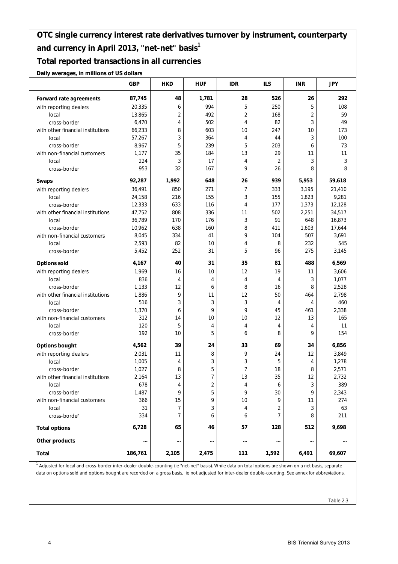#### **Total reported transactions in all currencies**

**Daily averages, in millions of US dollars**

|                                   | <b>GBP</b> | <b>HKD</b>     | <b>HUF</b>     | <b>IDR</b> | <b>ILS</b>     | <b>INR</b>     | <b>JPY</b> |
|-----------------------------------|------------|----------------|----------------|------------|----------------|----------------|------------|
| Forward rate agreements           | 87,745     | 48             | 1,781          | 28         | 526            | 26             | 292        |
| with reporting dealers            | 20,335     | 6              | 994            | 5          | 250            | 5              | 108        |
| local                             | 13,865     | $\overline{2}$ | 492            | 2          | 168            | $\overline{2}$ | 59         |
| cross-border                      | 6,470      | 4              | 502            | 4          | 82             | 3              | 49         |
| with other financial institutions | 66,233     | 8              | 603            | 10         | 247            | 10             | 173        |
| local                             | 57,267     | 3              | 364            | 4          | 44             | 3              | 100        |
| cross-border                      | 8,967      | 5              | 239            | 5          | 203            | 6              | 73         |
| with non-financial customers      | 1,177      | 35             | 184            | 13         | 29             | 11             | 11         |
| local                             | 224        | 3              | 17             | 4          | $\overline{2}$ | 3              | 3          |
| cross-border                      | 953        | 32             | 167            | 9          | 26             | 8              | 8          |
| <b>Swaps</b>                      | 92,287     | 1,992          | 648            | 26         | 939            | 5,953          | 59,618     |
| with reporting dealers            | 36,491     | 850            | 271            | 7          | 333            | 3,195          | 21,410     |
| local                             | 24,158     | 216            | 155            | 3          | 155            | 1,823          | 9,281      |
| cross-border                      | 12,333     | 633            | 116            | 4          | 177            | 1,373          | 12,128     |
| with other financial institutions | 47,752     | 808            | 336            | 11         | 502            | 2,251          | 34,517     |
| local                             | 36,789     | 170            | 176            | 3          | 91             | 648            | 16,873     |
| cross-border                      | 10,962     | 638            | 160            | 8          | 411            | 1,603          | 17,644     |
| with non-financial customers      | 8,045      | 334            | 41             | 9          | 104            | 507            | 3,691      |
| local                             | 2,593      | 82             | 10             | 4          | 8              | 232            | 545        |
| cross-border                      | 5,452      | 252            | 31             | 5          | 96             | 275            | 3,145      |
| <b>Options sold</b>               | 4,167      | 40             | 31             | 35         | 81             | 488            | 6,569      |
| with reporting dealers            | 1,969      | 16             | 10             | 12         | 19             | 11             | 3,606      |
| local                             | 836        | 4              | 4              | 4          | 4              | 3              | 1,077      |
| cross-border                      | 1,133      | 12             | 6              | 8          | 16             | 8              | 2,528      |
| with other financial institutions | 1,886      | 9              | 11             | 12         | 50             | 464            | 2,798      |
| local                             | 516        | 3              | 3              | 3          | 4              | 4              | 460        |
| cross-border                      | 1,370      | 6              | 9              | 9          | 45             | 461            | 2,338      |
| with non-financial customers      | 312        | 14             | 10             | 10         | 12             | 13             | 165        |
| local                             | 120        | 5              | 4              | 4          | $\overline{4}$ | 4              | 11         |
| cross-border                      | 192        | 10             | 5              | 6          | 8              | 9              | 154        |
| <b>Options bought</b>             | 4,562      | 39             | 24             | 33         | 69             | 34             | 6,856      |
| with reporting dealers            | 2,031      | 11             | 8              | 9          | 24             | 12             | 3,849      |
| local                             | 1,005      | 4              | 3              | 3          | 5              | 4              | 1,278      |
| cross-border                      | 1,027      | 8              | 5              | 7          | 18             | 8              | 2,571      |
| with other financial institutions | 2,164      | 13             | $\overline{7}$ | 13         | 35             | 12             | 2,732      |
| local                             | 678        | 4              | 2              | 4          | 6              | 3              | 389        |
| cross-border                      | 1,487      | 9              | 5              | 9          | 30             | 9              | 2,343      |
| with non-financial customers      | 366        | 15             | 9              | 10         | 9              | 11             | 274        |
| local                             | 31         | 7              | 3              | 4          | 2              | 3              | 63         |
| cross-border                      | 334        | $\overline{7}$ | 6              | 6          | 7              | 8              | 211        |
| <b>Total options</b>              | 6,728      | 65             | 46             | 57         | 128            | 512            | 9,698      |
| Other products                    | $\cdots$   |                |                | $\cdots$   | $\cdots$       |                |            |
| Total                             | 186,761    | 2,105          | 2,475          | 111        | 1,592          | 6,491          | 69,607     |

<sup>1</sup> Adjusted for local and cross-border inter-dealer double-counting (ie "net-net" basis). While data on total options are shown on a net basis, separate data on options sold and options bought are recorded on a gross basis, ie not adjusted for inter-dealer double-counting. See annex for abbreviations.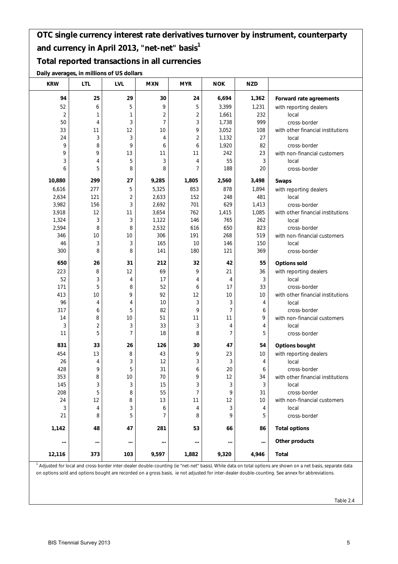#### **Total reported transactions in all currencies**

**Daily averages, in millions of US dollars**

| <b>KRW</b> | <b>LTL</b>     | <b>LVL</b> | <b>MXN</b>     | <b>MYR</b>     | <b>NOK</b>     | <b>NZD</b>     |                                   |
|------------|----------------|------------|----------------|----------------|----------------|----------------|-----------------------------------|
| 94         | 25             | 29         | 30             | 24             | 6,694          | 1,362          | Forward rate agreements           |
| 52         | 6              | 5          | 9              | 5              | 3,399          | 1,231          | with reporting dealers            |
| $\sqrt{2}$ | 1              | 1          | $\overline{c}$ | $\overline{c}$ | 1,661          | 232            | local                             |
| 50         | 4              | 3          | $\overline{7}$ | 3              | 1,738          | 999            | cross-border                      |
| 33         | 11             | 12         | 10             | 9              | 3,052          | 108            | with other financial institutions |
| 24         | 3              | 3          | 4              | $\overline{2}$ | 1,132          | 27             | local                             |
| 9          | 8              | 9          | 6              | 6              | 1,920          | 82             | cross-border                      |
| 9          | 9              | 13         | 11             | 11             | 242            | 23             | with non-financial customers      |
| 3          | 4              | 5          | 3              | 4              | 55             | 3              | local                             |
| 6          | 5              | 8          | 8              | 7              | 188            | 20             | cross-border                      |
| 10,880     | 299            | 27         | 9,285          | 1,805          | 2,560          | 3,498          | <b>Swaps</b>                      |
| 6,616      | 277            | 5          | 5,325          | 853            | 878            | 1,894          | with reporting dealers            |
| 2,634      | 121            | 2          | 2,633          | 152            | 248            | 481            | local                             |
| 3,982      | 156            | 3          | 2,692          | 701            | 629            | 1,413          | cross-border                      |
| 3,918      | 12             | 11         | 3,654          | 762            | 1,415          | 1,085          | with other financial institutions |
| 1,324      | 3              | 3          | 1,122          | 146            | 765            | 262            | local                             |
| 2,594      | 8              | 8          | 2,532          | 616            | 650            | 823            | cross-border                      |
| 346        | 10             | 10         | 306            | 191            | 268            | 519            | with non-financial customers      |
| 46         | 3              | 3          | 165            | 10             | 146            | 150            | local                             |
| 300        | 8              | 8          | 141            | 180            | 121            | 369            | cross-border                      |
| 650        | 26             | 31         | 212            | 32             | 42             | 55             | <b>Options sold</b>               |
| 223        | 8              | 12         | 69             | 9              | 21             | 36             | with reporting dealers            |
| 52         | 3              | 4          | 17             | 4              | 4              | 3              | local                             |
| 171        | 5              | 8          | 52             | 6              | 17             | 33             | cross-border                      |
| 413        | 10             | 9          | 92             | 12             | 10             | 10             | with other financial institutions |
| 96         | 4              | 4          | 10             | 3              | 3              | $\overline{4}$ | local                             |
| 317        | 6              | 5          | 82             | 9              | $\overline{7}$ | 6              | cross-border                      |
| 14         | 8              | 10         | 51             | 11             | 11             | 9              | with non-financial customers      |
| 3          | $\overline{c}$ | 3          | 33             | 3              | 4              | 4              | local                             |
| 11         | 5              | 7          | 18             | 8              | $\overline{7}$ | 5              | cross-border                      |
| 831        | 33             | 26         | 126            | 30             | 47             | 54             | Options bought                    |
| 454        | 13             | 8          | 43             | 9              | 23             | 10             | with reporting dealers            |
| 26         | 4              | 3          | 12             | 3              | 3              | 4              | local                             |
| 428        | 9              | 5          | 31             | 6              | 20             | 6              | cross-border                      |
| 353        | 8              | 10         | 70             | 9              | 12             | 34             | with other financial institutions |
| 145        | 3              | 3          | 15             | 3              | 3              | 3              | local                             |
| 208        | 5              | 8          | 55             | 7              | 9              | 31             | cross-border                      |
| 24         | 12             | 8          | 13             | 11             | 12             | 10             | with non-financial customers      |
| 3          | 4              | 3          | 6              | 4              | 3              | 4              | local                             |
| 21         | 8              | 5          | 7              | 8              | 9              | 5              | cross-border                      |
| 1,142      | 48             | 47         | 281            | 53             | 66             | 86             | <b>Total options</b>              |
|            |                |            |                |                |                | $\cdots$       | Other products                    |
| 12,116     | 373            | 103        | 9,597          | 1,882          | 9,320          | 4,946          | Total                             |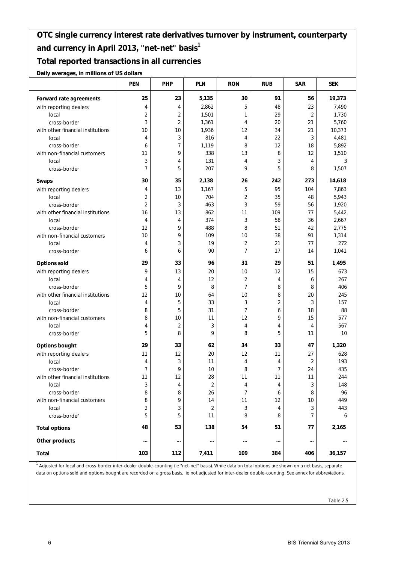#### **Total reported transactions in all currencies**

**Daily averages, in millions of US dollars**

|                                   | <b>PEN</b>     | PHP            | <b>PLN</b>     | <b>RON</b>     | <b>RUB</b>     | <b>SAR</b>     | <b>SEK</b> |
|-----------------------------------|----------------|----------------|----------------|----------------|----------------|----------------|------------|
| Forward rate agreements           | 25             | 23             | 5,135          | 30             | 91             | 56             | 19,373     |
| with reporting dealers            | 4              | 4              | 2,862          | 5              | 48             | 23             | 7,490      |
| local                             | $\overline{2}$ | $\overline{2}$ | 1,501          | 1              | 29             | $\overline{2}$ | 1,730      |
| cross-border                      | 3              | $\sqrt{2}$     | 1,361          | 4              | 20             | 21             | 5,760      |
| with other financial institutions | 10             | 10             | 1,936          | 12             | 34             | 21             | 10,373     |
| local                             | 4              | 3              | 816            | 4              | 22             | 3              | 4,481      |
| cross-border                      | 6              | 7              | 1,119          | 8              | 12             | 18             | 5,892      |
| with non-financial customers      | 11             | 9              | 338            | 13             | 8              | 12             | 1,510      |
| local                             | 3              | 4              | 131            | $\overline{4}$ | 3              | 4              | 3          |
| cross-border                      | $\overline{7}$ | 5              | 207            | 9              | 5              | 8              | 1,507      |
| Swaps                             | 30             | 35             | 2,138          | 26             | 242            | 273            | 14,618     |
| with reporting dealers            | 4              | 13             | 1,167          | 5              | 95             | 104            | 7,863      |
| local                             | $\overline{2}$ | 10             | 704            | $\overline{c}$ | 35             | 48             | 5,943      |
| cross-border                      | $\overline{2}$ | 3              | 463            | 3              | 59             | 56             | 1,920      |
| with other financial institutions | 16             | 13             | 862            | 11             | 109            | 77             | 5,442      |
| local                             | 4              | 4              | 374            | 3              | 58             | 36             | 2,667      |
| cross-border                      | 12             | 9              | 488            | 8              | 51             | 42             | 2,775      |
| with non-financial customers      | 10             | 9              | 109            | 10             | 38             | 91             | 1,314      |
| local                             | 4              | 3              | 19             | $\overline{2}$ | 21             | 77             | 272        |
| cross-border                      | 6              | 6              | 90             | $\overline{7}$ | 17             | 14             | 1,041      |
| <b>Options sold</b>               | 29             | 33             | 96             | 31             | 29             | 51             | 1,495      |
| with reporting dealers            | 9              | 13             | 20             | 10             | 12             | 15             | 673        |
| local                             | 4              | 4              | 12             | $\overline{2}$ | 4              | 6              | 267        |
| cross-border                      | 5              | 9              | 8              | $\overline{7}$ | 8              | 8              | 406        |
| with other financial institutions | 12             | 10             | 64             | 10             | 8              | 20             | 245        |
| local                             | 4              | 5              | 33             | 3              | $\overline{c}$ | 3              | 157        |
| cross-border                      | 8              | 5              | 31             | $\overline{7}$ | 6              | 18             | 88         |
| with non-financial customers      | 8              | 10             | 11             | 12             | 9              | 15             | 577        |
| local                             | 4              | $\sqrt{2}$     | 3              | 4              | 4              | 4              | 567        |
| cross-border                      | 5              | 8              | 9              | 8              | 5              | 11             | 10         |
| <b>Options bought</b>             | 29             | 33             | 62             | 34             | 33             | 47             | 1,320      |
| with reporting dealers            | 11             | 12             | 20             | 12             | 11             | 27             | 628        |
| local                             | 4              | 3              | 11             | 4              | 4              | 2              | 193        |
| cross-border                      | 7              | 9              | 10             | 8              | 7              | 24             | 435        |
| with other financial institutions | 11             | 12             | 28             | 11             | 11             | 11             | 244        |
| local                             | 3              | 4              | $\overline{2}$ | 4              | 4              | 3              | 148        |
| cross-border                      | 8              | 8              | 26             | $\overline{7}$ | 6              | 8              | 96         |
| with non-financial customers      | 8              | 9              | 14             | 11             | 12             | 10             | 449        |
| local                             | 2              | 3              | 2              | 3              | 4              | 3              | 443        |
| cross-border                      | 5              | 5              | 11             | 8              | 8              | 7              | 6          |
| <b>Total options</b>              | 48             | 53             | 138            | 54             | 51             | 77             | 2,165      |
| Other products                    |                | $\cdots$       | $\cdots$       | $\cdots$       |                | $\cdots$       |            |
| Total                             | 103            | 112            | 7,411          | 109            | 384            | 406            | 36,157     |

<sup>1</sup> Adjusted for local and cross-border inter-dealer double-counting (ie "net-net" basis). While data on total options are shown on a net basis, separate data on options sold and options bought are recorded on a gross basis, ie not adjusted for inter-dealer double-counting. See annex for abbreviations.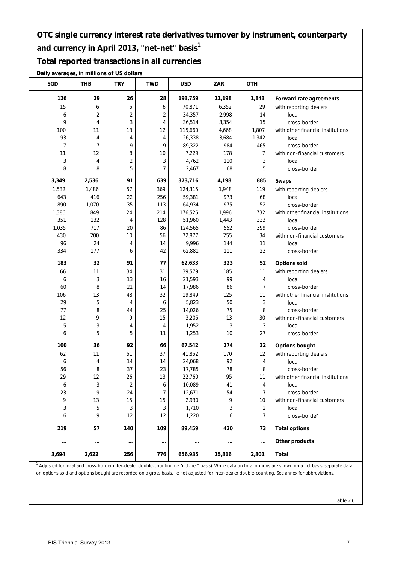#### **Total reported transactions in all currencies**

**Daily averages, in millions of US dollars**

| SGD            | THB            | <b>TRY</b>              | <b>TWD</b>     | <b>USD</b> | <b>ZAR</b> | <b>OTH</b> |                                                                                                                                                                         |
|----------------|----------------|-------------------------|----------------|------------|------------|------------|-------------------------------------------------------------------------------------------------------------------------------------------------------------------------|
| 126            | 29             | 26                      | 28             | 193,759    | 11,198     | 1,843      | Forward rate agreements                                                                                                                                                 |
| 15             | 6              | 5                       | 6              | 70,871     | 6,352      | 29         | with reporting dealers                                                                                                                                                  |
| 6              | $\overline{c}$ | $\overline{\mathbf{c}}$ | $\overline{2}$ | 34,357     | 2,998      | 14         | local                                                                                                                                                                   |
| 9              | 4              | 3                       | 4              | 36,514     | 3,354      | 15         | cross-border                                                                                                                                                            |
| 100            | 11             | 13                      | 12             | 115,660    | 4,668      | 1,807      | with other financial institutions                                                                                                                                       |
| 93             | 4              | 4                       | 4              | 26,338     | 3,684      | 1,342      | local                                                                                                                                                                   |
| $\overline{7}$ | $\overline{7}$ | 9                       | 9              | 89,322     | 984        | 465        | cross-border                                                                                                                                                            |
| 11             | 12             | 8                       | 10             | 7,229      | 178        | 7          | with non-financial customers                                                                                                                                            |
| 3              | $\overline{4}$ | 2                       | 3              | 4,762      | 110        | 3          | local                                                                                                                                                                   |
| 8              | 8              | 5                       | 7              | 2,467      | 68         | 5          | cross-border                                                                                                                                                            |
| 3,349          | 2,536          | 91                      | 639            | 373,716    | 4,198      | 885        | <b>Swaps</b>                                                                                                                                                            |
| 1,532          | 1,486          | 57                      | 369            | 124,315    | 1,948      | 119        | with reporting dealers                                                                                                                                                  |
| 643            | 416            | 22                      | 256            | 59,381     | 973        | 68         | local                                                                                                                                                                   |
| 890            | 1,070          | 35                      | 113            | 64,934     | 975        | 52         | cross-border                                                                                                                                                            |
| 1,386          | 849            | 24                      | 214            | 176,525    | 1,996      | 732        | with other financial institutions                                                                                                                                       |
| 351            | 132            | 4                       | 128            | 51,960     | 1,443      | 333        | local                                                                                                                                                                   |
| 1,035          | 717            | 20                      | 86             | 124,565    | 552        | 399        | cross-border                                                                                                                                                            |
| 430            | 200            | 10                      | 56             | 72,877     | 255        | 34         | with non-financial customers                                                                                                                                            |
| 96             | 24             | 4                       | 14             | 9,996      | 144        | 11         | local                                                                                                                                                                   |
| 334            | 177            | 6                       | 42             | 62,881     | 111        | 23         | cross-border                                                                                                                                                            |
| 183            | 32             | 91                      | 77             | 62,633     | 323        | 52         | <b>Options sold</b>                                                                                                                                                     |
| 66             | 11             | 34                      | 31             | 39,579     | 185        | 11         | with reporting dealers                                                                                                                                                  |
| 6              | 3              | 13                      | 16             | 21,593     | 99         | 4          | local                                                                                                                                                                   |
| 60             | 8              | 21                      | 14             | 17,986     | 86         | 7          | cross-border                                                                                                                                                            |
| 106            | 13             | 48                      | 32             | 19,849     | 125        | 11         | with other financial institutions                                                                                                                                       |
| 29             | 5              | 4                       | 6              | 5,823      | 50         | 3          | local                                                                                                                                                                   |
| 77             | 8              | 44                      | 25             | 14,026     | 75         | 8          | cross-border                                                                                                                                                            |
| 12             | 9              | 9                       | 15             | 3,205      | 13         | $30\,$     | with non-financial customers                                                                                                                                            |
| 5              | 3              | 4                       | 4              | 1,952      | 3          | 3          | local                                                                                                                                                                   |
| 6              | 5              | 5                       | 11             | 1,253      | 10         | 27         | cross-border                                                                                                                                                            |
| 100            | 36             | 92                      | 66             | 67,542     | 274        | 32         | <b>Options bought</b>                                                                                                                                                   |
| 62             | 11             | 51                      | 37             | 41,852     | 170        | 12         | with reporting dealers                                                                                                                                                  |
| 6              | 4              | 14                      | 14             | 24,068     | 92         | 4          | local                                                                                                                                                                   |
| 56             | 8              | 37                      | 23             | 17,785     | 78         | 8          | cross-border                                                                                                                                                            |
| 29             | 12             | 26                      | 13             | 22,760     | 95         | 11         | with other financial institutions                                                                                                                                       |
| 6              | 3              | $\overline{2}$          | 6              | 10,089     | 41         | 4          | local                                                                                                                                                                   |
| 23             | 9              | 24                      | 7              | 12,671     | 54         | 7          | cross-border                                                                                                                                                            |
| 9              | 13             | 15                      | 15             | 2,930      | 9          | 10         | with non-financial customers                                                                                                                                            |
| 3              | 5              | 3                       | 3              | 1,710      | 3          | 2          | local                                                                                                                                                                   |
| 6              | 9              | 12                      | 12             | 1,220      | 6          | 7          | cross-border                                                                                                                                                            |
| 219            | 57             | 140                     | 109            | 89,459     | 420        | 73         | <b>Total options</b>                                                                                                                                                    |
| $\cdots$       | $\cdots$       |                         | $\cdots$       |            |            | $\cdots$   | Other products                                                                                                                                                          |
| 3,694          | 2,622          | 256                     | 776            | 656,935    | 15,816     | 2,801      | Total                                                                                                                                                                   |
|                |                |                         |                |            |            |            | <sup>1</sup> Adjusted for local and cross-border inter-dealer double-counting (ie "net-net" basis). While data on total options are shown on a net basis, separate data |

on options sold and options bought are recorded on a gross basis, ie not adjusted for inter-dealer double-counting. See annex for abbreviations.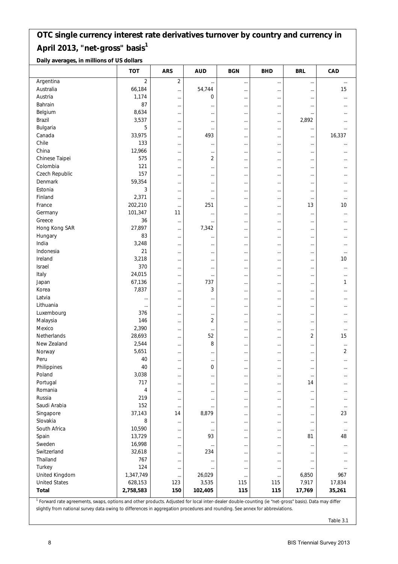**Daily averages, in millions of US dollars**

|                      | <b>TOT</b> | <b>ARS</b>     | <b>AUD</b>     | <b>BGN</b> | <b>BHD</b> | <b>BRL</b> | CAD      |
|----------------------|------------|----------------|----------------|------------|------------|------------|----------|
| Argentina            | $\sqrt{2}$ | $\overline{2}$ | $\cdots$       | $\cdots$   |            |            | $\cdots$ |
| Australia            | 66,184     | $\cdots$       | 54,744         | $\cdots$   | $\cdots$   | $\cdots$   | 15       |
| Austria              | 1,174      | $\cdots$       | 0              | $\cdots$   | $\cdots$   | $\cdots$   |          |
| Bahrain              | 87         | $\cdots$       | $\cdots$       | $\cdots$   | $\cdots$   | $\cdots$   |          |
| Belgium              | 8,634      | $\cdots$       | $\cdots$       | $\cdots$   | $\cdots$   | $\cdots$   |          |
| Brazil               | 3,537      |                | $\cdots$       |            | $\cdots$   | 2,892      |          |
| Bulgaria             | 5          |                | $\cdots$       | $\cdots$   | $\cdots$   | $\cdots$   |          |
| Canada               | 33,975     | $\cdots$       | 493            | $\cdots$   |            | $\cdots$   | 16,337   |
| Chile                | 133        |                | $\cdots$       | $\cdots$   |            | $\cdots$   |          |
| China                | 12,966     | $\cdots$       | $\cdots$       | $\cdots$   | $\cdots$   | $\cdots$   |          |
| Chinese Taipei       | 575        | $\cdots$       | 2              | $\cdots$   |            | $\cdots$   |          |
| Colombia             | 121        | $\cdots$       | $\cdots$       | $\cdots$   |            | $\ddotsc$  |          |
| Czech Republic       | 157        | $\cdots$       | $\cdots$       | $\cdots$   | $\cdots$   | $\cdots$   |          |
| Denmark              | 59,354     | $\cdots$       | $\cdots$       | $\cdots$   | $\cdots$   | $\cdots$   |          |
| Estonia              | 3          |                | $\cdots$       | $\cdots$   | $\cdots$   | $\cdots$   |          |
| Finland              | 2,371      | $\cdots$       | $\cdots$       | $\cdots$   | $\cdots$   | $\cdots$   | $\cdots$ |
| France               | 202,210    | $\ldots$       | 251            | $\cdots$   | $\cdots$   | 13         | 10       |
| Germany              | 101,347    | 11             | $\cdots$       | $\cdots$   |            | $\cdots$   |          |
| Greece               | 36         | $\cdots$       | $\cdots$       | $\cdots$   | $\cdots$   | $\ddotsc$  |          |
| Hong Kong SAR        | 27,897     | $\cdots$       | 7,342          | $\cdots$   |            | $\cdots$   |          |
| Hungary              | 83         | $\cdots$       | $\cdots$       | $\cdots$   |            | $\cdots$   |          |
| India                | 3,248      | $\cdots$       | $\cdots$       | $\cdots$   | $\cdots$   | $\cdots$   |          |
| Indonesia            | 21         | $\cdots$       | $\cdots$       | $\cdots$   | $\cdots$   | $\ddotsc$  |          |
| Ireland              | 3,218      | $\cdots$       | $\cdots$       | $\cdots$   |            | $\cdots$   | 10       |
| Israel               | 370        | $\cdots$       | $\cdots$       | $\cdots$   | $\cdots$   | $\cdots$   |          |
| Italy                | 24,015     |                | $\cdots$       | $\cdots$   | $\cdots$   | $\cdots$   |          |
| Japan                | 67,136     | $\cdots$       | 737            | $\cdots$   | $\cdots$   | $\cdots$   | 1        |
| Korea                | 7,837      |                | 3              |            | $\cdots$   | $\cdots$   |          |
| Latvia               | $\cdots$   | $\cdots$       | $\cdots$       | $\cdots$   | $\cdots$   | $\cdots$   |          |
| Lithuania            |            | $\cdots$       | $\cdots$       | $\cdots$   |            | $\cdots$   |          |
| Luxembourg           | 376        | $\cdots$       | $\cdots$       | $\cdots$   |            | $\ddotsc$  |          |
| Malaysia             | 146        | $\cdots$       | $\overline{2}$ | $\cdots$   | $\cdots$   | $\ddotsc$  |          |
| Mexico               | 2,390      | $\cdots$       | $\cdots$       | $\cdots$   |            | $\cdots$   |          |
| Netherlands          | 28,693     |                | 52             | $\cdots$   |            | 2          | 15       |
| New Zealand          | 2,544      | $\cdots$       | 8              | $\cdots$   | $\cdots$   | $\cdots$   |          |
| Norway               | 5,651      | $\cdots$       | $\cdots$       | $\cdots$   |            | $\cdots$   | 2        |
| Peru                 | 40         | $\cdots$       | $\ldots$       | $\cdots$   | $\cdots$   | $\cdots$   |          |
| Philippines          | 40         | $\cdots$       | 0              | $\cdots$   | $\cdots$   | $\cdots$   | $\cdots$ |
| Poland               | 3,038      | $\cdots$       | $\cdots$       | $\cdots$   | $\cdots$   | $\cdots$   |          |
| Portugal             | 717        | $\cdots$       | $\cdots$       |            | $\cdots$   | 14         |          |
| Romania              | 4          | $\cdots$       | $\cdots$       | $\cdots$   | $\cdots$   | $\cdots$   |          |
| Russia               | 219        | $\cdots$       | $\cdots$       | $\cdots$   | $\cdots$   | $\cdots$   |          |
| Saudi Arabia         | 152        | $\cdots$       | $\cdots$       | $\cdots$   | $\cdots$   | $\cdots$   | $\cdots$ |
| Singapore            | 37,143     | 14             | 8,879          | $\cdots$   | $\cdots$   | $\ddotsc$  | 23       |
| Slovakia             | 8          | $\cdots$       | $\cdots$       | $\cdots$   | $\cdots$   | $\cdots$   | $\cdots$ |
| South Africa         | 10,590     | $\cdots$       | $\cdots$       | $\cdots$   | $\cdots$   | $\cdots$   | $\cdots$ |
| Spain                | 13,729     | $\cdots$       | 93             | $\cdots$   | $\cdots$   | 81         | 48       |
| Sweden               | 16,998     | $\cdots$       | $\cdots$       | $\cdots$   | $\cdots$   | $\ddots$   | $\cdots$ |
| Switzerland          | 32,618     | $\cdots$       | 234            | $\cdots$   | $\cdots$   | $\cdots$   |          |
| Thailand             | 767        |                | $\cdots$       | $\cdots$   |            | $\ddotsc$  |          |
| Turkey               | 124        | $\cdots$       | $\cdots$       | $\cdots$   | $\cdots$   | $\cdots$   | $\cdots$ |
| United Kingdom       | 1,347,749  | $\cdots$       | 26,029         |            | $\ldots$   | 6,850      | 967      |
| <b>United States</b> | 628,153    | 123            | 3,535          | 115        | 115        | 7,917      | 17,834   |
| Total                | 2,758,583  | 150            | 102,405        | 115        | 115        | 17,769     | 35,261   |
|                      |            |                |                |            |            |            |          |

<sup>1</sup> Forward rate agreements, swaps, options and other products. Adjusted for local inter-dealer double-counting (ie "net-gross" basis). Data may differ slightly from national survey data owing to differences in aggregation procedures and rounding. See annex for abbreviations.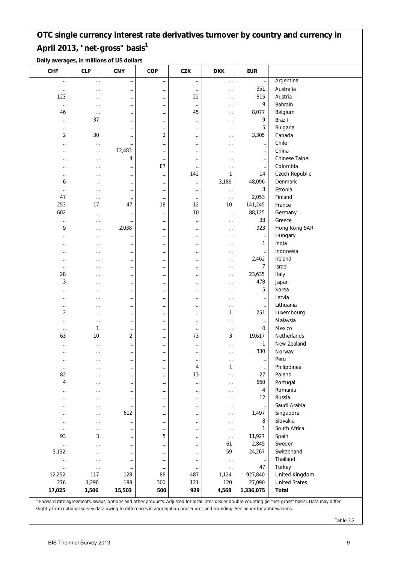|  | Daily averages, in millions of US dollars |  |
|--|-------------------------------------------|--|
|--|-------------------------------------------|--|

| <b>CHF</b>     | <b>CLP</b> | <b>CNY</b> | COP            | <b>CZK</b> | <b>DKK</b> | <b>EUR</b>   |                                                                                                                                                                  |
|----------------|------------|------------|----------------|------------|------------|--------------|------------------------------------------------------------------------------------------------------------------------------------------------------------------|
| $\cdots$       |            |            | $\cdots$       | $\cdots$   | $\cdots$   | $\cdots$     | Argentina                                                                                                                                                        |
| $\cdots$       | $\cdots$   |            | $\cdots$       | $\cdots$   |            | 351          | Australia                                                                                                                                                        |
| 123            |            |            | $\ldots$       | 22         |            | 815          | Austria                                                                                                                                                          |
| $\cdots$       | $\cdots$   |            | $\cdots$       | $\cdots$   | $\cdots$   | 9            | Bahrain                                                                                                                                                          |
| 46             | $\cdots$   |            | $\cdots$       | 45         | $\cdots$   | 8,077        | Belgium                                                                                                                                                          |
| $\cdots$       | 37         |            | $\cdots$       | $\cdots$   |            | 9            | Brazil                                                                                                                                                           |
| $\cdots$       | $\cdots$   |            | $\cdots$       | $\cdots$   |            | 5            | Bulgaria                                                                                                                                                         |
| $\overline{2}$ | 30         |            | $\overline{2}$ | $\cdots$   |            | 3,305        | Canada                                                                                                                                                           |
| $\cdots$       | $\cdots$   |            | $\cdots$       | $\cdots$   |            | $\cdots$     | Chile                                                                                                                                                            |
| $\cdots$       | $\cdots$   | 12,483     | $\cdots$       | $\cdots$   | $\cdots$   | $\cdots$     | China                                                                                                                                                            |
| $\cdots$       | $\cdots$   | 4          | $\cdots$       | $\cdots$   | $\cdots$   | $\cdots$     | Chinese Taipei                                                                                                                                                   |
| $\cdots$       | $\cdots$   |            | 87             | $\cdots$   |            | $\cdots$     | Colombia                                                                                                                                                         |
| $\cdots$       | $\cdots$   |            | $\cdots$       | 142        | 1          | 14           | Czech Republic                                                                                                                                                   |
| 6              | $\cdots$   |            | $\cdots$       | $\cdots$   | 3,189      | 48,096       | Denmark                                                                                                                                                          |
| $\cdots$       | $\cdots$   |            | $\cdots$       | $\cdots$   | $\cdots$   | 3            | Estonia                                                                                                                                                          |
| 47             | $\cdots$   |            | $\cdots$       | $\cdots$   | $\cdots$   | 2,053        | Finland                                                                                                                                                          |
| 253            | 17         | 47         | 18             | 12         | 10         | 141,245      | France                                                                                                                                                           |
| 602            | $\cdots$   |            | $\cdots$       | 10         |            | 88,125       | Germany                                                                                                                                                          |
| $\cdots$       | $\cdots$   |            | $\cdots$       | $\cdots$   | $\cdots$   | 33           | Greece                                                                                                                                                           |
| 9              | $\cdots$   | 2,038      | $\cdots$       | $\cdots$   |            | 923          | Hong Kong SAR                                                                                                                                                    |
| $\cdots$       | $\cdots$   |            | $\cdots$       | $\cdots$   | $\cdots$   | $\cdots$     | Hungary                                                                                                                                                          |
| $\cdots$       | $\cdots$   |            | $\cdots$       | $\cdots$   |            | $\mathbf{1}$ | India                                                                                                                                                            |
| $\cdots$       | $\cdots$   |            | $\cdots$       | $\cdots$   | $\cdots$   | $\cdots$     | Indonesia                                                                                                                                                        |
| $\cdots$       | $\cdots$   |            | $\cdots$       | $\cdots$   | $\cdots$   | 2,462        | Ireland                                                                                                                                                          |
| $\cdots$       | $\cdots$   |            | $\cdots$       | $\cdots$   |            | 7            | Israel                                                                                                                                                           |
| 28             | $\cdots$   |            | $\cdots$       | $\cdots$   |            | 23,635       | Italy                                                                                                                                                            |
| 3              | $\cdots$   |            | $\cdots$       | $\cdots$   |            | 478          | Japan                                                                                                                                                            |
| $\cdots$       |            |            | $\ldots$       | $\cdots$   |            | 5            | Korea                                                                                                                                                            |
| $\cdots$       |            |            | $\cdots$       | $\cdots$   |            | $\cdots$     | Latvia                                                                                                                                                           |
| $\cdots$       | $\cdots$   |            | $\cdots$       | $\cdots$   | $\cdots$   | $\cdots$     | Lithuania                                                                                                                                                        |
| 2              | $\cdots$   |            | $\cdots$       | $\cdots$   | 1          | 251          | Luxembourg                                                                                                                                                       |
| $\cdots$       | $\cdots$   |            | $\cdots$       | $\cdots$   |            | $\cdots$     | Malaysia                                                                                                                                                         |
| $\cdots$       | 1          |            | $\cdots$       | $\cdots$   | $\cdots$   | 0            | Mexico                                                                                                                                                           |
| 63             | 10         | 2          | $\ldots$       | 73         | 3          | 19,617       | Netherlands                                                                                                                                                      |
| $\cdots$       | $\cdots$   |            | $\cdots$       | $\cdots$   |            | 1            | New Zealand                                                                                                                                                      |
| $\cdots$       | $\cdots$   |            | $\cdots$       | $\cdots$   | $\cdots$   | 330          | Norway                                                                                                                                                           |
| $\cdots$       | $\cdots$   |            | $\cdots$       | $\cdots$   | $\cdots$   | $\ldots$     | Peru                                                                                                                                                             |
| $\cdots$       |            |            | $\cdots$       | 4          | 1          | $\cdots$     | Philippines                                                                                                                                                      |
| 82             | $\cdots$   |            | $\cdots$       | 13         | $\cdots$   | 27           | Poland                                                                                                                                                           |
| 4              | $\cdots$   |            | $\cdots$       | $\cdots$   | $\cdots$   | 660          | Portugal                                                                                                                                                         |
| $\cdots$       |            |            | $\cdots$       | $\cdots$   |            | 4            | Romania                                                                                                                                                          |
| $\cdots$       | $\cdots$   |            | $\cdots$       | $\cdots$   | $\cdots$   | 12           | Russia                                                                                                                                                           |
| $\cdots$       | $\cdots$   |            | $\cdots$       | $\cdots$   |            | $\cdots$     | Saudi Arabia                                                                                                                                                     |
| $\cdots$       |            | 612        | $\cdots$       | $\cdots$   |            | 1,497        | Singapore                                                                                                                                                        |
| $\cdots$       | $\cdots$   |            | $\cdots$       | $\cdots$   | $\cdots$   | 8            | Slovakia                                                                                                                                                         |
| $\cdots$       | $\cdots$   |            | $\ldots$       | $\cdots$   | $\cdots$   | 1            | South Africa                                                                                                                                                     |
| 93             | 3          |            | 5              | $\cdots$   | $\cdots$   | 11,927       | Spain                                                                                                                                                            |
| $\cdots$       |            |            | $\cdots$       | $\cdots$   | 61         | 2,845        | Sweden                                                                                                                                                           |
| 3,132          | $\cdots$   |            | $\ldots$       | $\cdots$   | 59         | 24,267       | Switzerland                                                                                                                                                      |
| $\cdots$       |            |            | $\ldots$       | $\cdots$   |            | $\cdots$     | Thailand                                                                                                                                                         |
| $\cdots$       | $\cdots$   |            | $\cdots$       | $\cdots$   |            | 47           | Turkey                                                                                                                                                           |
| 12,252         | 117        | 128        | 88             | 487        | 1,124      | 927,840      | United Kingdom                                                                                                                                                   |
| 276            | 1,290      | 188        | 300            | 121        | 120        | 27,090       | <b>United States</b>                                                                                                                                             |
| 17,025         | 1,506      | 15,503     | 500            | 929        | 4,568      | 1,336,075    | Total                                                                                                                                                            |
|                |            |            |                |            |            |              | <sup>1</sup> Forward rate agreements, swaps, options and other products. Adjusted for local inter-dealer double-counting (ie "net-gross" basis). Data may differ |

slightly from national survey data owing to differences in aggregation procedures and rounding. See annex for abbreviations.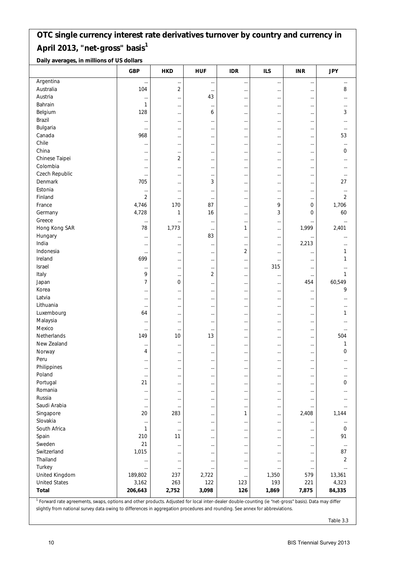**Daily averages, in millions of US dollars**

|                      | <b>GBP</b> | <b>HKD</b>           | <b>HUF</b>     | <b>IDR</b> | <b>ILS</b>           | <b>INR</b>           | <b>JPY</b> |
|----------------------|------------|----------------------|----------------|------------|----------------------|----------------------|------------|
| Argentina            | $\cdots$   |                      | $\cdots$       |            |                      |                      |            |
| Australia            | 104        | $\overline{2}$       | $\cdots$       | $\cdots$   | $\cdots$             | $\cdots$             | 8          |
| Austria              | $\cdots$   |                      | 43             | $\cdots$   | $\cdots$             | $\cdots$             |            |
| Bahrain              | 1          |                      | $\cdots$       |            | $\cdots$             | $\cdots$             |            |
| Belgium              | 128        | $\cdots$             | 6              | $\cdots$   | $\cdots$             | $\cdots$             | 3          |
| Brazil               | $\cdots$   | $\cdots$             | $\cdots$       | $\cdots$   | $\cdots$             | $\cdots$             |            |
| Bulgaria             |            | $\cdots$             | $\cdots$       | $\cdots$   |                      | $\cdots$             | $\cdots$   |
| Canada               | 968        | $\cdots$             | $\cdots$       | $\cdots$   | $\cdots$             | $\cdots$             | 53         |
| Chile                | $\cdots$   | $\cdots$             | $\cdots$       | $\cdots$   |                      | $\cdots$             | $\cdots$   |
| China                | $\cdots$   | $\cdots$             | $\cdots$       | $\cdots$   |                      | $\cdots$             | 0          |
| Chinese Taipei       | $\cdots$   | 2                    | $\cdots$       | $\cdots$   | $\cdots$             | $\cdots$             |            |
| Colombia             | $\cdots$   | $\cdots$             | $\cdots$       | $\cdots$   | $\cdots$             | $\cdots$             |            |
| Czech Republic       |            | $\cdots$             | $\cdots$       | $\cdots$   |                      | $\cdots$             |            |
| Denmark              | 705        | $\cdots$             | 3              | $\cdots$   | $\cdots$             | $\cdots$             | 27         |
| Estonia              | $\cdots$   | $\cdots$             | $\cdots$       | $\cdots$   | $\cdots$             | $\cdots$             | $\cdots$   |
| Finland              | $\sqrt{2}$ | $\cdots$             | $\ldots$       | $\cdots$   | $\cdots$             | $\cdots$             | 2          |
| France               | 4,746      | 170                  | 87             |            | 9                    | 0                    | 1,706      |
| Germany              | 4,728      | 1                    | 16             | $\cdots$   | 3                    | 0                    | 60         |
| Greece               |            |                      | $\ldots$       | $\cdots$   | $\cdots$             | $\cdots$             |            |
| Hong Kong SAR        | 78         | 1,773                | $\cdots$       | 1          | $\cdots$             | 1,999                | 2,401      |
| Hungary              | $\cdots$   | $\cdots$             | 83             | $\cdots$   | $\cdots$             | $\cdots$             |            |
| India                | $\cdots$   | $\cdots$             | $\cdots$       | $\cdots$   | $\cdots$             | 2,213                |            |
| Indonesia            | $\cdots$   |                      | $\ldots$       | 2          | $\cdots$             | $\cdots$             | 1          |
| Ireland              | 699        | $\cdots$             | $\cdots$       | $\cdots$   | $\cdots$             | $\cdots$             | 1          |
| Israel               | $\cdots$   | $\cdots$             | $\cdots$       | $\cdots$   | 315                  | $\cdots$             |            |
| Italy                | 9          |                      | $\overline{2}$ |            |                      | $\cdots$             | 1          |
| Japan                | 7          | 0                    | $\cdots$       | $\cdots$   | $\cdots$             | 454                  | 60,549     |
| Korea                | $\cdots$   | $\cdots$             | $\cdots$       | $\cdots$   | $\cdots$             | $\cdots$             | 9          |
| Latvia               |            |                      | $\cdots$       |            | $\cdots$             | $\cdots$             |            |
| Lithuania            | $\cdots$   | $\cdots$             | $\cdots$       | $\cdots$   | $\cdots$             | $\cdots$             |            |
| Luxembourg           | 64         | $\cdots$             | $\cdots$       | $\cdots$   | $\cdots$             | $\cdots$             | 1          |
| Malaysia             | $\cdots$   | $\cdots$             | $\cdots$       | $\cdots$   | $\cdots$             | $\cdots$             |            |
| Mexico               | $\cdots$   | $\cdots$             | $\cdots$       | $\cdots$   | $\cdots$             | $\cdots$             |            |
| Netherlands          | 149        | 10                   | 13             | $\cdots$   |                      | $\cdots$             | 504        |
| New Zealand          | $\cdots$   | $\cdots$             | $\cdots$       | $\cdots$   |                      | $\cdots$             | 1          |
| Norway               | 4          | $\cdots$             | $\cdots$       | $\cdots$   | $\cdots$             | $\cdots$             | 0          |
| Peru                 | $\cdots$   | $\cdots$             | $\cdots$       | $\cdots$   | $\cdots$             | $\cdots$             |            |
| Philippines          | $\cdots$   | $\cdots$             | $\cdots$       | $\cdots$   | $\cdots$             | $\cdots$             | $\cdots$   |
| Poland               | $\ldots$   |                      | $\ldots$       |            | $\cdots$             | $\cdots$             |            |
| Portugal             | 21         | $\cdots$             | $\cdots$       | $\cdots$   | $\cdots$             | $\cdots$             | 0          |
| Romania              | $\cdots$   | $\cdots$             | $\cdots$       | $\cdots$   | $\cdots$             | $\cdots$             |            |
| Russia               |            | $\cdots$             | $\ldots$       |            | $\cdots$             | $\cdots$             |            |
| Saudi Arabia         | $\cdots$   | $\cdots$             | $\cdots$       | $\cdots$   | $\cdots$             | $\cdots$             |            |
| Singapore            | 20         | 283                  | $\cdots$       | 1          | $\cdots$             | 2,408                | 1,144      |
| Slovakia             |            | $\cdots$             | $\cdots$       |            | $\cdots$             | $\ddotsc$            | $\ldots$   |
| South Africa         | 1          | $\cdots$             | $\cdots$       | $\cdots$   | $\cdots$             | $\ddotsc$            | 0          |
| Spain                | 210        | 11                   | $\cdots$       | $\cdots$   | $\cdots$             | $\cdots$             | 91         |
| Sweden               | 21         | $\cdots$             | $\ldots$       |            |                      |                      | $\cdots$   |
| Switzerland          | 1,015      |                      | $\cdots$       | $\cdots$   | $\cdots$<br>$\cdots$ | $\cdots$<br>$\cdots$ | 87         |
| Thailand             |            | $\cdots$<br>$\cdots$ | $\cdots$       | $\cdots$   | $\cdots$             | $\cdots$             | 2          |
| Turkey               |            | $\cdots$             | $\cdots$       |            | $\cdots$             | $\cdots$             | $\ldots$   |
| United Kingdom       | 189,802    | 237                  | 2,722          | $\cdots$   | 1,350                | 579                  | 13,361     |
| <b>United States</b> | 3,162      | 263                  | 122            | 123        | 193                  | 221                  | 4,323      |
| <b>Total</b>         | 206,643    | 2,752                | 3,098          | 126        | 1,869                | 7,875                | 84,335     |
|                      |            |                      |                |            |                      |                      |            |

<sup>1</sup> Forward rate agreements, swaps, options and other products. Adjusted for local inter-dealer double-counting (ie "net-gross" basis). Data may differ slightly from national survey data owing to differences in aggregation procedures and rounding. See annex for abbreviations.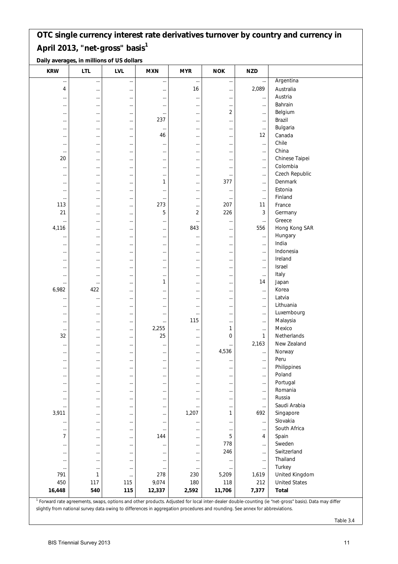**Daily averages, in millions of US dollars**

| <b>KRW</b>                 | <b>LTL</b>      | <b>LVL</b> | <b>MXN</b>      | <b>MYR</b> | <b>NOK</b>    | <b>NZD</b>     |                                                                                                                                                                  |
|----------------------------|-----------------|------------|-----------------|------------|---------------|----------------|------------------------------------------------------------------------------------------------------------------------------------------------------------------|
|                            |                 |            | $\ldots$        | $\cdots$   |               | $\cdots$       | Argentina                                                                                                                                                        |
| 4                          |                 |            |                 | 16         |               | 2,089          | Australia                                                                                                                                                        |
|                            | $\cdots$        | $\cdots$   | $\ldots$        |            | $\cdots$      |                | Austria                                                                                                                                                          |
| $\cdots$                   | $\cdots$        | $\cdots$   | $\cdots$        | $\cdots$   | $\cdots$      | $\ldots$       | Bahrain                                                                                                                                                          |
| $\cdots$                   | $\cdots$        | $\cdots$   | $\cdots$        | $\cdots$   | $\cdots$<br>2 | $\cdots$       | Belgium                                                                                                                                                          |
| $\cdots$                   | $\cdots$        |            | $\cdots$<br>237 | $\cdots$   |               | $\cdots$       | Brazil                                                                                                                                                           |
| $\cdots$                   | $\cdots$        | $\cdots$   |                 |            | $\cdots$      | $\ldots$       | Bulgaria                                                                                                                                                         |
| $\cdots$                   | $\cdots$        | $\cdots$   | $\ldots$<br>46  | $\cdots$   | $\cdots$      | $\ldots$<br>12 |                                                                                                                                                                  |
| $\cdots$                   | $\cdots$        |            |                 | $\cdots$   | $\cdots$      |                | Canada                                                                                                                                                           |
| $\cdots$                   | $\cdots$        | $\cdots$   | $\cdots$        | $\cdots$   | $\cdots$      | $\ldots$       | Chile                                                                                                                                                            |
| $\ldots$                   | $\cdots$        | $\cdots$   | $\ldots$        | $\cdots$   |               | $\ldots$       | China                                                                                                                                                            |
| 20                         | $\cdots$        |            | $\cdots$        | $\ddotsc$  | $\cdots$      | $\cdots$       | Chinese Taipei                                                                                                                                                   |
| $\cdots$                   | $\cdots$        | $\cdots$   | $\cdots$        | $\cdots$   | $\cdots$      | $\cdots$       | Colombia                                                                                                                                                         |
| $\cdots$                   | $\cdots$        | $\cdots$   | $\cdots$        | $\cdots$   | $\cdots$      | $\cdots$       | Czech Republic                                                                                                                                                   |
| $\cdots$                   | $\cdots$        | $\cdots$   | 1               |            | 377           | $\ldots$       | Denmark                                                                                                                                                          |
| $\cdots$                   | $\cdots$        |            | $\cdots$        | $\cdots$   |               | $\cdots$       | Estonia                                                                                                                                                          |
| $\ldots$                   | $\cdots$        | $\cdots$   | $\ldots$        | $\cdots$   | $\cdots$      | $\cdots$       | Finland                                                                                                                                                          |
| 113                        | $\cdots$        | $\cdots$   | 273             | $\cdots$   | 207           | 11             | France                                                                                                                                                           |
| 21                         | $\cdots$        |            | 5               | 2          | 226           | 3              | Germany                                                                                                                                                          |
| $\cdots$                   | $\cdots$        | $\cdots$   | $\cdots$        | $\cdots$   |               | $\cdots$       | Greece                                                                                                                                                           |
| 4,116                      | $\cdots$        | $\cdots$   | $\ldots$        | 843        |               | 556            | Hong Kong SAR                                                                                                                                                    |
| $\cdots$                   | $\cdots$        |            | $\cdots$        | $\cdots$   | $\cdots$      | $\ldots$       | Hungary                                                                                                                                                          |
| $\cdots$                   | $\cdots$        | $\cdots$   | $\cdots$        | $\cdots$   | $\cdots$      | $\cdots$       | India                                                                                                                                                            |
| $\cdots$                   | $\cdots$        |            | $\cdots$        | $\cdots$   | $\cdots$      | $\cdots$       | Indonesia                                                                                                                                                        |
| $\cdots$                   | $\cdots$        |            | $\cdots$        |            |               | $\cdots$       | Ireland                                                                                                                                                          |
|                            |                 |            |                 | $\cdots$   |               |                | Israel                                                                                                                                                           |
| $\cdots$                   | $\cdots$        | $\cdots$   | $\cdots$        | $\cdots$   | $\cdots$      | $\cdots$       | Italy                                                                                                                                                            |
| $\cdots$                   | $\cdots$        | $\cdots$   | $\cdots$<br>1   | $\cdots$   | $\cdots$      | $\cdots$<br>14 | Japan                                                                                                                                                            |
| $\cdots$<br>6,982          | $\cdots$<br>422 |            |                 | $\cdots$   |               |                |                                                                                                                                                                  |
|                            |                 | $\cdots$   | $\cdots$        | $\cdots$   |               | $\ldots$       | Korea                                                                                                                                                            |
| $\cdots$                   | $\cdots$        | $\cdots$   | $\cdots$        | $\cdots$   |               | $\cdots$       | Latvia                                                                                                                                                           |
| $\cdots$                   | $\cdots$        |            | $\cdots$        | $\cdots$   |               | $\cdots$       | Lithuania                                                                                                                                                        |
| $\cdots$                   | $\cdots$        | $\cdots$   | $\cdots$        | $\cdots$   | $\cdots$      | $\cdots$       | Luxembourg                                                                                                                                                       |
| $\cdots$                   | $\cdots$        | $\cdots$   | $\ldots$        | 115        |               | $\ldots$       | Malaysia                                                                                                                                                         |
| $\cdots$                   | $\cdots$        |            | 2,255           |            | 1             | $\cdots$       | Mexico                                                                                                                                                           |
| 32                         | $\cdots$        | $\cdots$   | 25              | $\cdots$   | 0             | $\mathbf{1}$   | Netherlands                                                                                                                                                      |
| $\cdots$                   | $\cdots$        | $\cdots$   | $\cdots$        | $\cdots$   | $\cdots$      | 2,163          | New Zealand                                                                                                                                                      |
| $\cdots$                   | $\cdots$        | $\cdots$   | $\cdots$        | $\cdots$   | 4,536         | $\cdots$       | Norway                                                                                                                                                           |
| $\cdots$                   | $\cdots$        | $\cdots$   | $\cdots$        | $\cdots$   | $\cdots$      | $\cdots$       | Peru                                                                                                                                                             |
| $\cdots$                   | $\cdots$        | $\cdots$   | $\cdots$        | $\ldots$   |               | $\cdots$       | Philippines                                                                                                                                                      |
| $\cdots$                   | $\cdots$        | $\cdots$   | $\cdots$        | $\cdots$   | $\cdots$      | $\cdots$       | Poland                                                                                                                                                           |
| $\cdots$                   | $\cdots$        |            | $\cdots$        | $\cdots$   | $\cdots$      | $\cdots$       | Portugal                                                                                                                                                         |
| $\cdots$                   | $\cdots$        | $\cdots$   | $\cdots$        | $\cdots$   |               | $\ldots$       | Romania                                                                                                                                                          |
| $\cdots$                   | $\cdots$        | $\cdots$   | $\ldots$        | $\cdots$   | $\cdots$      | $\cdots$       | Russia                                                                                                                                                           |
| $\cdots$                   | $\cdots$        |            | $\cdots$        | $\cdots$   | $\cdots$      | $\cdots$       | Saudi Arabia                                                                                                                                                     |
| 3,911                      | $\cdots$        | $\cdots$   | $\cdots$        | 1,207      | 1             | 692            | Singapore                                                                                                                                                        |
| $\ldots$                   | $\cdots$        | $\cdots$   | $\cdots$        | $\cdots$   | $\cdots$      | $\ldots$       | Slovakia                                                                                                                                                         |
|                            |                 |            |                 |            |               |                | South Africa                                                                                                                                                     |
| $\cdots$<br>$\overline{7}$ | $\cdots$        | $\cdots$   | $\cdots$<br>144 | $\cdots$   | $\cdots$<br>5 | $\ldots$<br>4  | Spain                                                                                                                                                            |
|                            | $\cdots$        | $\cdots$   |                 | $\cdots$   | 778           |                | Sweden                                                                                                                                                           |
| $\cdots$                   | $\cdots$        | $\cdots$   | $\cdots$        | $\cdots$   | 246           | $\cdots$       |                                                                                                                                                                  |
| $\cdots$                   | $\cdots$        |            | $\cdots$        | $\cdots$   |               | $\cdots$       | Switzerland                                                                                                                                                      |
| $\cdots$                   | $\cdots$        | $\cdots$   | $\cdots$        | $\cdots$   |               | $\cdots$       | Thailand                                                                                                                                                         |
| $\cdots$                   | $\cdots$        | $\cdots$   | $\ldots$        | $\cdots$   |               | $\ldots$       | Turkey                                                                                                                                                           |
| 791                        | 1               | $\cdots$   | 278             | 230        | 5,209         | 1,619          | United Kingdom                                                                                                                                                   |
| 450                        | 117             | 115        | 9,074           | 180        | 118           | 212            | <b>United States</b>                                                                                                                                             |
| 16,448                     | 540             | 115        | 12,337          | 2,592      | 11,706        | 7,377          | <b>Total</b>                                                                                                                                                     |
|                            |                 |            |                 |            |               |                | <sup>1</sup> Forward rate agreements, swaps, options and other products. Adjusted for local inter-dealer double-counting (ie "net-gross" basis). Data may differ |

slightly from national survey data owing to differences in aggregation procedures and rounding. See annex for abbreviations.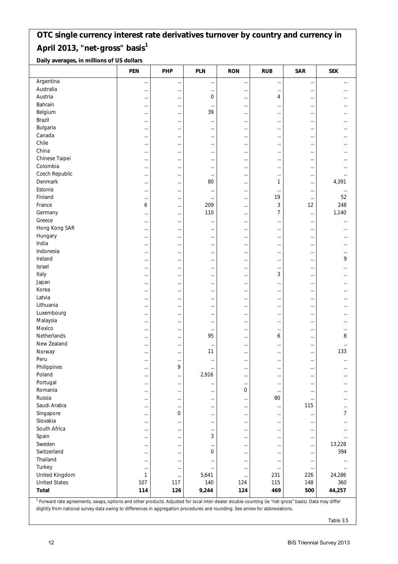**Daily averages, in millions of US dollars**

|                      | <b>PEN</b>    | PHP                  | <b>PLN</b>           | <b>RON</b>                   | <b>RUB</b>           | <b>SAR</b>      | <b>SEK</b>    |
|----------------------|---------------|----------------------|----------------------|------------------------------|----------------------|-----------------|---------------|
| Argentina            | $\cdots$      |                      | $\cdots$             | $\cdots$                     | $\cdots$             | $\cdots$        |               |
| Australia            | $\cdots$      | $\cdots$             | $\cdots$             | $\cdots$                     | $\cdots$             | $\cdots$        | $\cdots$      |
| Austria              | $\cdots$      | $\cdots$             | 0                    | $\cdots$                     | 4                    | $\cdots$        |               |
| Bahrain              | $\cdots$      | $\cdots$             | $\cdots$             | $\cdots$                     | $\cdots$             | $\cdots$        |               |
| Belgium              | $\cdots$      | $\cdots$             | 39                   | $\cdots$                     | $\cdots$             | $\cdots$        | $\cdots$      |
| Brazil               | $\cdots$      | $\cdots$             |                      | $\cdots$                     | $\cdots$             | $\cdots$        |               |
| Bulgaria             | $\cdots$      | $\cdots$             | $\cdots$             | $\cdots$                     | $\cdots$             | $\cdots$        |               |
| Canada               | $\cdots$      | $\cdots$             | $\cdots$             | $\cdots$                     | $\cdots$             | $\cdots$        | $\cdots$      |
| Chile                | $\cdots$      | $\cdots$             | $\cdots$             | $\cdots$                     | $\cdots$             | $\cdots$        |               |
| China                |               | $\cdots$             | $\cdots$             | $\cdots$                     | $\cdots$             | $\cdots$        |               |
| Chinese Taipei       | $\cdots$      | $\cdots$             | $\cdots$             | $\cdots$                     | $\cdots$             | $\cdots$        | $\cdots$      |
| Colombia             | $\cdots$      | $\cdots$             | $\cdots$             | $\cdots$                     |                      |                 |               |
| Czech Republic       | $\cdots$      | $\cdots$             | $\cdots$             | $\cdots$                     | $\cdots$             | $\cdots$        | $\cdots$      |
| Denmark              | $\cdots$      | $\cdots$             | 80                   | $\cdots$                     | 1                    | $\cdots$        | 4,391         |
| Estonia              | $\cdots$      |                      | $\cdots$             | $\cdots$                     |                      | $\ldots$        |               |
| Finland              | $\cdots$      | $\cdots$             | $\cdots$             | $\cdots$                     | 19                   | $\cdots$        | 52            |
| France               | 6             | $\cdots$             | 209                  | $\cdots$                     | 3                    | 12              | 248           |
| Germany              | $\ddots$      |                      | 110                  | $\cdots$                     | $\overline{7}$       | $\ldots$        | 1,140         |
| Greece               |               | $\cdots$             | $\cdots$             | $\cdots$                     | $\cdots$             |                 |               |
| Hong Kong SAR        | $\cdots$      | $\cdots$             | $\cdots$             | $\cdots$                     | $\cdots$             |                 |               |
| Hungary              |               |                      |                      | $\cdots$                     | $\cdots$             |                 |               |
| India                | $\cdots$      | $\cdots$             |                      |                              |                      |                 | $\cdots$      |
| Indonesia            | <br>$\cdots$  | $\cdots$<br>$\cdots$ | $\cdots$<br>$\cdots$ | $\cdots$<br>$\cdots$         | $\cdots$<br>$\cdots$ | <br>$\cdots$    | <br>          |
| Ireland              |               |                      |                      | $\cdots$                     | $\cdots$             | $\cdots$        | 9             |
| Israel               | $\cdots$      | $\cdots$             |                      |                              |                      | $\cdots$        |               |
| Italy                |               | $\cdots$<br>$\cdots$ | $\cdots$             | $\cdots$                     | $\cdots$<br>3        |                 | $\cdots$      |
| Japan                | $\cdots$      |                      | $\cdots$             | $\cdots$                     |                      | $\cdots$        |               |
| Korea                | $\cdots$      | $\cdots$             | $\cdots$             | $\cdots$                     | $\cdots$             | $\cdots$        | $\cdots$      |
| Latvia               | $\cdots$      | $\cdots$             |                      | $\cdots$                     | $\cdots$             | $\cdots$        | $\cdots$      |
| Lithuania            | $\cdots$      | $\cdots$             | $\cdots$             | $\cdots$                     | $\cdots$             | $\cdots$        |               |
| Luxembourg           | $\cdots$      | $\cdots$             | $\cdots$             | $\cdots$                     | $\cdots$             | $\cdots$        | $\cdots$      |
| Malaysia             | $\cdots$      | $\cdots$             | $\cdots$             | $\cdots$                     | $\cdots$             | $\cdots$        | $\cdots$      |
| Mexico               | $\cdots$      | $\cdots$             | $\cdots$             | $\cdots$                     | $\cdots$             |                 |               |
| Netherlands          | $\cdots$      | $\cdots$             | $\cdots$<br>95       | $\cdots$                     | $\cdots$<br>6        | $\cdots$        | $\cdots$<br>8 |
| New Zealand          | $\cdots$      | $\cdots$             |                      | $\cdots$                     |                      | $\cdots$        |               |
| Norway               |               | $\cdots$             | $\cdots$<br>11       | $\cdots$                     | $\cdots$             | $\cdots$        | <br>133       |
| Peru                 | $\cdots$      | $\cdots$             |                      | $\cdots$                     | $\cdots$             | $\cdots$        |               |
| Philippines          | $\cdots$      | $\cdots$<br>9        | $\cdots$             | $\cdots$                     |                      | $\ldots$        |               |
| Poland               | $\cdots$      |                      | <br>2,916            | $\cdots$                     | $\cdots$             | $\cdots$        | $\cdots$      |
| Portugal             | $\cdots$      | $\cdots$             |                      | $\cdots$                     | $\cdots$             | $\cdots$        |               |
| Romania              | $\cdots$      | $\ldots$             |                      | $\cdots$<br>$\boldsymbol{0}$ | $\cdots$             | $\cdots$        |               |
| Russia               | $\cdots$      | $\cdots$             | $\cdots$             |                              | $\cdots$<br>80       | $\cdots$        |               |
| Saudi Arabia         | $\cdots$      | $\cdots$             | $\cdots$             | $\cdots$                     |                      | $\cdots$        |               |
| Singapore            | $\cdots$      | $\cdots$<br>0        | $\cdots$             | $\cdots$                     | $\cdots$             | 115             | <br>7         |
| Slovakia             | $\cdots$      |                      | $\cdots$             | $\cdots$                     | $\cdots$             | $\cdots$        |               |
| South Africa         | $\cdots$      | $\cdots$             | $\cdots$             | $\cdots$                     | $\cdots$             | $\cdots$        | $\cdots$      |
|                      | $\cdots$      | $\cdots$             | $\cdots$             | $\cdots$                     | $\cdots$             | $\cdots$        | $\cdots$      |
| Spain<br>Sweden      | $\cdots$      | $\cdots$             | 3                    | $\cdots$                     | $\cdots$             | $\cdots$        |               |
| Switzerland          | $\cdots$      | $\cdots$             | $\cdots$             | $\cdots$                     | $\cdots$             | $\cdots$        | 13,228<br>394 |
|                      | $\cdots$      | $\cdots$             | 0                    | $\cdots$                     | $\cdots$             | $\ldots$        |               |
| Thailand<br>Turkey   | $\cdots$      | $\cdots$             |                      | $\cdots$                     |                      | $\cdots$        |               |
| United Kingdom       | $\cdots$<br>1 | $\cdots$             | $\cdots$<br>5,641    | $\ldots$                     | $\cdots$<br>231      | $\cdots$<br>226 | <br>24,286    |
| <b>United States</b> | 107           | $\cdots$<br>117      | 140                  | $\cdots$<br>124              | 115                  | 148             | 360           |
| Total                | 114           | 126                  | 9,244                | 124                          | 469                  | 500             | 44,257        |
|                      |               |                      |                      |                              |                      |                 |               |

<sup>1</sup> Forward rate agreements, swaps, options and other products. Adjusted for local inter-dealer double-counting (ie "net-gross" basis). Data may differ slightly from national survey data owing to differences in aggregation procedures and rounding. See annex for abbreviations.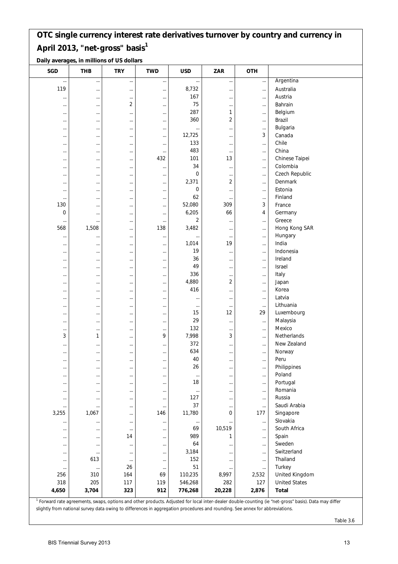**Daily averages, in millions of US dollars**

| <b>SGD</b> | <b>THB</b> | <b>TRY</b>     | <b>TWD</b> | <b>USD</b>     | ZAR      | <b>OTH</b> |                                                                                                                                                                  |
|------------|------------|----------------|------------|----------------|----------|------------|------------------------------------------------------------------------------------------------------------------------------------------------------------------|
| $\cdots$   |            | $\cdots$       | $\cdots$   |                |          | $\cdots$   | Argentina                                                                                                                                                        |
| 119        | $\cdots$   | $\cdots$       | $\ldots$   | 8,732          |          | $\cdots$   | Australia                                                                                                                                                        |
| $\cdots$   | $\cdots$   | $\cdots$       | $\cdots$   | 167            |          | $\cdots$   | Austria                                                                                                                                                          |
| $\cdots$   | $\cdots$   | $\overline{2}$ | $\cdots$   | 75             | $\cdots$ | $\cdots$   | Bahrain                                                                                                                                                          |
| $\cdots$   | $\cdots$   |                | $\cdots$   | 287            | 1        | $\cdots$   | Belgium                                                                                                                                                          |
| $\cdots$   | $\cdots$   | $\cdots$       | $\cdots$   | 360            | 2        | $\cdots$   | Brazil                                                                                                                                                           |
| $\cdots$   | $\cdots$   | $\cdots$       | $\cdots$   | $\cdots$       |          | $\cdots$   | Bulgaria                                                                                                                                                         |
| $\cdots$   | $\cdots$   | $\cdots$       | $\cdots$   | 12,725         |          | 3          | Canada                                                                                                                                                           |
| $\cdots$   | $\cdots$   |                | $\cdots$   | 133            | $\cdots$ | $\ldots$   | Chile                                                                                                                                                            |
| $\cdots$   | $\cdots$   | $\cdots$       | $\cdots$   | 483            | $\cdots$ | $\ldots$   | China                                                                                                                                                            |
| $\cdots$   | $\cdots$   | $\cdots$       | 432        | 101            | 13       | $\cdots$   | Chinese Taipei                                                                                                                                                   |
|            | $\cdots$   |                | $\cdots$   | 34             | $\cdots$ | $\cdots$   | Colombia                                                                                                                                                         |
| $\cdots$   | $\cdots$   | $\cdots$       | $\cdots$   | 0              |          | $\cdots$   | Czech Republic                                                                                                                                                   |
| $\cdots$   | $\cdots$   | $\cdots$       | $\cdots$   | 2,371          | 2        | $\ldots$   | Denmark                                                                                                                                                          |
| $\cdots$   | $\cdots$   |                | $\ldots$   | 0              |          | $\cdots$   | Estonia                                                                                                                                                          |
| $\cdots$   | $\cdots$   | $\cdots$       | $\cdots$   | 62             | $\cdots$ | $\cdots$   | Finland                                                                                                                                                          |
| 130        | $\cdots$   |                | $\cdots$   | 52,080         | 309      | 3          | France                                                                                                                                                           |
| 0          | $\cdots$   |                | $\cdots$   | 6,205          | 66       | 4          | Germany                                                                                                                                                          |
| $\cdots$   | $\cdots$   |                | $\cdots$   | $\overline{2}$ | $\cdots$ | $\ldots$   | Greece                                                                                                                                                           |
| 568        | 1,508      | $\cdots$       | 138        | 3,482          | $\cdots$ | $\ldots$   | Hong Kong SAR                                                                                                                                                    |
| $\cdots$   | $\cdots$   | $\cdots$       | $\ldots$   | $\ddotsc$      | $\cdots$ | $\ldots$   | Hungary                                                                                                                                                          |
| $\cdots$   | $\cdots$   |                | $\cdots$   | 1,014          | 19       | $\cdots$   | India                                                                                                                                                            |
| $\cdots$   | $\cdots$   |                | $\cdots$   | 19             |          | $\cdots$   | Indonesia                                                                                                                                                        |
| $\cdots$   | $\cdots$   |                | $\cdots$   | 36             |          | $\cdots$   | Ireland                                                                                                                                                          |
|            | $\cdots$   |                | $\cdots$   | 49             |          | $\cdots$   | Israel                                                                                                                                                           |
| $\cdots$   | $\cdots$   | $\cdots$       | $\cdots$   | 336            | $\cdots$ | $\cdots$   | Italy                                                                                                                                                            |
| $\cdots$   | $\cdots$   | $\cdots$       | $\ldots$   | 4,880          | 2        | $\ldots$   | Japan                                                                                                                                                            |
| $\cdots$   | $\cdots$   |                | $\cdots$   | 416            |          | $\cdots$   | Korea                                                                                                                                                            |
| $\cdots$   | $\cdots$   | $\cdots$       | $\cdots$   | $\cdots$       | $\cdots$ | $\cdots$   | Latvia                                                                                                                                                           |
| $\cdots$   | $\cdots$   |                | $\cdots$   | $\cdots$       | $\cdots$ | $\cdots$   | Lithuania                                                                                                                                                        |
| $\cdots$   | $\cdots$   |                | $\cdots$   | 15             | 12       | 29         | Luxembourg                                                                                                                                                       |
| $\cdots$   | $\cdots$   |                | $\cdots$   | 29             | $\cdots$ | $\ldots$   | Malaysia                                                                                                                                                         |
| $\cdots$   | $\cdots$   | $\cdots$       | $\ldots$   | 132            |          | $\ldots$   | Mexico                                                                                                                                                           |
| 3          | 1          |                | 9          | 7,998          | 3        | $\cdots$   | Netherlands                                                                                                                                                      |
| $\cdots$   | $\cdots$   | $\cdots$       | $\cdots$   | 372            | $\cdots$ | $\cdots$   | New Zealand                                                                                                                                                      |
| $\cdots$   | $\cdots$   | $\cdots$       | $\cdots$   | 634            |          | $\cdots$   | Norway                                                                                                                                                           |
| $\cdots$   | $\cdots$   |                | $\cdots$   | 40             | $\cdots$ | $\ldots$   | Peru                                                                                                                                                             |
| $\cdots$   | $\cdots$   | $\cdots$       | $\ldots$   | 26             |          | $\cdots$   | Philippines                                                                                                                                                      |
| $\cdots$   | $\cdots$   | $\cdots$       | $\cdots$   | $\cdots$       | $\cdots$ | $\cdots$   | Poland                                                                                                                                                           |
| $\cdots$   | $\cdots$   | $\cdots$       | $\ldots$   | 18             | $\cdots$ | $\ldots$   | Portugal                                                                                                                                                         |
| $\cdots$   | $\cdots$   | $\cdots$       | $\cdots$   | $\cdots$       |          | $\cdots$   | Romania                                                                                                                                                          |
| $\cdots$   | $\cdots$   | $\cdots$       | $\cdots$   | 127            | $\cdots$ | $\cdots$   | Russia                                                                                                                                                           |
| $\cdots$   |            | $\cdots$       | $\ldots$   | 37             |          | $\cdots$   | Saudi Arabia                                                                                                                                                     |
| 3,255      | 1,067      | $\cdots$       | 146        | 11,780         | 0        | 177        | Singapore                                                                                                                                                        |
| $\ldots$   | $\cdots$   | $\cdots$       | $\cdots$   | $\ldots$       |          | $\cdots$   | Slovakia                                                                                                                                                         |
| $\ldots$   |            |                | $\ldots$   | 69             | 10,519   | $\cdots$   | South Africa                                                                                                                                                     |
| $\cdots$   | $\cdots$   | 14             | $\cdots$   | 989            | 1        | $\cdots$   | Spain                                                                                                                                                            |
| $\cdots$   | $\cdots$   | $\cdots$       | $\cdots$   | 64             | $\cdots$ | $\cdots$   | Sweden                                                                                                                                                           |
| $\cdots$   | $\cdots$   |                | $\ldots$   | 3,184          |          | $\cdots$   | Switzerland                                                                                                                                                      |
| $\cdots$   | 613        | $\cdots$       | $\cdots$   | 152            | $\cdots$ | $\ldots$   | Thailand                                                                                                                                                         |
| $\cdots$   | $\cdots$   | 26             | $\cdots$   | 51             | $\cdots$ | $\ldots$   | Turkey                                                                                                                                                           |
| 256        | 310        | 164            | 69         | 110,235        | 8,997    | 2,532      | United Kingdom                                                                                                                                                   |
| 318        | 205        | 117            | 119        | 546,268        | 282      | 127        | <b>United States</b>                                                                                                                                             |
| 4,650      | 3,704      | 323            | 912        | 776,268        | 20,228   | 2,876      | <b>Total</b>                                                                                                                                                     |
|            |            |                |            |                |          |            | <sup>1</sup> Forward rate agreements, swaps, options and other products. Adjusted for local inter-dealer double-counting (ie "net-gross" basis). Data may differ |

 Forward rate agreements, swaps, options and other products. Adjusted for local inter-dealer double-counting (ie "net-gross" basis). Data may differ slightly from national survey data owing to differences in aggregation procedures and rounding. See annex for abbreviations.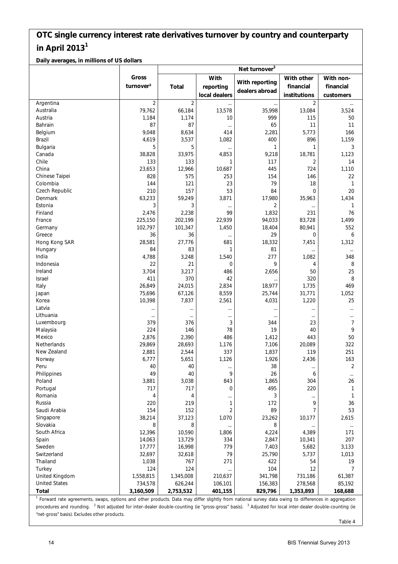**Daily averages, in millions of US dollars**

|                      |                       |                |               | Net turnover <sup>3</sup> |                |                |
|----------------------|-----------------------|----------------|---------------|---------------------------|----------------|----------------|
|                      | Gross                 |                | With          |                           | With other     | With non-      |
|                      | turnover <sup>2</sup> | <b>Total</b>   | reporting     | With reporting            | financial      | financial      |
|                      |                       |                | local dealers | dealers abroad            | institutions   | customers      |
| Argentina            | 2                     | $\overline{2}$ |               |                           | $\overline{2}$ |                |
| Australia            | 79,762                | 66,184         | 13,578        | 35,998                    | 13,084         | 3,524          |
| Austria              | 1,184                 | 1,174          | 10            | 999                       | 115            | 50             |
| Bahrain              | 87                    | 87             | $\cdots$      | 65                        | 11             | 11             |
| Belgium              | 9,048                 | 8,634          | 414           | 2,281                     | 5,773          | 166            |
| Brazil               | 4,619                 | 3,537          | 1,082         | 400                       | 896            | 1,159          |
| Bulgaria             | 5                     | 5              |               | 1                         | 1              | 3              |
| Canada               | 38,828                | 33,975         | 4,853         | 9,218                     | 18,781         | 1,123          |
| Chile                | 133                   | 133            | 1             | 117                       | 2              | 14             |
| China                | 23,653                | 12,966         | 10,687        | 445                       | 724            | 1,110          |
| Chinese Taipei       | 828                   | 575            | 253           | 154                       | 146            | 22             |
| Colombia             | 144                   | 121            | 23            | 79                        | 18             | $\mathbf{1}$   |
| Czech Republic       | 210                   | 157            | 53            | 84                        | $\overline{0}$ | 20             |
| Denmark              | 63,233                | 59,249         | 3,871         | 17,980                    | 35,963         | 1,434          |
| Estonia              | 3                     | 3              | $\cdots$      | 2                         |                | 1              |
| Finland              | 2,476                 | 2,238          | 99            | 1,832                     | 231            | 76             |
| France               | 225,150               | 202,199        | 22,939        | 94,033                    | 83,728         | 1,499          |
| Germany              | 102,797               | 101,347        | 1,450         | 18,404                    | 80,941         | 552            |
| Greece               | 36                    | 36             | $\cdots$      | 29                        | 0              | 6              |
| Hong Kong SAR        | 28,581                | 27,776         | 681           | 18,332                    | 7,451          | 1,312          |
| Hungary              | 84                    | 83             | 1             | 81                        | $\cdots$       | $\ldots$       |
| India                | 4,788                 | 3,248          | 1,540         | 277                       | 1,082          | 348            |
| Indonesia            | 22                    | 21             | 0             | 9                         | 4              | 8              |
| Ireland              | 3,704                 | 3,217          | 486           | 2,656                     | 50             | 25             |
| Israel               | 411                   | 370            | 42            |                           | 320            | 8              |
| Italy                | 26,849                | 24,015         | 2,834         | 18,977                    | 1,735          | 469            |
| Japan                | 75,696                | 67,126         | 8,559         | 25,744                    | 31,771         | 1,052          |
| Korea                | 10,398                | 7,837          | 2,561         | 4,031                     | 1,220          | 25             |
| Latvia               | $\cdots$              |                |               |                           | $\cdots$       | $\cdots$       |
| Lithuania            | $\cdots$              | $\cdots$       | $\cdots$      | $\cdots$                  | $\cdots$       |                |
| Luxembourg           | 379                   | 376            | 3             | 344                       | 23             | $\overline{7}$ |
| Malaysia             | 224                   | 146            | 78            | 19                        | 40             | 9              |
| Mexico               | 2,876                 | 2,390          | 486           | 1,412                     | 443            | 50             |
| Netherlands          | 29,869                | 28,693         | 1,176         | 7,106                     | 20,089         | 322            |
| New Zealand          | 2,881                 | 2,544          | 337           | 1,837                     | 119            | 251            |
| Norway               | 6,777                 | 5,651          | 1,126         | 1,926                     | 2,436          | 163            |
| Peru                 | 40                    | 40             | $\cdots$      | 38                        | $\cdots$       | $\overline{2}$ |
| Philippines          | 49                    | 40             | 9             | 26                        | 6              | $\cdots$       |
| Poland               | 3,881                 | 3,038          | 843           | 1,865                     | 304            | 26             |
| Portugal             | 717                   | 717            | 0             | 495                       | 220            | 1              |
| Romania              | 4                     | 4              |               | 3                         | $\cdots$       | $\mathbf{1}$   |
| Russia               | 220                   | 219            | 1             | 172                       | 9              | 36             |
| Saudi Arabia         | 154                   | 152            | 2             | 89                        | 7              | 53             |
| Singapore            | 38,214                | 37,123         | 1,070         | 23,262                    | 10,177         | 2,615          |
| Slovakia             | 8                     | 8              |               | 8                         |                | $\ldots$       |
| South Africa         | 12,396                | 10,590         | 1,806         | 4,224                     | 4,389          | 171            |
| Spain                | 14,063                | 13,729         | 334           | 2,847                     | 10,341         | 207            |
| Sweden               | 17,777                | 16,998         | 779           | 7,403                     | 5,682          | 3,133          |
| Switzerland          | 32,697                | 32,618         | 79            | 25,790                    | 5,737          | 1,013          |
| Thailand             | 1,038                 | 767            | 271           | 422                       | 54             | 19             |
| Turkey               | 124                   | 124            |               | 104                       | 12             | 7              |
| United Kingdom       | 1,558,815             | 1,345,008      | 210,637       | 341,798                   | 731,186        | 61,387         |
| <b>United States</b> | 734,578               | 626,244        | 106,101       | 156,383                   | 278,568        | 85,192         |
| <b>Total</b>         | 3,160,509             | 2,753,532      | 401,155       | 829,796                   | 1,353,893      | 168,688        |

procedures and rounding. <sup>2</sup> Not adjusted for inter-dealer double-counting (ie "gross-gross" basis). <sup>3</sup> Adjusted for local inter-dealer double-counting (ie "net-gross" basis). Excludes other products.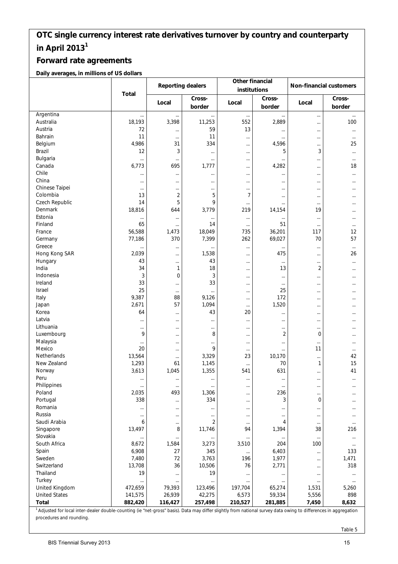#### **Forward rate agreements**

**Daily averages, in millions of US dollars**

|                                                                                                                                                                             |              | <b>Reporting dealers</b> |                  | Other financial<br>institutions |                  | <b>Non-financial customers</b> |                  |  |
|-----------------------------------------------------------------------------------------------------------------------------------------------------------------------------|--------------|--------------------------|------------------|---------------------------------|------------------|--------------------------------|------------------|--|
|                                                                                                                                                                             | <b>Total</b> | Local                    | Cross-<br>border | Local                           | Cross-<br>border | Local                          | Cross-<br>border |  |
| Argentina                                                                                                                                                                   |              | $\cdots$                 |                  | $\cdots$                        | $\cdots$         | $\cdots$                       | $\cdots$         |  |
| Australia                                                                                                                                                                   | 18,193       | 3,398                    | 11,253           | 552                             | 2,889            | $\cdots$                       | 100              |  |
| Austria                                                                                                                                                                     | 72           | $\cdots$                 | 59               | 13                              | $\cdots$         | $\cdots$                       | $\ldots$         |  |
| Bahrain                                                                                                                                                                     | 11           | $\cdots$                 | 11               | $\cdots$                        | $\cdots$         | $\cdots$                       | $\cdots$         |  |
| Belgium                                                                                                                                                                     | 4,986        | 31                       | 334              | $\cdots$                        | 4,596            | $\cdots$                       | 25               |  |
| Brazil                                                                                                                                                                      | 12           | 3                        | $\cdots$         |                                 | 5                | 3                              | $\cdots$         |  |
| Bulgaria                                                                                                                                                                    |              | $\ldots$                 |                  |                                 | $\cdots$         | $\cdots$                       | $\cdots$         |  |
| Canada                                                                                                                                                                      | 6,773        | 695                      | 1,777            | $\cdots$                        | 4,282            | $\cdots$                       | 18               |  |
| Chile                                                                                                                                                                       |              | $\cdots$                 |                  |                                 | $\cdots$         | $\cdots$                       | $\cdots$         |  |
| China                                                                                                                                                                       |              | $\cdots$                 | $\cdots$         | $\cdots$                        | $\cdots$         | $\cdots$                       | $\cdots$         |  |
| Chinese Taipei                                                                                                                                                              | $\cdots$     | $\cdots$                 | $\cdots$         |                                 | $\cdots$         | $\cdots$                       | $\cdots$         |  |
| Colombia                                                                                                                                                                    | 13           | $\overline{c}$           | 5                | 7                               | $\cdots$         | $\cdots$                       | $\cdots$         |  |
| Czech Republic                                                                                                                                                              | 14           | 5                        | 9                | $\cdots$                        | $\cdots$         | $\cdots$                       | $\cdots$         |  |
| Denmark                                                                                                                                                                     | 18,816       | 644                      | 3,779            | 219                             | 14,154           | 19                             | $\cdots$         |  |
| Estonia                                                                                                                                                                     |              | $\cdots$                 |                  | $\ldots$                        | $\cdots$         | $\ldots$                       | $\cdots$         |  |
| Finland                                                                                                                                                                     | 65           | $\cdots$                 | 14               | $\cdots$                        | 51               | $\cdots$                       | $\cdots$         |  |
| France                                                                                                                                                                      | 56,588       | 1,473                    | 18,049           | 735                             | 36,201           | 117                            | 12               |  |
| Germany                                                                                                                                                                     | 77,186       | 370                      | 7,399            | 262                             | 69,027           | 70                             | 57               |  |
| Greece                                                                                                                                                                      |              | $\cdots$                 | $\cdots$         | $\cdots$                        | $\cdots$         | $\cdots$                       | $\cdots$         |  |
| Hong Kong SAR                                                                                                                                                               | 2,039        | $\ldots$                 | 1,538            | $\cdots$                        | 475              | $\cdots$                       | 26               |  |
| Hungary                                                                                                                                                                     | 43           | $\cdots$                 | 43               | $\cdots$                        | $\cdots$         | $\cdots$                       | $\cdots$         |  |
| India                                                                                                                                                                       | 34           | 1                        | 18               | $\cdots$                        | 13               | 2                              | $\cdots$         |  |
| Indonesia                                                                                                                                                                   | 3            | $\overline{0}$           | 3                |                                 | $\cdots$         | $\cdots$                       | $\cdots$         |  |
| Ireland                                                                                                                                                                     | 33           | $\cdots$                 | 33               | $\cdots$                        | $\cdots$         | $\cdots$                       | $\cdots$         |  |
| Israel                                                                                                                                                                      | 25           | $\cdots$                 | $\cdots$         | $\cdots$                        | 25               | $\cdots$                       | $\cdots$         |  |
| Italy                                                                                                                                                                       | 9,387        | 88                       | 9,126            | $\cdots$                        | 172              | $\cdots$                       | $\cdots$         |  |
| Japan                                                                                                                                                                       | 2,671        | 57                       | 1,094            | $\cdots$                        | 1,520            | $\cdots$                       | $\cdots$         |  |
| Korea                                                                                                                                                                       | 64           | $\cdots$                 | 43               | 20                              | $\cdots$         | $\cdots$                       | $\cdots$         |  |
| Latvia                                                                                                                                                                      |              | $\cdots$                 | $\cdots$         |                                 | $\cdots$         |                                | $\cdots$         |  |
| Lithuania                                                                                                                                                                   |              | $\cdots$                 | $\cdots$         | $\cdots$                        | $\cdots$         | $\cdots$                       | $\cdots$         |  |
| Luxembourg                                                                                                                                                                  | 9            | $\cdots$                 | 8                | $\cdots$                        | $\overline{2}$   | 0                              | $\cdots$         |  |
| Malaysia                                                                                                                                                                    | $\cdots$     | $\cdots$                 | $\cdots$         | $\cdots$                        | $\cdots$         | $\cdots$                       | $\cdots$         |  |
| Mexico                                                                                                                                                                      | 20           | $\cdots$                 | 9                | $\cdots$                        | $\cdots$         | 11                             | $\cdots$         |  |
| Netherlands                                                                                                                                                                 | 13,564       | $\ldots$                 | 3,329            | 23                              | 10,170           |                                | 42               |  |
| New Zealand                                                                                                                                                                 | 1,293        | 61                       | 1,145            |                                 | 70               | 1                              | 15               |  |
| Norway                                                                                                                                                                      | 3,613        | 1,045                    | 1,355            | 541                             | 631              | $\cdots$                       | 41               |  |
| Peru                                                                                                                                                                        | $\cdots$     | $\cdots$                 | $\cdots$         | $\cdots$                        | $\cdots$         | $\cdots$                       | $\cdots$         |  |
| Philippines                                                                                                                                                                 |              | $\cdots$                 | $\cdots$         |                                 | $\cdots$         | $\cdots$                       | $\cdots$         |  |
| Poland                                                                                                                                                                      | 2,035        | 493                      | 1,306            | $\cdots$                        | 236              | $\cdots$                       | $\cdots$         |  |
| Portugal                                                                                                                                                                    | 338          | $\cdots$                 | 334              | $\cdots$                        | 3                | 0                              | $\cdots$         |  |
| Romania                                                                                                                                                                     |              | $\cdots$                 |                  | $\cdots$                        |                  | $\cdots$                       | $\cdots$         |  |
| Russia                                                                                                                                                                      | $\cdots$     | $\cdots$                 | $\cdots$         | $\cdots$                        | $\cdots$         | $\cdots$                       | $\cdots$         |  |
| Saudi Arabia                                                                                                                                                                | 6            | $\cdots$                 | $\overline{2}$   | $\cdots$                        | 4                | $\cdots$                       | $\cdots$         |  |
| Singapore                                                                                                                                                                   | 13,497       | 8                        | 11,746           | 94                              | 1,394            | 38                             | 216              |  |
| Slovakia                                                                                                                                                                    |              | $\cdots$                 | $\cdots$         |                                 | $\cdots$         | $\ldots$                       | $\ldots$         |  |
| South Africa                                                                                                                                                                | 8,672        | 1,584                    | 3,273            | 3,510                           | 204              | 100                            | $\ldots$         |  |
| Spain                                                                                                                                                                       | 6,908        | 27                       | 345              | $\cdots$                        | 6,403            | $\ldots$                       | 133              |  |
| Sweden                                                                                                                                                                      | 7,480        | 72                       | 3,763            | 196                             | 1,977            | $\cdots$                       | 1,471            |  |
| Switzerland                                                                                                                                                                 | 13,708       | 36                       | 10,506           | 76                              | 2,771            | $\cdots$                       | 318              |  |
| Thailand                                                                                                                                                                    | 19           | $\cdots$                 | 19               | $\cdots$                        | $\cdots$         | $\cdots$                       | $\cdots$         |  |
| Turkey                                                                                                                                                                      |              | $\cdots$                 |                  | $\cdots$                        | $\cdots$         | $\cdots$                       | $\cdots$         |  |
| United Kingdom                                                                                                                                                              | 472,659      | 79,393                   | 123,496          | 197,704                         | 65,274           | 1,531                          | 5,260            |  |
| <b>United States</b>                                                                                                                                                        | 141,575      | 26,939                   | 42,275           | 6,573                           | 59,334           | 5,556                          | 898              |  |
| Total                                                                                                                                                                       | 882,420      | 116,427                  | 257,498          | 210,527                         | 281,885          | 7,450                          | 8,632            |  |
| <sup>1</sup> Adjusted for local inter-dealer double-counting (ie "net-gross" basis). Data may differ slightly from national survey data owing to differences in aggregation |              |                          |                  |                                 |                  |                                |                  |  |

procedures and rounding.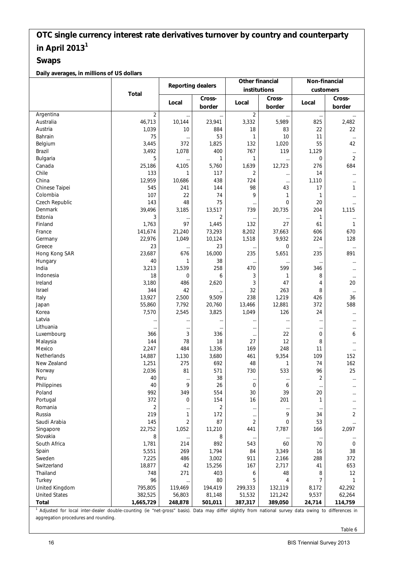#### **Swaps**

**Daily averages, in millions of US dollars**

|                                                                                                                                                                 |                | Other financial<br><b>Reporting dealers</b> |                | Non-financial<br>customers<br>Cross-<br>Local<br><br>825<br>22<br>11<br>55<br>1,129<br>0<br>276<br>14<br>1,110<br>17<br>1<br>20<br>204<br>1,115<br>1<br>61<br>606<br>224<br>$\cdots$<br>235<br>$\cdots$<br>346<br>8<br>4<br>8<br>426<br>372<br>24<br><br>$\cdots$<br>0<br>8<br>11<br>109<br>74<br>96<br>2<br>$\cdots$<br>20<br>1<br>$\ddotsc$<br>34<br>53<br>166<br><br>70<br>16<br>288<br>41<br>8<br>7<br>8,172<br>9,537<br>24,714 |                |  |                |
|-----------------------------------------------------------------------------------------------------------------------------------------------------------------|----------------|---------------------------------------------|----------------|-------------------------------------------------------------------------------------------------------------------------------------------------------------------------------------------------------------------------------------------------------------------------------------------------------------------------------------------------------------------------------------------------------------------------------------|----------------|--|----------------|
|                                                                                                                                                                 | <b>Total</b>   |                                             |                | institutions                                                                                                                                                                                                                                                                                                                                                                                                                        |                |  |                |
|                                                                                                                                                                 |                |                                             | Cross-         |                                                                                                                                                                                                                                                                                                                                                                                                                                     | Cross-         |  |                |
|                                                                                                                                                                 |                | Local                                       | border         | Local                                                                                                                                                                                                                                                                                                                                                                                                                               | border         |  | border         |
| Argentina                                                                                                                                                       | $\overline{2}$ |                                             | $\cdots$       | 2                                                                                                                                                                                                                                                                                                                                                                                                                                   |                |  |                |
| Australia                                                                                                                                                       | 46,713         | 10,144                                      | 23,941         | 3,332                                                                                                                                                                                                                                                                                                                                                                                                                               | 5,989          |  | 2,482          |
| Austria                                                                                                                                                         | 1,039          | 10                                          | 884            | 18                                                                                                                                                                                                                                                                                                                                                                                                                                  | 83             |  | 22             |
| Bahrain                                                                                                                                                         | 75             | $\cdots$                                    | 53             | 1                                                                                                                                                                                                                                                                                                                                                                                                                                   | 10             |  | $\ldots$       |
| Belgium                                                                                                                                                         | 3.445          | 372                                         | 1,825          | 132                                                                                                                                                                                                                                                                                                                                                                                                                                 | 1,020          |  | 42             |
| Brazil                                                                                                                                                          | 3,492          | 1,078                                       | 400            | 767                                                                                                                                                                                                                                                                                                                                                                                                                                 | 119            |  | $\ldots$       |
| Bulgaria                                                                                                                                                        | 5              |                                             | 1              | 1                                                                                                                                                                                                                                                                                                                                                                                                                                   | $\cdots$       |  | $\overline{2}$ |
| Canada                                                                                                                                                          | 25,186         | 4,105                                       | 5,760          | 1,639                                                                                                                                                                                                                                                                                                                                                                                                                               | 12,723         |  | 684            |
| Chile                                                                                                                                                           | 133            | 1                                           | 117            | 2                                                                                                                                                                                                                                                                                                                                                                                                                                   |                |  | $\cdots$       |
| China                                                                                                                                                           | 12,959         | 10,686                                      | 438            | 724                                                                                                                                                                                                                                                                                                                                                                                                                                 | $\cdots$       |  |                |
| Chinese Taipei                                                                                                                                                  | 545            | 241                                         | 144            | 98                                                                                                                                                                                                                                                                                                                                                                                                                                  | $\cdots$<br>43 |  | <br>1          |
| Colombia                                                                                                                                                        | 107            | 22                                          | 74             | 9                                                                                                                                                                                                                                                                                                                                                                                                                                   | 1              |  |                |
| Czech Republic                                                                                                                                                  | 143            | 48                                          | 75             |                                                                                                                                                                                                                                                                                                                                                                                                                                     | $\mathbf 0$    |  |                |
| Denmark                                                                                                                                                         | 39,496         | 3,185                                       | 13,517         | $\cdots$<br>739                                                                                                                                                                                                                                                                                                                                                                                                                     | 20,735         |  | $\cdots$       |
| Estonia                                                                                                                                                         | 3              |                                             | $\overline{2}$ |                                                                                                                                                                                                                                                                                                                                                                                                                                     |                |  |                |
| Finland                                                                                                                                                         | 1,763          | $\ddotsc$<br>97                             | 1,445          | <br>132                                                                                                                                                                                                                                                                                                                                                                                                                             | 27             |  | <br>1          |
| France                                                                                                                                                          |                |                                             |                |                                                                                                                                                                                                                                                                                                                                                                                                                                     |                |  |                |
|                                                                                                                                                                 | 141,674        | 21,240                                      | 73,293         | 8,202                                                                                                                                                                                                                                                                                                                                                                                                                               | 37,663         |  | 670            |
| Germany                                                                                                                                                         | 22,976         | 1,049                                       | 10,124         | 1,518                                                                                                                                                                                                                                                                                                                                                                                                                               | 9,932          |  | 128            |
| Greece                                                                                                                                                          | 23             | $\cdots$                                    | 23             | $\ldots$                                                                                                                                                                                                                                                                                                                                                                                                                            | 0              |  | $\cdots$       |
| Hong Kong SAR                                                                                                                                                   | 23,687         | 676                                         | 16,000         | 235                                                                                                                                                                                                                                                                                                                                                                                                                                 | 5,651          |  | 891            |
| Hungary                                                                                                                                                         | 40             | 1                                           | 38             | $\ldots$                                                                                                                                                                                                                                                                                                                                                                                                                            | $\cdots$       |  | $\cdots$       |
| India                                                                                                                                                           | 3,213          | 1,539                                       | 258            | 470                                                                                                                                                                                                                                                                                                                                                                                                                                 | 599            |  |                |
| Indonesia                                                                                                                                                       | 18             | 0                                           | 6              | 3                                                                                                                                                                                                                                                                                                                                                                                                                                   | 1              |  | $\cdots$       |
| Ireland                                                                                                                                                         | 3,180          | 486                                         | 2,620          | 3                                                                                                                                                                                                                                                                                                                                                                                                                                   | 47             |  | 20             |
| Israel                                                                                                                                                          | 344            | 42                                          |                | 32                                                                                                                                                                                                                                                                                                                                                                                                                                  | 263            |  | $\ldots$       |
| Italy                                                                                                                                                           | 13,927         | 2,500                                       | 9,509          | 238                                                                                                                                                                                                                                                                                                                                                                                                                                 | 1,219          |  | 36             |
| Japan                                                                                                                                                           | 55,860         | 7,792                                       | 20,760         | 13,466                                                                                                                                                                                                                                                                                                                                                                                                                              | 12,881         |  | 588            |
| Korea                                                                                                                                                           | 7,570          | 2,545                                       | 3,825          | 1,049                                                                                                                                                                                                                                                                                                                                                                                                                               | 126            |  | $\cdots$       |
| Latvia                                                                                                                                                          |                | $\ddotsc$                                   |                |                                                                                                                                                                                                                                                                                                                                                                                                                                     | $\cdots$       |  | $\cdots$       |
| Lithuania                                                                                                                                                       | $\cdots$       | $\cdots$                                    | $\cdots$       | $\cdots$                                                                                                                                                                                                                                                                                                                                                                                                                            | $\cdots$       |  | $\cdots$       |
| Luxembourg                                                                                                                                                      | 366            | 3                                           | 336            | $\cdots$                                                                                                                                                                                                                                                                                                                                                                                                                            | 22             |  | 6              |
| Malaysia                                                                                                                                                        | 144            | 78                                          | 18             | 27                                                                                                                                                                                                                                                                                                                                                                                                                                  | 12             |  | $\cdots$       |
| Mexico                                                                                                                                                          | 2,247          | 484                                         | 1,336          | 169                                                                                                                                                                                                                                                                                                                                                                                                                                 | 248            |  | $\cdots$       |
| Netherlands                                                                                                                                                     | 14,887         | 1,130                                       | 3,680          | 461                                                                                                                                                                                                                                                                                                                                                                                                                                 | 9,354          |  | 152            |
| New Zealand                                                                                                                                                     | 1,251          | 275                                         | 692            | 48                                                                                                                                                                                                                                                                                                                                                                                                                                  | 1              |  | 162            |
| Norway                                                                                                                                                          | 2,036          | 81                                          | 571            | 730                                                                                                                                                                                                                                                                                                                                                                                                                                 | 533            |  | 25             |
| Peru                                                                                                                                                            | 40             | $\cdots$                                    | 38             | $\cdots$                                                                                                                                                                                                                                                                                                                                                                                                                            | $\cdots$       |  | $\cdots$       |
| Philippines                                                                                                                                                     | 40             | 9                                           | 26             | 0                                                                                                                                                                                                                                                                                                                                                                                                                                   | 6              |  |                |
| Poland                                                                                                                                                          | 992            | 349                                         | 554            | 30                                                                                                                                                                                                                                                                                                                                                                                                                                  | 39             |  | $\cdots$       |
| Portugal                                                                                                                                                        | 372            | 0                                           | 154            | 16                                                                                                                                                                                                                                                                                                                                                                                                                                  | 201            |  | $\cdots$       |
| Romania                                                                                                                                                         | 2              | $\ddotsc$                                   | 2              | $\ldots$                                                                                                                                                                                                                                                                                                                                                                                                                            | $\cdots$       |  | $\cdots$       |
| Russia                                                                                                                                                          | 219            | 1                                           | 172            | $\cdots$                                                                                                                                                                                                                                                                                                                                                                                                                            | 9              |  | 2              |
| Saudi Arabia                                                                                                                                                    | 145            | $\overline{2}$                              | 87             | 2                                                                                                                                                                                                                                                                                                                                                                                                                                   | 0              |  | $\cdots$       |
| Singapore                                                                                                                                                       | 22,752         | 1,052                                       | 11,210         | 441                                                                                                                                                                                                                                                                                                                                                                                                                                 | 7,787          |  | 2,097          |
| Slovakia                                                                                                                                                        | 8              | $\cdots$                                    | 8              | $\cdots$                                                                                                                                                                                                                                                                                                                                                                                                                            |                |  | $\cdots$       |
| South Africa                                                                                                                                                    | 1,781          | 214                                         | 892            | 543                                                                                                                                                                                                                                                                                                                                                                                                                                 | 60             |  | 0              |
| Spain                                                                                                                                                           | 5,551          | 269                                         | 1,794          | 84                                                                                                                                                                                                                                                                                                                                                                                                                                  | 3,349          |  | 38             |
| Sweden                                                                                                                                                          | 7,225          | 486                                         | 3,002          | 911                                                                                                                                                                                                                                                                                                                                                                                                                                 | 2,166          |  | 372            |
| Switzerland                                                                                                                                                     | 18,877         | 42                                          | 15,256         | 167                                                                                                                                                                                                                                                                                                                                                                                                                                 | 2,717          |  | 653            |
| Thailand                                                                                                                                                        | 748            | 271                                         | 403            | 6                                                                                                                                                                                                                                                                                                                                                                                                                                   | 48             |  | 12             |
| Turkey                                                                                                                                                          | 96             | $\cdots$                                    | 80             | 5                                                                                                                                                                                                                                                                                                                                                                                                                                   | 4              |  | 1              |
| United Kingdom                                                                                                                                                  | 795,805        | 119,469                                     | 194,419        | 299,333                                                                                                                                                                                                                                                                                                                                                                                                                             | 132,119        |  | 42,292         |
| <b>United States</b>                                                                                                                                            | 382,525        | 56,803                                      | 81,148         | 51,532                                                                                                                                                                                                                                                                                                                                                                                                                              | 121,242        |  | 62,264         |
| <b>Total</b>                                                                                                                                                    | 1,665,729      | 248,878                                     | 501,011        | 387,317                                                                                                                                                                                                                                                                                                                                                                                                                             | 389,050        |  | 114,759        |
| <sup>1</sup> Adjusted for local inter-dealer double-counting (ie "net-gross" basis). Data may differ slightly from national survey data owing to differences in |                |                                             |                |                                                                                                                                                                                                                                                                                                                                                                                                                                     |                |  |                |
| aggregation procedures and rounding.                                                                                                                            |                |                                             |                |                                                                                                                                                                                                                                                                                                                                                                                                                                     |                |  |                |

Table 6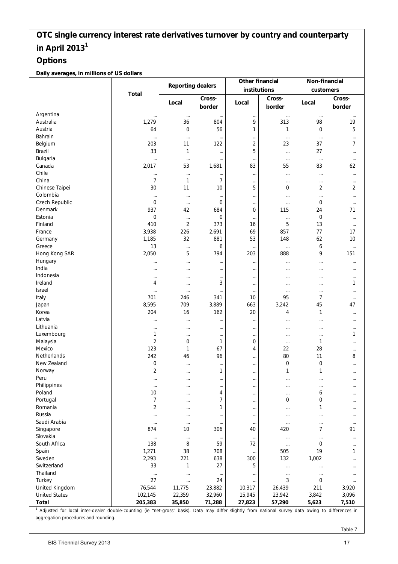### **Options**

**Daily averages, in millions of US dollars**

| <b>Reporting dealers</b><br>institutions<br>customers<br><b>Total</b><br>Cross-<br>Cross-<br>Cross-<br>Local<br>Local<br>Local<br>border<br>border<br>border<br>Argentina<br>$\ldots$<br>$\ldots$<br><br>$\cdots$<br>$\cdots$<br><br>$\cdots$<br>Australia<br>1,279<br>36<br>804<br>9<br>313<br>98<br>19<br>5<br>Austria<br>$\mathbf 0$<br>56<br>64<br>1<br>0<br>1<br>Bahrain<br><br>$\cdots$<br>$\cdots$<br>$\cdots$<br>$\cdots$<br>$\cdots$<br>11<br>2<br>37<br>$\overline{7}$<br>Belgium<br>203<br>122<br>23<br>5<br>33<br>27<br>Brazil<br>1<br>$\ldots$<br>$\cdots$<br>$\cdots$<br>Bulgaria<br><br>$\cdots$<br>$\cdots$<br>$\cdots$<br>$\cdots$<br>$\cdots$<br>$\cdots$<br>Canada<br>2,017<br>53<br>83<br>83<br>1,681<br>55<br>62<br>Chile<br>$\ldots$<br>$\cdots$<br><br>$\ldots$<br>$\cdots$<br>$\cdots$<br>$\cdots$<br>China<br>$\overline{7}$<br>7<br>1<br>$\cdots$<br>$\cdots$<br>$\cdots$<br>$\cdots$<br>Chinese Taipei<br>$\overline{2}$<br>30<br>11<br>5<br>10<br>0<br>2<br>Colombia<br>$\cdots$<br>$\cdots$<br>$\cdots$<br><br>$\cdots$<br><br>$\ddotsc$<br>Czech Republic<br>$\overline{0}$<br>$\mathbf 0$<br>0<br><br>$\cdots$<br>$\cdots$<br>$\cdots$<br>937<br>42<br>684<br>0<br>24<br>71<br>Denmark<br>115<br>Estonia<br>$\mathbf 0$<br>$\mathbf 0$<br>$\mathbf 0$<br>$\cdots$<br>$\cdots$<br>$\cdots$<br>$\cdots$<br>$\overline{2}$<br>410<br>373<br>5<br>13<br>Finland<br>16<br>$\cdots$<br>3,938<br>69<br>France<br>226<br>2,691<br>857<br>77<br>17<br>32<br>1,185<br>881<br>53<br>62<br>10<br>Germany<br>148<br>Greece<br>13<br>6<br>6<br><br>$\cdots$<br>$\cdots$<br>$\cdots$<br>5<br>Hong Kong SAR<br>2,050<br>794<br>203<br>888<br>9<br>151<br>Hungary<br>$\cdots$<br><br>$\cdots$<br>$\cdots$<br>$\cdots$<br>$\cdots$<br><br>India<br><br>$\cdots$<br>$\cdots$<br><br>$\cdots$<br>$\cdots$<br><br>Indonesia<br>$\cdots$<br>$\cdots$<br>$\cdots$<br>$\cdots$<br>$\cdots$<br>$\cdots$<br>$\cdots$<br>Ireland<br>4<br>3<br>1<br>$\ddotsc$<br>$\cdots$<br>$\cdots$<br>$\cdots$<br>Israel<br><br>$\cdots$<br>$\cdots$<br>$\cdots$<br>$\cdots$<br>$\cdots$<br>$\cdots$<br>7<br>Italy<br>95<br>701<br>246<br>341<br>10<br>$\cdots$<br>8,595<br>709<br>3,889<br>663<br>3,242<br>45<br>Japan<br>47<br>204<br>16<br>162<br>20<br>Korea<br>1<br>4<br>$\cdots$<br>Latvia<br><br>$\cdots$<br><br><br>$\cdots$<br><br>$\cdots$<br>Lithuania<br><br>$\ddotsc$<br>$\cdots$<br><br>$\cdots$<br>$\ddotsc$<br>$\cdots$<br>Luxembourg<br>1<br>1<br>$\cdots$<br>$\cdots$<br>$\cdots$<br>$\cdots$<br>$\cdots$<br>$\overline{2}$<br>$\mathbf 0$<br>0<br>Malaysia<br>1<br>1<br>$\cdots$<br><br>Mexico<br>123<br>1<br>67<br>22<br>28<br>4<br><br><b>Netherlands</b><br>242<br>96<br>80<br>11<br>46<br>8<br><br>New Zealand<br>$\mathbf 0$<br>$\boldsymbol{0}$<br>$\mathbf 0$<br>$\cdots$<br>$\cdots$<br><br><br>$\overline{2}$<br>1<br>1<br>1<br>Norway<br>$\cdots$<br><br><br>Peru<br>$\cdots$<br><br>$\cdots$<br><br>$\cdots$<br>$\cdots$<br>$\cdots$<br>Philippines<br>$\ldots$<br>$\ldots$<br>$\cdots$<br>$\cdots$<br>$\cdots$<br>$\cdots$<br>$\cdots$<br>Poland<br>10<br>4<br>6<br><br>$\cdots$<br>$\cdots$<br>$\cdots$<br>$\overline{7}$<br>Portugal<br>7<br>0<br>0<br>$\cdots$<br><br><br>Romania<br>$\overline{2}$<br>1<br>1<br>$\cdots$<br>$\cdots$<br>$\cdots$<br>$\cdots$<br>Russia<br>$\cdots$<br><br><br>$\cdots$<br><br>$\cdots$<br>$\cdots$<br>Saudi Arabia<br>$\cdots$<br>$\cdots$<br>$\cdots$<br>$\cdots$<br>$\cdots$<br>$\cdots$<br>$\cdots$<br>$\overline{7}$<br>Singapore<br>874<br>10<br>420<br>91<br>306<br>40<br>Slovakia<br>$\cdots$<br>$\cdots$<br>$\cdots$<br>$\cdots$<br>$\cdots$<br>$\cdots$<br>$\cdots$<br>South Africa<br>138<br>8<br>59<br>72<br>0<br>$\cdots$<br>$\cdots$<br>1,271<br>38<br>708<br>19<br>Spain<br>505<br>1<br>$\cdots$<br>2,293<br>221<br>Sweden<br>638<br>300<br>132<br>1,002<br>$\cdots$<br>Switzerland<br>33<br>27<br>1<br>5<br>$\cdots$<br>$\cdots$<br>$\cdots$<br>Thailand<br>$\cdots$<br>$\cdots$<br><br>$\cdots$<br>$\cdots$<br>$\cdots$<br>$\cdots$<br>Turkey<br>27<br>24<br>3<br>0<br>$\cdots$<br><br>$\cdots$<br>United Kingdom<br>76,544<br>11,775<br>23,882<br>10,317<br>26,439<br>211<br>3,920<br>102,145<br>22,359<br>23,942<br>3,842<br>3,096<br><b>United States</b><br>32,960<br>15,945<br><b>Total</b><br>205,383<br>35,850<br>71,288<br>27,823<br>57,290<br>5,623<br>7,510<br>1 Adjusted for local inter-dealer double-counting (ie "net-gross" basis). Data may differ slightly from national survey data owing to differences in |  |  | Other financial | Non-financial |  |
|--------------------------------------------------------------------------------------------------------------------------------------------------------------------------------------------------------------------------------------------------------------------------------------------------------------------------------------------------------------------------------------------------------------------------------------------------------------------------------------------------------------------------------------------------------------------------------------------------------------------------------------------------------------------------------------------------------------------------------------------------------------------------------------------------------------------------------------------------------------------------------------------------------------------------------------------------------------------------------------------------------------------------------------------------------------------------------------------------------------------------------------------------------------------------------------------------------------------------------------------------------------------------------------------------------------------------------------------------------------------------------------------------------------------------------------------------------------------------------------------------------------------------------------------------------------------------------------------------------------------------------------------------------------------------------------------------------------------------------------------------------------------------------------------------------------------------------------------------------------------------------------------------------------------------------------------------------------------------------------------------------------------------------------------------------------------------------------------------------------------------------------------------------------------------------------------------------------------------------------------------------------------------------------------------------------------------------------------------------------------------------------------------------------------------------------------------------------------------------------------------------------------------------------------------------------------------------------------------------------------------------------------------------------------------------------------------------------------------------------------------------------------------------------------------------------------------------------------------------------------------------------------------------------------------------------------------------------------------------------------------------------------------------------------------------------------------------------------------------------------------------------------------------------------------------------------------------------------------------------------------------------------------------------------------------------------------------------------------------------------------------------------------------------------------------------------------------------------------------------------------------------------------------------------------------------------------------------------------------------------------------------------------------------------------------------------------------------------------------------------------------------------------------------------------------------------------------------------------------------------------------------------------------------------------------------------------------------------------------------------------------------------------------------------------------------------------------------------------------------------------------------------------------------------------------------------------------------------------------------------------------------------------------------------------------------------------------------------------------------------------------------------------------------------------------------------------------------------------------------------------------|--|--|-----------------|---------------|--|
|                                                                                                                                                                                                                                                                                                                                                                                                                                                                                                                                                                                                                                                                                                                                                                                                                                                                                                                                                                                                                                                                                                                                                                                                                                                                                                                                                                                                                                                                                                                                                                                                                                                                                                                                                                                                                                                                                                                                                                                                                                                                                                                                                                                                                                                                                                                                                                                                                                                                                                                                                                                                                                                                                                                                                                                                                                                                                                                                                                                                                                                                                                                                                                                                                                                                                                                                                                                                                                                                                                                                                                                                                                                                                                                                                                                                                                                                                                                                                                                                                                                                                                                                                                                                                                                                                                                                                                                                                                                                                                        |  |  |                 |               |  |
|                                                                                                                                                                                                                                                                                                                                                                                                                                                                                                                                                                                                                                                                                                                                                                                                                                                                                                                                                                                                                                                                                                                                                                                                                                                                                                                                                                                                                                                                                                                                                                                                                                                                                                                                                                                                                                                                                                                                                                                                                                                                                                                                                                                                                                                                                                                                                                                                                                                                                                                                                                                                                                                                                                                                                                                                                                                                                                                                                                                                                                                                                                                                                                                                                                                                                                                                                                                                                                                                                                                                                                                                                                                                                                                                                                                                                                                                                                                                                                                                                                                                                                                                                                                                                                                                                                                                                                                                                                                                                                        |  |  |                 |               |  |
|                                                                                                                                                                                                                                                                                                                                                                                                                                                                                                                                                                                                                                                                                                                                                                                                                                                                                                                                                                                                                                                                                                                                                                                                                                                                                                                                                                                                                                                                                                                                                                                                                                                                                                                                                                                                                                                                                                                                                                                                                                                                                                                                                                                                                                                                                                                                                                                                                                                                                                                                                                                                                                                                                                                                                                                                                                                                                                                                                                                                                                                                                                                                                                                                                                                                                                                                                                                                                                                                                                                                                                                                                                                                                                                                                                                                                                                                                                                                                                                                                                                                                                                                                                                                                                                                                                                                                                                                                                                                                                        |  |  |                 |               |  |
|                                                                                                                                                                                                                                                                                                                                                                                                                                                                                                                                                                                                                                                                                                                                                                                                                                                                                                                                                                                                                                                                                                                                                                                                                                                                                                                                                                                                                                                                                                                                                                                                                                                                                                                                                                                                                                                                                                                                                                                                                                                                                                                                                                                                                                                                                                                                                                                                                                                                                                                                                                                                                                                                                                                                                                                                                                                                                                                                                                                                                                                                                                                                                                                                                                                                                                                                                                                                                                                                                                                                                                                                                                                                                                                                                                                                                                                                                                                                                                                                                                                                                                                                                                                                                                                                                                                                                                                                                                                                                                        |  |  |                 |               |  |
|                                                                                                                                                                                                                                                                                                                                                                                                                                                                                                                                                                                                                                                                                                                                                                                                                                                                                                                                                                                                                                                                                                                                                                                                                                                                                                                                                                                                                                                                                                                                                                                                                                                                                                                                                                                                                                                                                                                                                                                                                                                                                                                                                                                                                                                                                                                                                                                                                                                                                                                                                                                                                                                                                                                                                                                                                                                                                                                                                                                                                                                                                                                                                                                                                                                                                                                                                                                                                                                                                                                                                                                                                                                                                                                                                                                                                                                                                                                                                                                                                                                                                                                                                                                                                                                                                                                                                                                                                                                                                                        |  |  |                 |               |  |
|                                                                                                                                                                                                                                                                                                                                                                                                                                                                                                                                                                                                                                                                                                                                                                                                                                                                                                                                                                                                                                                                                                                                                                                                                                                                                                                                                                                                                                                                                                                                                                                                                                                                                                                                                                                                                                                                                                                                                                                                                                                                                                                                                                                                                                                                                                                                                                                                                                                                                                                                                                                                                                                                                                                                                                                                                                                                                                                                                                                                                                                                                                                                                                                                                                                                                                                                                                                                                                                                                                                                                                                                                                                                                                                                                                                                                                                                                                                                                                                                                                                                                                                                                                                                                                                                                                                                                                                                                                                                                                        |  |  |                 |               |  |
|                                                                                                                                                                                                                                                                                                                                                                                                                                                                                                                                                                                                                                                                                                                                                                                                                                                                                                                                                                                                                                                                                                                                                                                                                                                                                                                                                                                                                                                                                                                                                                                                                                                                                                                                                                                                                                                                                                                                                                                                                                                                                                                                                                                                                                                                                                                                                                                                                                                                                                                                                                                                                                                                                                                                                                                                                                                                                                                                                                                                                                                                                                                                                                                                                                                                                                                                                                                                                                                                                                                                                                                                                                                                                                                                                                                                                                                                                                                                                                                                                                                                                                                                                                                                                                                                                                                                                                                                                                                                                                        |  |  |                 |               |  |
|                                                                                                                                                                                                                                                                                                                                                                                                                                                                                                                                                                                                                                                                                                                                                                                                                                                                                                                                                                                                                                                                                                                                                                                                                                                                                                                                                                                                                                                                                                                                                                                                                                                                                                                                                                                                                                                                                                                                                                                                                                                                                                                                                                                                                                                                                                                                                                                                                                                                                                                                                                                                                                                                                                                                                                                                                                                                                                                                                                                                                                                                                                                                                                                                                                                                                                                                                                                                                                                                                                                                                                                                                                                                                                                                                                                                                                                                                                                                                                                                                                                                                                                                                                                                                                                                                                                                                                                                                                                                                                        |  |  |                 |               |  |
|                                                                                                                                                                                                                                                                                                                                                                                                                                                                                                                                                                                                                                                                                                                                                                                                                                                                                                                                                                                                                                                                                                                                                                                                                                                                                                                                                                                                                                                                                                                                                                                                                                                                                                                                                                                                                                                                                                                                                                                                                                                                                                                                                                                                                                                                                                                                                                                                                                                                                                                                                                                                                                                                                                                                                                                                                                                                                                                                                                                                                                                                                                                                                                                                                                                                                                                                                                                                                                                                                                                                                                                                                                                                                                                                                                                                                                                                                                                                                                                                                                                                                                                                                                                                                                                                                                                                                                                                                                                                                                        |  |  |                 |               |  |
|                                                                                                                                                                                                                                                                                                                                                                                                                                                                                                                                                                                                                                                                                                                                                                                                                                                                                                                                                                                                                                                                                                                                                                                                                                                                                                                                                                                                                                                                                                                                                                                                                                                                                                                                                                                                                                                                                                                                                                                                                                                                                                                                                                                                                                                                                                                                                                                                                                                                                                                                                                                                                                                                                                                                                                                                                                                                                                                                                                                                                                                                                                                                                                                                                                                                                                                                                                                                                                                                                                                                                                                                                                                                                                                                                                                                                                                                                                                                                                                                                                                                                                                                                                                                                                                                                                                                                                                                                                                                                                        |  |  |                 |               |  |
|                                                                                                                                                                                                                                                                                                                                                                                                                                                                                                                                                                                                                                                                                                                                                                                                                                                                                                                                                                                                                                                                                                                                                                                                                                                                                                                                                                                                                                                                                                                                                                                                                                                                                                                                                                                                                                                                                                                                                                                                                                                                                                                                                                                                                                                                                                                                                                                                                                                                                                                                                                                                                                                                                                                                                                                                                                                                                                                                                                                                                                                                                                                                                                                                                                                                                                                                                                                                                                                                                                                                                                                                                                                                                                                                                                                                                                                                                                                                                                                                                                                                                                                                                                                                                                                                                                                                                                                                                                                                                                        |  |  |                 |               |  |
|                                                                                                                                                                                                                                                                                                                                                                                                                                                                                                                                                                                                                                                                                                                                                                                                                                                                                                                                                                                                                                                                                                                                                                                                                                                                                                                                                                                                                                                                                                                                                                                                                                                                                                                                                                                                                                                                                                                                                                                                                                                                                                                                                                                                                                                                                                                                                                                                                                                                                                                                                                                                                                                                                                                                                                                                                                                                                                                                                                                                                                                                                                                                                                                                                                                                                                                                                                                                                                                                                                                                                                                                                                                                                                                                                                                                                                                                                                                                                                                                                                                                                                                                                                                                                                                                                                                                                                                                                                                                                                        |  |  |                 |               |  |
|                                                                                                                                                                                                                                                                                                                                                                                                                                                                                                                                                                                                                                                                                                                                                                                                                                                                                                                                                                                                                                                                                                                                                                                                                                                                                                                                                                                                                                                                                                                                                                                                                                                                                                                                                                                                                                                                                                                                                                                                                                                                                                                                                                                                                                                                                                                                                                                                                                                                                                                                                                                                                                                                                                                                                                                                                                                                                                                                                                                                                                                                                                                                                                                                                                                                                                                                                                                                                                                                                                                                                                                                                                                                                                                                                                                                                                                                                                                                                                                                                                                                                                                                                                                                                                                                                                                                                                                                                                                                                                        |  |  |                 |               |  |
|                                                                                                                                                                                                                                                                                                                                                                                                                                                                                                                                                                                                                                                                                                                                                                                                                                                                                                                                                                                                                                                                                                                                                                                                                                                                                                                                                                                                                                                                                                                                                                                                                                                                                                                                                                                                                                                                                                                                                                                                                                                                                                                                                                                                                                                                                                                                                                                                                                                                                                                                                                                                                                                                                                                                                                                                                                                                                                                                                                                                                                                                                                                                                                                                                                                                                                                                                                                                                                                                                                                                                                                                                                                                                                                                                                                                                                                                                                                                                                                                                                                                                                                                                                                                                                                                                                                                                                                                                                                                                                        |  |  |                 |               |  |
|                                                                                                                                                                                                                                                                                                                                                                                                                                                                                                                                                                                                                                                                                                                                                                                                                                                                                                                                                                                                                                                                                                                                                                                                                                                                                                                                                                                                                                                                                                                                                                                                                                                                                                                                                                                                                                                                                                                                                                                                                                                                                                                                                                                                                                                                                                                                                                                                                                                                                                                                                                                                                                                                                                                                                                                                                                                                                                                                                                                                                                                                                                                                                                                                                                                                                                                                                                                                                                                                                                                                                                                                                                                                                                                                                                                                                                                                                                                                                                                                                                                                                                                                                                                                                                                                                                                                                                                                                                                                                                        |  |  |                 |               |  |
|                                                                                                                                                                                                                                                                                                                                                                                                                                                                                                                                                                                                                                                                                                                                                                                                                                                                                                                                                                                                                                                                                                                                                                                                                                                                                                                                                                                                                                                                                                                                                                                                                                                                                                                                                                                                                                                                                                                                                                                                                                                                                                                                                                                                                                                                                                                                                                                                                                                                                                                                                                                                                                                                                                                                                                                                                                                                                                                                                                                                                                                                                                                                                                                                                                                                                                                                                                                                                                                                                                                                                                                                                                                                                                                                                                                                                                                                                                                                                                                                                                                                                                                                                                                                                                                                                                                                                                                                                                                                                                        |  |  |                 |               |  |
|                                                                                                                                                                                                                                                                                                                                                                                                                                                                                                                                                                                                                                                                                                                                                                                                                                                                                                                                                                                                                                                                                                                                                                                                                                                                                                                                                                                                                                                                                                                                                                                                                                                                                                                                                                                                                                                                                                                                                                                                                                                                                                                                                                                                                                                                                                                                                                                                                                                                                                                                                                                                                                                                                                                                                                                                                                                                                                                                                                                                                                                                                                                                                                                                                                                                                                                                                                                                                                                                                                                                                                                                                                                                                                                                                                                                                                                                                                                                                                                                                                                                                                                                                                                                                                                                                                                                                                                                                                                                                                        |  |  |                 |               |  |
|                                                                                                                                                                                                                                                                                                                                                                                                                                                                                                                                                                                                                                                                                                                                                                                                                                                                                                                                                                                                                                                                                                                                                                                                                                                                                                                                                                                                                                                                                                                                                                                                                                                                                                                                                                                                                                                                                                                                                                                                                                                                                                                                                                                                                                                                                                                                                                                                                                                                                                                                                                                                                                                                                                                                                                                                                                                                                                                                                                                                                                                                                                                                                                                                                                                                                                                                                                                                                                                                                                                                                                                                                                                                                                                                                                                                                                                                                                                                                                                                                                                                                                                                                                                                                                                                                                                                                                                                                                                                                                        |  |  |                 |               |  |
|                                                                                                                                                                                                                                                                                                                                                                                                                                                                                                                                                                                                                                                                                                                                                                                                                                                                                                                                                                                                                                                                                                                                                                                                                                                                                                                                                                                                                                                                                                                                                                                                                                                                                                                                                                                                                                                                                                                                                                                                                                                                                                                                                                                                                                                                                                                                                                                                                                                                                                                                                                                                                                                                                                                                                                                                                                                                                                                                                                                                                                                                                                                                                                                                                                                                                                                                                                                                                                                                                                                                                                                                                                                                                                                                                                                                                                                                                                                                                                                                                                                                                                                                                                                                                                                                                                                                                                                                                                                                                                        |  |  |                 |               |  |
|                                                                                                                                                                                                                                                                                                                                                                                                                                                                                                                                                                                                                                                                                                                                                                                                                                                                                                                                                                                                                                                                                                                                                                                                                                                                                                                                                                                                                                                                                                                                                                                                                                                                                                                                                                                                                                                                                                                                                                                                                                                                                                                                                                                                                                                                                                                                                                                                                                                                                                                                                                                                                                                                                                                                                                                                                                                                                                                                                                                                                                                                                                                                                                                                                                                                                                                                                                                                                                                                                                                                                                                                                                                                                                                                                                                                                                                                                                                                                                                                                                                                                                                                                                                                                                                                                                                                                                                                                                                                                                        |  |  |                 |               |  |
|                                                                                                                                                                                                                                                                                                                                                                                                                                                                                                                                                                                                                                                                                                                                                                                                                                                                                                                                                                                                                                                                                                                                                                                                                                                                                                                                                                                                                                                                                                                                                                                                                                                                                                                                                                                                                                                                                                                                                                                                                                                                                                                                                                                                                                                                                                                                                                                                                                                                                                                                                                                                                                                                                                                                                                                                                                                                                                                                                                                                                                                                                                                                                                                                                                                                                                                                                                                                                                                                                                                                                                                                                                                                                                                                                                                                                                                                                                                                                                                                                                                                                                                                                                                                                                                                                                                                                                                                                                                                                                        |  |  |                 |               |  |
|                                                                                                                                                                                                                                                                                                                                                                                                                                                                                                                                                                                                                                                                                                                                                                                                                                                                                                                                                                                                                                                                                                                                                                                                                                                                                                                                                                                                                                                                                                                                                                                                                                                                                                                                                                                                                                                                                                                                                                                                                                                                                                                                                                                                                                                                                                                                                                                                                                                                                                                                                                                                                                                                                                                                                                                                                                                                                                                                                                                                                                                                                                                                                                                                                                                                                                                                                                                                                                                                                                                                                                                                                                                                                                                                                                                                                                                                                                                                                                                                                                                                                                                                                                                                                                                                                                                                                                                                                                                                                                        |  |  |                 |               |  |
|                                                                                                                                                                                                                                                                                                                                                                                                                                                                                                                                                                                                                                                                                                                                                                                                                                                                                                                                                                                                                                                                                                                                                                                                                                                                                                                                                                                                                                                                                                                                                                                                                                                                                                                                                                                                                                                                                                                                                                                                                                                                                                                                                                                                                                                                                                                                                                                                                                                                                                                                                                                                                                                                                                                                                                                                                                                                                                                                                                                                                                                                                                                                                                                                                                                                                                                                                                                                                                                                                                                                                                                                                                                                                                                                                                                                                                                                                                                                                                                                                                                                                                                                                                                                                                                                                                                                                                                                                                                                                                        |  |  |                 |               |  |
|                                                                                                                                                                                                                                                                                                                                                                                                                                                                                                                                                                                                                                                                                                                                                                                                                                                                                                                                                                                                                                                                                                                                                                                                                                                                                                                                                                                                                                                                                                                                                                                                                                                                                                                                                                                                                                                                                                                                                                                                                                                                                                                                                                                                                                                                                                                                                                                                                                                                                                                                                                                                                                                                                                                                                                                                                                                                                                                                                                                                                                                                                                                                                                                                                                                                                                                                                                                                                                                                                                                                                                                                                                                                                                                                                                                                                                                                                                                                                                                                                                                                                                                                                                                                                                                                                                                                                                                                                                                                                                        |  |  |                 |               |  |
|                                                                                                                                                                                                                                                                                                                                                                                                                                                                                                                                                                                                                                                                                                                                                                                                                                                                                                                                                                                                                                                                                                                                                                                                                                                                                                                                                                                                                                                                                                                                                                                                                                                                                                                                                                                                                                                                                                                                                                                                                                                                                                                                                                                                                                                                                                                                                                                                                                                                                                                                                                                                                                                                                                                                                                                                                                                                                                                                                                                                                                                                                                                                                                                                                                                                                                                                                                                                                                                                                                                                                                                                                                                                                                                                                                                                                                                                                                                                                                                                                                                                                                                                                                                                                                                                                                                                                                                                                                                                                                        |  |  |                 |               |  |
|                                                                                                                                                                                                                                                                                                                                                                                                                                                                                                                                                                                                                                                                                                                                                                                                                                                                                                                                                                                                                                                                                                                                                                                                                                                                                                                                                                                                                                                                                                                                                                                                                                                                                                                                                                                                                                                                                                                                                                                                                                                                                                                                                                                                                                                                                                                                                                                                                                                                                                                                                                                                                                                                                                                                                                                                                                                                                                                                                                                                                                                                                                                                                                                                                                                                                                                                                                                                                                                                                                                                                                                                                                                                                                                                                                                                                                                                                                                                                                                                                                                                                                                                                                                                                                                                                                                                                                                                                                                                                                        |  |  |                 |               |  |
|                                                                                                                                                                                                                                                                                                                                                                                                                                                                                                                                                                                                                                                                                                                                                                                                                                                                                                                                                                                                                                                                                                                                                                                                                                                                                                                                                                                                                                                                                                                                                                                                                                                                                                                                                                                                                                                                                                                                                                                                                                                                                                                                                                                                                                                                                                                                                                                                                                                                                                                                                                                                                                                                                                                                                                                                                                                                                                                                                                                                                                                                                                                                                                                                                                                                                                                                                                                                                                                                                                                                                                                                                                                                                                                                                                                                                                                                                                                                                                                                                                                                                                                                                                                                                                                                                                                                                                                                                                                                                                        |  |  |                 |               |  |
|                                                                                                                                                                                                                                                                                                                                                                                                                                                                                                                                                                                                                                                                                                                                                                                                                                                                                                                                                                                                                                                                                                                                                                                                                                                                                                                                                                                                                                                                                                                                                                                                                                                                                                                                                                                                                                                                                                                                                                                                                                                                                                                                                                                                                                                                                                                                                                                                                                                                                                                                                                                                                                                                                                                                                                                                                                                                                                                                                                                                                                                                                                                                                                                                                                                                                                                                                                                                                                                                                                                                                                                                                                                                                                                                                                                                                                                                                                                                                                                                                                                                                                                                                                                                                                                                                                                                                                                                                                                                                                        |  |  |                 |               |  |
|                                                                                                                                                                                                                                                                                                                                                                                                                                                                                                                                                                                                                                                                                                                                                                                                                                                                                                                                                                                                                                                                                                                                                                                                                                                                                                                                                                                                                                                                                                                                                                                                                                                                                                                                                                                                                                                                                                                                                                                                                                                                                                                                                                                                                                                                                                                                                                                                                                                                                                                                                                                                                                                                                                                                                                                                                                                                                                                                                                                                                                                                                                                                                                                                                                                                                                                                                                                                                                                                                                                                                                                                                                                                                                                                                                                                                                                                                                                                                                                                                                                                                                                                                                                                                                                                                                                                                                                                                                                                                                        |  |  |                 |               |  |
|                                                                                                                                                                                                                                                                                                                                                                                                                                                                                                                                                                                                                                                                                                                                                                                                                                                                                                                                                                                                                                                                                                                                                                                                                                                                                                                                                                                                                                                                                                                                                                                                                                                                                                                                                                                                                                                                                                                                                                                                                                                                                                                                                                                                                                                                                                                                                                                                                                                                                                                                                                                                                                                                                                                                                                                                                                                                                                                                                                                                                                                                                                                                                                                                                                                                                                                                                                                                                                                                                                                                                                                                                                                                                                                                                                                                                                                                                                                                                                                                                                                                                                                                                                                                                                                                                                                                                                                                                                                                                                        |  |  |                 |               |  |
|                                                                                                                                                                                                                                                                                                                                                                                                                                                                                                                                                                                                                                                                                                                                                                                                                                                                                                                                                                                                                                                                                                                                                                                                                                                                                                                                                                                                                                                                                                                                                                                                                                                                                                                                                                                                                                                                                                                                                                                                                                                                                                                                                                                                                                                                                                                                                                                                                                                                                                                                                                                                                                                                                                                                                                                                                                                                                                                                                                                                                                                                                                                                                                                                                                                                                                                                                                                                                                                                                                                                                                                                                                                                                                                                                                                                                                                                                                                                                                                                                                                                                                                                                                                                                                                                                                                                                                                                                                                                                                        |  |  |                 |               |  |
|                                                                                                                                                                                                                                                                                                                                                                                                                                                                                                                                                                                                                                                                                                                                                                                                                                                                                                                                                                                                                                                                                                                                                                                                                                                                                                                                                                                                                                                                                                                                                                                                                                                                                                                                                                                                                                                                                                                                                                                                                                                                                                                                                                                                                                                                                                                                                                                                                                                                                                                                                                                                                                                                                                                                                                                                                                                                                                                                                                                                                                                                                                                                                                                                                                                                                                                                                                                                                                                                                                                                                                                                                                                                                                                                                                                                                                                                                                                                                                                                                                                                                                                                                                                                                                                                                                                                                                                                                                                                                                        |  |  |                 |               |  |
|                                                                                                                                                                                                                                                                                                                                                                                                                                                                                                                                                                                                                                                                                                                                                                                                                                                                                                                                                                                                                                                                                                                                                                                                                                                                                                                                                                                                                                                                                                                                                                                                                                                                                                                                                                                                                                                                                                                                                                                                                                                                                                                                                                                                                                                                                                                                                                                                                                                                                                                                                                                                                                                                                                                                                                                                                                                                                                                                                                                                                                                                                                                                                                                                                                                                                                                                                                                                                                                                                                                                                                                                                                                                                                                                                                                                                                                                                                                                                                                                                                                                                                                                                                                                                                                                                                                                                                                                                                                                                                        |  |  |                 |               |  |
|                                                                                                                                                                                                                                                                                                                                                                                                                                                                                                                                                                                                                                                                                                                                                                                                                                                                                                                                                                                                                                                                                                                                                                                                                                                                                                                                                                                                                                                                                                                                                                                                                                                                                                                                                                                                                                                                                                                                                                                                                                                                                                                                                                                                                                                                                                                                                                                                                                                                                                                                                                                                                                                                                                                                                                                                                                                                                                                                                                                                                                                                                                                                                                                                                                                                                                                                                                                                                                                                                                                                                                                                                                                                                                                                                                                                                                                                                                                                                                                                                                                                                                                                                                                                                                                                                                                                                                                                                                                                                                        |  |  |                 |               |  |
|                                                                                                                                                                                                                                                                                                                                                                                                                                                                                                                                                                                                                                                                                                                                                                                                                                                                                                                                                                                                                                                                                                                                                                                                                                                                                                                                                                                                                                                                                                                                                                                                                                                                                                                                                                                                                                                                                                                                                                                                                                                                                                                                                                                                                                                                                                                                                                                                                                                                                                                                                                                                                                                                                                                                                                                                                                                                                                                                                                                                                                                                                                                                                                                                                                                                                                                                                                                                                                                                                                                                                                                                                                                                                                                                                                                                                                                                                                                                                                                                                                                                                                                                                                                                                                                                                                                                                                                                                                                                                                        |  |  |                 |               |  |
|                                                                                                                                                                                                                                                                                                                                                                                                                                                                                                                                                                                                                                                                                                                                                                                                                                                                                                                                                                                                                                                                                                                                                                                                                                                                                                                                                                                                                                                                                                                                                                                                                                                                                                                                                                                                                                                                                                                                                                                                                                                                                                                                                                                                                                                                                                                                                                                                                                                                                                                                                                                                                                                                                                                                                                                                                                                                                                                                                                                                                                                                                                                                                                                                                                                                                                                                                                                                                                                                                                                                                                                                                                                                                                                                                                                                                                                                                                                                                                                                                                                                                                                                                                                                                                                                                                                                                                                                                                                                                                        |  |  |                 |               |  |
|                                                                                                                                                                                                                                                                                                                                                                                                                                                                                                                                                                                                                                                                                                                                                                                                                                                                                                                                                                                                                                                                                                                                                                                                                                                                                                                                                                                                                                                                                                                                                                                                                                                                                                                                                                                                                                                                                                                                                                                                                                                                                                                                                                                                                                                                                                                                                                                                                                                                                                                                                                                                                                                                                                                                                                                                                                                                                                                                                                                                                                                                                                                                                                                                                                                                                                                                                                                                                                                                                                                                                                                                                                                                                                                                                                                                                                                                                                                                                                                                                                                                                                                                                                                                                                                                                                                                                                                                                                                                                                        |  |  |                 |               |  |
|                                                                                                                                                                                                                                                                                                                                                                                                                                                                                                                                                                                                                                                                                                                                                                                                                                                                                                                                                                                                                                                                                                                                                                                                                                                                                                                                                                                                                                                                                                                                                                                                                                                                                                                                                                                                                                                                                                                                                                                                                                                                                                                                                                                                                                                                                                                                                                                                                                                                                                                                                                                                                                                                                                                                                                                                                                                                                                                                                                                                                                                                                                                                                                                                                                                                                                                                                                                                                                                                                                                                                                                                                                                                                                                                                                                                                                                                                                                                                                                                                                                                                                                                                                                                                                                                                                                                                                                                                                                                                                        |  |  |                 |               |  |
|                                                                                                                                                                                                                                                                                                                                                                                                                                                                                                                                                                                                                                                                                                                                                                                                                                                                                                                                                                                                                                                                                                                                                                                                                                                                                                                                                                                                                                                                                                                                                                                                                                                                                                                                                                                                                                                                                                                                                                                                                                                                                                                                                                                                                                                                                                                                                                                                                                                                                                                                                                                                                                                                                                                                                                                                                                                                                                                                                                                                                                                                                                                                                                                                                                                                                                                                                                                                                                                                                                                                                                                                                                                                                                                                                                                                                                                                                                                                                                                                                                                                                                                                                                                                                                                                                                                                                                                                                                                                                                        |  |  |                 |               |  |
|                                                                                                                                                                                                                                                                                                                                                                                                                                                                                                                                                                                                                                                                                                                                                                                                                                                                                                                                                                                                                                                                                                                                                                                                                                                                                                                                                                                                                                                                                                                                                                                                                                                                                                                                                                                                                                                                                                                                                                                                                                                                                                                                                                                                                                                                                                                                                                                                                                                                                                                                                                                                                                                                                                                                                                                                                                                                                                                                                                                                                                                                                                                                                                                                                                                                                                                                                                                                                                                                                                                                                                                                                                                                                                                                                                                                                                                                                                                                                                                                                                                                                                                                                                                                                                                                                                                                                                                                                                                                                                        |  |  |                 |               |  |
|                                                                                                                                                                                                                                                                                                                                                                                                                                                                                                                                                                                                                                                                                                                                                                                                                                                                                                                                                                                                                                                                                                                                                                                                                                                                                                                                                                                                                                                                                                                                                                                                                                                                                                                                                                                                                                                                                                                                                                                                                                                                                                                                                                                                                                                                                                                                                                                                                                                                                                                                                                                                                                                                                                                                                                                                                                                                                                                                                                                                                                                                                                                                                                                                                                                                                                                                                                                                                                                                                                                                                                                                                                                                                                                                                                                                                                                                                                                                                                                                                                                                                                                                                                                                                                                                                                                                                                                                                                                                                                        |  |  |                 |               |  |
|                                                                                                                                                                                                                                                                                                                                                                                                                                                                                                                                                                                                                                                                                                                                                                                                                                                                                                                                                                                                                                                                                                                                                                                                                                                                                                                                                                                                                                                                                                                                                                                                                                                                                                                                                                                                                                                                                                                                                                                                                                                                                                                                                                                                                                                                                                                                                                                                                                                                                                                                                                                                                                                                                                                                                                                                                                                                                                                                                                                                                                                                                                                                                                                                                                                                                                                                                                                                                                                                                                                                                                                                                                                                                                                                                                                                                                                                                                                                                                                                                                                                                                                                                                                                                                                                                                                                                                                                                                                                                                        |  |  |                 |               |  |
|                                                                                                                                                                                                                                                                                                                                                                                                                                                                                                                                                                                                                                                                                                                                                                                                                                                                                                                                                                                                                                                                                                                                                                                                                                                                                                                                                                                                                                                                                                                                                                                                                                                                                                                                                                                                                                                                                                                                                                                                                                                                                                                                                                                                                                                                                                                                                                                                                                                                                                                                                                                                                                                                                                                                                                                                                                                                                                                                                                                                                                                                                                                                                                                                                                                                                                                                                                                                                                                                                                                                                                                                                                                                                                                                                                                                                                                                                                                                                                                                                                                                                                                                                                                                                                                                                                                                                                                                                                                                                                        |  |  |                 |               |  |
|                                                                                                                                                                                                                                                                                                                                                                                                                                                                                                                                                                                                                                                                                                                                                                                                                                                                                                                                                                                                                                                                                                                                                                                                                                                                                                                                                                                                                                                                                                                                                                                                                                                                                                                                                                                                                                                                                                                                                                                                                                                                                                                                                                                                                                                                                                                                                                                                                                                                                                                                                                                                                                                                                                                                                                                                                                                                                                                                                                                                                                                                                                                                                                                                                                                                                                                                                                                                                                                                                                                                                                                                                                                                                                                                                                                                                                                                                                                                                                                                                                                                                                                                                                                                                                                                                                                                                                                                                                                                                                        |  |  |                 |               |  |
|                                                                                                                                                                                                                                                                                                                                                                                                                                                                                                                                                                                                                                                                                                                                                                                                                                                                                                                                                                                                                                                                                                                                                                                                                                                                                                                                                                                                                                                                                                                                                                                                                                                                                                                                                                                                                                                                                                                                                                                                                                                                                                                                                                                                                                                                                                                                                                                                                                                                                                                                                                                                                                                                                                                                                                                                                                                                                                                                                                                                                                                                                                                                                                                                                                                                                                                                                                                                                                                                                                                                                                                                                                                                                                                                                                                                                                                                                                                                                                                                                                                                                                                                                                                                                                                                                                                                                                                                                                                                                                        |  |  |                 |               |  |
|                                                                                                                                                                                                                                                                                                                                                                                                                                                                                                                                                                                                                                                                                                                                                                                                                                                                                                                                                                                                                                                                                                                                                                                                                                                                                                                                                                                                                                                                                                                                                                                                                                                                                                                                                                                                                                                                                                                                                                                                                                                                                                                                                                                                                                                                                                                                                                                                                                                                                                                                                                                                                                                                                                                                                                                                                                                                                                                                                                                                                                                                                                                                                                                                                                                                                                                                                                                                                                                                                                                                                                                                                                                                                                                                                                                                                                                                                                                                                                                                                                                                                                                                                                                                                                                                                                                                                                                                                                                                                                        |  |  |                 |               |  |
|                                                                                                                                                                                                                                                                                                                                                                                                                                                                                                                                                                                                                                                                                                                                                                                                                                                                                                                                                                                                                                                                                                                                                                                                                                                                                                                                                                                                                                                                                                                                                                                                                                                                                                                                                                                                                                                                                                                                                                                                                                                                                                                                                                                                                                                                                                                                                                                                                                                                                                                                                                                                                                                                                                                                                                                                                                                                                                                                                                                                                                                                                                                                                                                                                                                                                                                                                                                                                                                                                                                                                                                                                                                                                                                                                                                                                                                                                                                                                                                                                                                                                                                                                                                                                                                                                                                                                                                                                                                                                                        |  |  |                 |               |  |
|                                                                                                                                                                                                                                                                                                                                                                                                                                                                                                                                                                                                                                                                                                                                                                                                                                                                                                                                                                                                                                                                                                                                                                                                                                                                                                                                                                                                                                                                                                                                                                                                                                                                                                                                                                                                                                                                                                                                                                                                                                                                                                                                                                                                                                                                                                                                                                                                                                                                                                                                                                                                                                                                                                                                                                                                                                                                                                                                                                                                                                                                                                                                                                                                                                                                                                                                                                                                                                                                                                                                                                                                                                                                                                                                                                                                                                                                                                                                                                                                                                                                                                                                                                                                                                                                                                                                                                                                                                                                                                        |  |  |                 |               |  |
|                                                                                                                                                                                                                                                                                                                                                                                                                                                                                                                                                                                                                                                                                                                                                                                                                                                                                                                                                                                                                                                                                                                                                                                                                                                                                                                                                                                                                                                                                                                                                                                                                                                                                                                                                                                                                                                                                                                                                                                                                                                                                                                                                                                                                                                                                                                                                                                                                                                                                                                                                                                                                                                                                                                                                                                                                                                                                                                                                                                                                                                                                                                                                                                                                                                                                                                                                                                                                                                                                                                                                                                                                                                                                                                                                                                                                                                                                                                                                                                                                                                                                                                                                                                                                                                                                                                                                                                                                                                                                                        |  |  |                 |               |  |
|                                                                                                                                                                                                                                                                                                                                                                                                                                                                                                                                                                                                                                                                                                                                                                                                                                                                                                                                                                                                                                                                                                                                                                                                                                                                                                                                                                                                                                                                                                                                                                                                                                                                                                                                                                                                                                                                                                                                                                                                                                                                                                                                                                                                                                                                                                                                                                                                                                                                                                                                                                                                                                                                                                                                                                                                                                                                                                                                                                                                                                                                                                                                                                                                                                                                                                                                                                                                                                                                                                                                                                                                                                                                                                                                                                                                                                                                                                                                                                                                                                                                                                                                                                                                                                                                                                                                                                                                                                                                                                        |  |  |                 |               |  |
|                                                                                                                                                                                                                                                                                                                                                                                                                                                                                                                                                                                                                                                                                                                                                                                                                                                                                                                                                                                                                                                                                                                                                                                                                                                                                                                                                                                                                                                                                                                                                                                                                                                                                                                                                                                                                                                                                                                                                                                                                                                                                                                                                                                                                                                                                                                                                                                                                                                                                                                                                                                                                                                                                                                                                                                                                                                                                                                                                                                                                                                                                                                                                                                                                                                                                                                                                                                                                                                                                                                                                                                                                                                                                                                                                                                                                                                                                                                                                                                                                                                                                                                                                                                                                                                                                                                                                                                                                                                                                                        |  |  |                 |               |  |
|                                                                                                                                                                                                                                                                                                                                                                                                                                                                                                                                                                                                                                                                                                                                                                                                                                                                                                                                                                                                                                                                                                                                                                                                                                                                                                                                                                                                                                                                                                                                                                                                                                                                                                                                                                                                                                                                                                                                                                                                                                                                                                                                                                                                                                                                                                                                                                                                                                                                                                                                                                                                                                                                                                                                                                                                                                                                                                                                                                                                                                                                                                                                                                                                                                                                                                                                                                                                                                                                                                                                                                                                                                                                                                                                                                                                                                                                                                                                                                                                                                                                                                                                                                                                                                                                                                                                                                                                                                                                                                        |  |  |                 |               |  |
|                                                                                                                                                                                                                                                                                                                                                                                                                                                                                                                                                                                                                                                                                                                                                                                                                                                                                                                                                                                                                                                                                                                                                                                                                                                                                                                                                                                                                                                                                                                                                                                                                                                                                                                                                                                                                                                                                                                                                                                                                                                                                                                                                                                                                                                                                                                                                                                                                                                                                                                                                                                                                                                                                                                                                                                                                                                                                                                                                                                                                                                                                                                                                                                                                                                                                                                                                                                                                                                                                                                                                                                                                                                                                                                                                                                                                                                                                                                                                                                                                                                                                                                                                                                                                                                                                                                                                                                                                                                                                                        |  |  |                 |               |  |
|                                                                                                                                                                                                                                                                                                                                                                                                                                                                                                                                                                                                                                                                                                                                                                                                                                                                                                                                                                                                                                                                                                                                                                                                                                                                                                                                                                                                                                                                                                                                                                                                                                                                                                                                                                                                                                                                                                                                                                                                                                                                                                                                                                                                                                                                                                                                                                                                                                                                                                                                                                                                                                                                                                                                                                                                                                                                                                                                                                                                                                                                                                                                                                                                                                                                                                                                                                                                                                                                                                                                                                                                                                                                                                                                                                                                                                                                                                                                                                                                                                                                                                                                                                                                                                                                                                                                                                                                                                                                                                        |  |  |                 |               |  |
|                                                                                                                                                                                                                                                                                                                                                                                                                                                                                                                                                                                                                                                                                                                                                                                                                                                                                                                                                                                                                                                                                                                                                                                                                                                                                                                                                                                                                                                                                                                                                                                                                                                                                                                                                                                                                                                                                                                                                                                                                                                                                                                                                                                                                                                                                                                                                                                                                                                                                                                                                                                                                                                                                                                                                                                                                                                                                                                                                                                                                                                                                                                                                                                                                                                                                                                                                                                                                                                                                                                                                                                                                                                                                                                                                                                                                                                                                                                                                                                                                                                                                                                                                                                                                                                                                                                                                                                                                                                                                                        |  |  |                 |               |  |
|                                                                                                                                                                                                                                                                                                                                                                                                                                                                                                                                                                                                                                                                                                                                                                                                                                                                                                                                                                                                                                                                                                                                                                                                                                                                                                                                                                                                                                                                                                                                                                                                                                                                                                                                                                                                                                                                                                                                                                                                                                                                                                                                                                                                                                                                                                                                                                                                                                                                                                                                                                                                                                                                                                                                                                                                                                                                                                                                                                                                                                                                                                                                                                                                                                                                                                                                                                                                                                                                                                                                                                                                                                                                                                                                                                                                                                                                                                                                                                                                                                                                                                                                                                                                                                                                                                                                                                                                                                                                                                        |  |  |                 |               |  |
|                                                                                                                                                                                                                                                                                                                                                                                                                                                                                                                                                                                                                                                                                                                                                                                                                                                                                                                                                                                                                                                                                                                                                                                                                                                                                                                                                                                                                                                                                                                                                                                                                                                                                                                                                                                                                                                                                                                                                                                                                                                                                                                                                                                                                                                                                                                                                                                                                                                                                                                                                                                                                                                                                                                                                                                                                                                                                                                                                                                                                                                                                                                                                                                                                                                                                                                                                                                                                                                                                                                                                                                                                                                                                                                                                                                                                                                                                                                                                                                                                                                                                                                                                                                                                                                                                                                                                                                                                                                                                                        |  |  |                 |               |  |

aggregation procedures and rounding.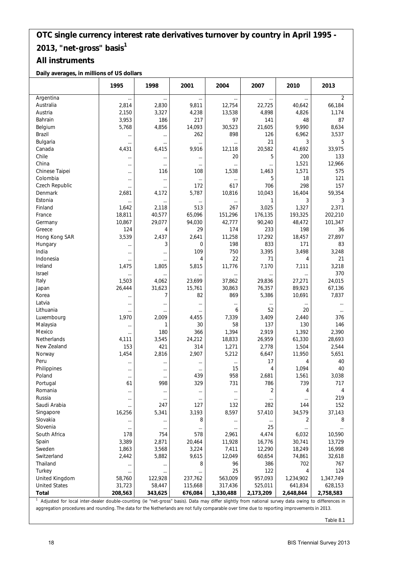#### **All instruments**

**Daily averages, in millions of US dollars**

|                                                                                                                                                    | 1995     | 1998     | 2001     | 2004      | 2007      | 2010      | 2013           |
|----------------------------------------------------------------------------------------------------------------------------------------------------|----------|----------|----------|-----------|-----------|-----------|----------------|
| Argentina                                                                                                                                          | $\cdots$ | $\cdots$ |          | $\cdots$  |           |           | $\overline{2}$ |
| Australia                                                                                                                                          | 2,814    | 2,830    | 9,811    | 12,754    | 22,725    | 40,642    | 66,184         |
| Austria                                                                                                                                            | 2,150    | 3,327    | 4,238    | 13,538    | 4,898     | 4,826     | 1,174          |
| Bahrain                                                                                                                                            | 3,953    | 186      | 217      | 97        | 141       | 48        | 87             |
| Belgium                                                                                                                                            | 5,768    | 4,856    | 14,093   | 30,523    | 21,605    | 9,990     | 8,634          |
| Brazil                                                                                                                                             | $\cdots$ | $\cdots$ | 262      | 898       | 126       | 6,962     | 3,537          |
| Bulgaria                                                                                                                                           |          | $\cdots$ | $\cdots$ | $\cdots$  | 21        | 3         | 5              |
| Canada                                                                                                                                             | 4,431    | 6,415    | 9,916    | 12,118    | 20,582    | 41,692    | 33,975         |
| Chile                                                                                                                                              | $\cdots$ | $\cdots$ | $\cdots$ | 20        | 5         | 200       | 133            |
| China                                                                                                                                              | $\ldots$ | $\cdots$ | $\ldots$ | $\cdots$  | $\cdots$  | 1,521     | 12,966         |
| Chinese Taipei                                                                                                                                     | $\cdots$ | 116      | 108      | 1,538     | 1,463     | 1,571     | 575            |
| Colombia                                                                                                                                           | $\cdots$ | $\cdots$ | $\cdots$ | $\cdots$  | 5         | 18        | 121            |
| Czech Republic                                                                                                                                     | $\cdots$ | $\cdots$ | 172      | 617       | 706       | 298       | 157            |
| Denmark                                                                                                                                            | 2,681    | 4,172    | 5,787    | 10,816    | 10,043    | 16,404    | 59,354         |
| Estonia                                                                                                                                            |          |          | $\cdots$ | $\cdots$  | 1         | 3         | 3              |
| Finland                                                                                                                                            | 1,642    | 2,118    | 513      | 267       | 3,025     | 1,327     | 2,371          |
| France                                                                                                                                             | 18,811   | 40,577   | 65,096   | 151,296   | 176,135   | 193,325   | 202,210        |
| Germany                                                                                                                                            | 10,867   | 29,077   | 94,030   | 42,777    | 90,240    | 48,472    | 101,347        |
| Greece                                                                                                                                             | 124      | 4        | 29       | 174       | 233       | 198       | 36             |
| Hong Kong SAR                                                                                                                                      | 3,539    | 2,437    | 2,641    | 11,258    | 17,292    | 18,457    | 27,897         |
| Hungary                                                                                                                                            |          | 3        | 0        | 198       | 833       | 171       | 83             |
| India                                                                                                                                              | $\ldots$ |          | 109      | 750       | 3,395     | 3,498     | 3,248          |
| Indonesia                                                                                                                                          |          |          | 4        | 22        | 71        | 4         | 21             |
| Ireland                                                                                                                                            | 1,475    | 1,805    | 5,815    | 11,776    | 7,170     | 7,111     | 3,218          |
| Israel                                                                                                                                             |          | $\cdots$ |          | $\cdots$  | $\cdots$  | $\ldots$  | 370            |
| Italy                                                                                                                                              | 1,503    | 4,062    | 23,699   | 37,862    | 29,836    | 27,271    | 24,015         |
| Japan                                                                                                                                              | 26,444   | 31,623   | 15,761   | 30,863    | 76,357    | 89,923    | 67,136         |
| Korea                                                                                                                                              | $\cdots$ | 7        | 82       | 869       | 5,386     | 10,691    | 7,837          |
| Latvia                                                                                                                                             | $\cdots$ |          | $\cdots$ | $\cdots$  | $\cdots$  | $\cdots$  |                |
| Lithuania                                                                                                                                          |          | $\cdots$ | $\cdots$ | 6         | 52        | 20        | $\cdots$       |
| Luxembourg                                                                                                                                         | 1,970    | 2,009    | 4,455    | 7,339     | 3,409     | 2,440     | 376            |
| Malaysia                                                                                                                                           |          | 1        | 30       | 58        | 137       | 130       | 146            |
| Mexico                                                                                                                                             | $\ldots$ | 180      | 366      | 1,394     | 2,919     | 1,392     | 2,390          |
| <b>Netherlands</b>                                                                                                                                 | 4,111    | 3,545    | 24,212   | 18,833    | 26,959    | 61,330    | 28,693         |
| New Zealand                                                                                                                                        | 153      | 421      | 314      | 1,271     | 2,778     | 1,504     | 2,544          |
| Norway                                                                                                                                             | 1,454    | 2,816    | 2,907    | 5,212     | 6,647     | 11,950    | 5,651          |
| Peru                                                                                                                                               | $\cdots$ |          | $\cdots$ | $\cdots$  | 17        | 4         | 40             |
| Philippines                                                                                                                                        | $\cdots$ |          | $\cdots$ | 15        | 4         | 1,094     | 40             |
| Poland                                                                                                                                             |          |          | 439      | 958       | 2,681     | 1,561     | 3,038          |
| Portugal                                                                                                                                           | 61       | 998      | 329      | 731       | 786       | 739       | 717            |
| Romania                                                                                                                                            | $\cdots$ | $\cdots$ | $\cdots$ | $\cdots$  | 2         | 4         | 4              |
| Russia                                                                                                                                             | $\cdots$ |          | $\cdots$ | $\cdots$  | $\cdots$  | $\cdots$  | 219            |
| Saudi Arabia                                                                                                                                       |          | 247      | 127      | 132       | 282       | 144       | 152            |
| Singapore                                                                                                                                          | 16,256   | 5,341    | 3,193    | 8,597     | 57,410    | 34,579    | 37,143         |
| Slovakia                                                                                                                                           | $\ldots$ | $\cdots$ | 8        | $\cdots$  | $\cdots$  | 2         | 8              |
| Slovenia                                                                                                                                           | $\ldots$ | $\ldots$ | $\cdots$ |           | 25        |           |                |
| South Africa                                                                                                                                       | 178      | 754      | 578      | 2,961     | 4,474     | 6,032     | 10,590         |
| Spain                                                                                                                                              | 3,389    | 2,871    | 20,464   | 11,928    | 16,776    | 30,741    | 13,729         |
| Sweden                                                                                                                                             | 1,863    | 3,568    | 3,224    | 7,411     | 12,290    | 18,249    | 16,998         |
| Switzerland                                                                                                                                        | 2,442    | 5,882    | 9,615    | 12,049    | 60,654    | 74,861    | 32,618         |
| Thailand                                                                                                                                           | $\cdots$ | $\cdots$ | 8        | 96        | 386       | 702       | 767            |
| Turkey                                                                                                                                             | $\cdots$ | $\cdots$ |          | 25        | 122       | 4         | 124            |
| United Kingdom                                                                                                                                     | 58,760   | 122,928  | 237,762  | 563,009   | 957,093   | 1,234,902 | 1,347,749      |
| <b>United States</b>                                                                                                                               | 31,723   | 58,447   | 115,668  | 317,436   | 525,011   | 641,834   | 628,153        |
| <b>Total</b>                                                                                                                                       | 208,563  | 343,625  | 676,084  | 1,330,488 | 2,173,209 | 2,648,844 | 2,758,583      |
| Adjusted for local inter-dealer double-counting (ie "net-gross" basis). Data may differ slightly from national survey data owing to differences in |          |          |          |           |           |           |                |

aggregation procedures and rounding. The data for the Netherlands are not fully comparable over time due to reporting improvements in 2013.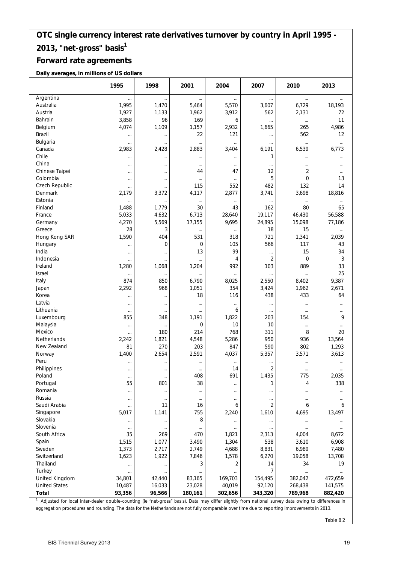## **Forward rate agreements**

**Daily averages, in millions of US dollars**

|                      | 1995           | 1998            | 2001            | 2004           | 2007                       | 2010              | 2013                 |
|----------------------|----------------|-----------------|-----------------|----------------|----------------------------|-------------------|----------------------|
| Argentina            | $\cdots$       | $\cdots$        | $\cdots$        | $\cdots$       | $\cdots$                   | $\cdots$          | $\ldots$             |
| Australia            | 1,995          | 1,470           | 5,464           | 5,570          | 3,607                      | 6,729             | 18,193               |
| Austria              | 1,927          | 1,133           | 1,962           | 3,912          | 562                        | 2,131             | 72                   |
| Bahrain              | 3,858          | 96              | 169             | 6              | $\cdots$                   | $\cdots$          | 11                   |
| Belgium              | 4,074          | 1,109           | 1,157           | 2,932          | 1,665                      | 265               | 4,986                |
| Brazil               |                |                 | 22              | 121            |                            | 562               | 12                   |
| Bulgaria             |                | $\cdots$        | $\cdots$        |                | $\cdots$                   | $\ldots$          | $\cdots$             |
| Canada               | 2,983          | 2,428           | 2,883           | 3,404          | 6,191                      | 6,539             | 6,773                |
| Chile                |                | $\cdots$        | $\cdots$        |                | 1                          | $\ldots$          |                      |
| China                | $\cdots$       | $\cdots$        | $\cdots$        |                | $\cdots$                   | $\cdots$          |                      |
| Chinese Taipei       |                |                 | 44              | 47             | 12                         | $\overline{2}$    | $\cdots$             |
| Colombia             | $\cdots$       | $\cdots$        | $\cdots$        |                | 5                          | 0                 | 13                   |
| Czech Republic       |                | $\cdots$        | 115             | 552            | 482                        | 132               | 14                   |
| Denmark              | 2,179          | 3,372           | 4,117           | 2,877          | 3,741                      | 3,698             | 18,816               |
| Estonia              |                | $\cdots$        | $\ldots$        | $\cdots$       |                            | $\ldots$          | $\ldots$             |
| Finland              | 1,488          | 1,779           | 30              | 43             | 162                        | 80                | 65                   |
| France               | 5,033          | 4,632           | 6,713           | 28,640         | 19,117                     | 46,430            | 56,588               |
| Germany              | 4,270          | 5,569           | 17,155          | 9,695          | 24,895                     | 15,098            | 77,186               |
| Greece               | 28             | 3               | $\ldots$        |                | 18                         | 15                | $\cdots$             |
| Hong Kong SAR        | 1,590          | 404             | 531             | 318            | 721                        | 1,341             | 2,039                |
| Hungary              | $\cdots$       | $\overline{0}$  | 0               | 105            | 566                        | 117               | 43                   |
| India                | $\cdots$       |                 | 13              | 99             | $\cdots$                   | 15                | 34                   |
| Indonesia            |                |                 | $\cdots$        | 4              | $\overline{2}$             | $\mathbf 0$       | 3                    |
| Ireland              | 1,280          | 1,068           | 1,204           | 992            | 103                        | 889               | 33                   |
| <b>Israel</b>        | $\cdots$       | $\cdots$        | $\cdots$        | $\cdots$       |                            |                   | 25                   |
| Italy                | 874            | 850             | 6,790           | 8,025          | 2,550                      | 8,402             | 9,387                |
| Japan                | 2,292          | 968             | 1,051           | 354            | 3,424                      | 1,962             | 2,671                |
| Korea                | $\cdots$       | $\cdots$        | 18              | 116            | 438                        | 433               | 64                   |
| Latvia               |                | $\cdots$        | $\cdots$        |                | $\cdots$                   | $\ldots$          |                      |
| Lithuania            |                |                 | $\cdots$        | 6              | $\cdots$                   | $\cdots$          |                      |
| Luxembourg           | 855            | 348             | 1,191           | 1,822          | 203                        | 154               | 9                    |
| Malaysia             |                | $\cdots$        | 0               | 10             | 10                         | $\ldots$          | $\cdots$             |
| Mexico               |                | 180             | 214             | 768            | 311                        | 8                 | 20                   |
| Netherlands          | 2,242          | 1,821           | 4,548           | 5,286          | 950                        | 936               | 13,564               |
| New Zealand          | 81             | 270             | 203             | 847            | 590                        | 802               | 1,293                |
| Norway               | 1,400          | 2,654           | 2,591           | 4,037          | 5,357                      | 3,571             | 3,613                |
| Peru                 |                |                 |                 | $\cdots$       |                            | $\ldots$          |                      |
| Philippines          | $\cdots$       | $\cdots$        | $\cdots$        | 14             | 2                          | $\cdots$          |                      |
| Poland               | <br>55         | $\cdots$<br>801 | 408<br>38       | 691            | 1,435<br>1                 | 775               | 2,035<br>338         |
| Portugal<br>Romania  |                |                 |                 |                |                            | 4                 |                      |
| Russia               |                |                 | $\cdots$        |                |                            | $\cdots$          |                      |
| Saudi Arabia         | $\cdots$       | $\cdots$<br>11  | $\cdots$<br>16  | $\cdots$<br>6  | $\cdots$<br>$\overline{2}$ | $\cdots$<br>6     | 6                    |
| Singapore            | <br>5,017      | 1,141           | 755             | 2,240          | 1,610                      | 4,695             | 13,497               |
| Slovakia             |                |                 | 8               |                |                            |                   |                      |
| Slovenia             | $\cdots$       | $\cdots$        |                 |                | $\cdots$                   | $\cdots$          | $\cdots$<br>$\cdots$ |
| South Africa         | $\cdots$<br>35 | $\cdots$<br>269 | $\cdots$<br>470 | <br>1,821      | <br>2,313                  | $\cdots$<br>4,004 | 8,672                |
| Spain                | 1,515          | 1,077           | 3,490           | 1,304          | 538                        | 3,610             | 6,908                |
| Sweden               | 1,373          | 2,717           | 2,749           | 4,688          | 8,831                      | 6,989             | 7,480                |
| Switzerland          | 1,623          | 1,922           | 7,846           | 1,578          | 6,270                      | 19,058            | 13,708               |
| Thailand             |                | $\cdots$        | 3               | $\overline{2}$ | 14                         | 34                | 19                   |
| Turkey               |                |                 |                 |                | 7                          |                   | $\cdots$             |
| United Kingdom       | 34,801         | 42,440          | 83,165          | 169,703        | 154,495                    | 382,042           | 472,659              |
| <b>United States</b> | 10,487         | 16,033          | 23,028          | 40,019         | 92,120                     | 268,438           | 141,575              |
| Total                | 93,356         | 96,566          | 180,161         | 302,656        | 343,320                    | 789,968           | 882,420              |

<sup>1</sup> Adjusted for local inter-dealer double-counting (ie "net-gross" basis). Data may differ slightly from national survey data owing to differences in aggregation procedures and rounding. The data for the Netherlands are not fully comparable over time due to reporting improvements in 2013.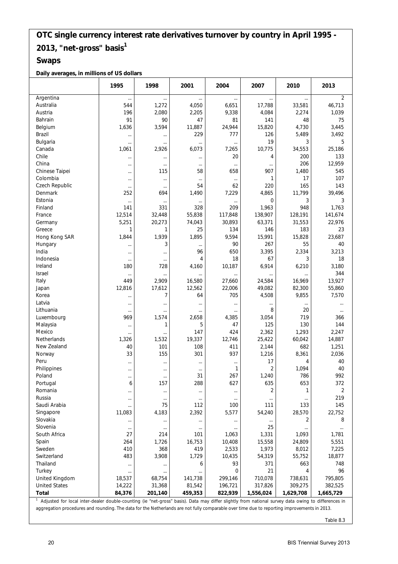#### **Swaps**

#### **Daily averages, in millions of US dollars**

|                      | 1995     | 1998     | 2001     | 2004        | 2007           | 2010      | 2013           |
|----------------------|----------|----------|----------|-------------|----------------|-----------|----------------|
| Argentina            | $\cdots$ | $\cdots$ | $\cdots$ | $\cdots$    |                |           | $\overline{2}$ |
| Australia            | 544      | 1,272    | 4,050    | 6,651       | 17,788         | 33,581    | 46,713         |
| Austria              | 196      | 2,080    | 2,205    | 9,338       | 4,084          | 2,274     | 1,039          |
| Bahrain              | 91       | 90       | 47       | 81          | 141            | 48        | 75             |
| Belgium              | 1,636    | 3,594    | 11,887   | 24,944      | 15,820         | 4,730     | 3,445          |
| <b>Brazil</b>        | $\cdots$ | $\cdots$ | 229      | 777         | 126            | 5,489     | 3,492          |
| Bulgaria             |          | $\ldots$ | $\cdots$ | $\cdots$    | 19             | 3         | 5              |
| Canada               | 1,061    | 2,926    | 6,073    | 7,265       | 10,775         | 34,553    | 25,186         |
| Chile                | $\cdots$ | $\ldots$ | $\cdots$ | 20          | 4              | 200       | 133            |
| China                | $\cdots$ | $\cdots$ | $\ldots$ | $\cdots$    |                | 206       | 12,959         |
| Chinese Taipei       |          | 115      | 58       | 658         | 907            | 1,480     | 545            |
| Colombia             | $\cdots$ | $\cdots$ | $\cdots$ | $\cdots$    | 1              | 17        | 107            |
| Czech Republic       | $\cdots$ | $\cdots$ | 54       | 62          | 220            | 165       | 143            |
| Denmark              | 252      | 694      | 1,490    | 7,229       | 4,865          | 11,799    | 39,496         |
| Estonia              | $\cdots$ | $\cdots$ |          |             | $\overline{0}$ | 3         | 3              |
| Finland              | 141      | 331      | 328      | 209         | 1,963          | 948       | 1,763          |
| France               | 12,514   | 32,448   | 55,838   | 117,848     | 138,907        | 128,191   | 141,674        |
| Germany              | 5,251    | 20,273   | 74,043   | 30,893      | 63,371         | 31,553    | 22,976         |
| Greece               | 1        | 1        | 25       | 134         | 146            | 183       | 23             |
| Hong Kong SAR        | 1,844    | 1,939    | 1,895    | 9,594       | 15,991         | 15,828    | 23,687         |
| Hungary              | $\cdots$ | 3        | $\cdots$ | 90          | 267            | 55        | 40             |
| India                | $\cdots$ | $\cdots$ | 96       | 650         | 3,395          | 2,334     | 3,213          |
| Indonesia            | $\cdots$ | $\cdots$ | 4        | 18          | 67             | 3         | 18             |
| Ireland              | 180      | 728      | 4,160    | 10,187      | 6,914          | 6,210     | 3,180          |
| Israel               | $\cdots$ | $\cdots$ | $\cdots$ | $\cdots$    |                |           | 344            |
| Italy                | 449      | 2,909    | 16,580   | 27,660      | 24,584         | 16,969    | 13,927         |
| Japan                | 12,816   | 17,612   | 12,562   | 22,006      | 49,082         | 82,300    | 55,860         |
| Korea                |          | 7        | 64       | 705         | 4,508          | 9,855     | 7,570          |
| Latvia               | $\cdots$ | $\cdots$ | $\cdots$ | $\cdots$    | $\cdots$       | $\cdots$  |                |
| Lithuania            | $\cdots$ | $\cdots$ | $\cdots$ | $\cdots$    | 8              | 20        | $\cdots$       |
| Luxembourg           | 969      | 1,574    | 2,658    | 4,385       | 3,054          | 719       | 366            |
| Malaysia             |          | 1        | 5        | 47          | 125            | 130       | 144            |
| Mexico               | $\cdots$ |          | 147      | 424         | 2,362          | 1,293     | 2,247          |
| Netherlands          | 1,326    | 1,532    | 19,337   | 12,746      | 25,422         | 60,042    | 14,887         |
| New Zealand          | 40       | 101      | 108      | 411         | 2,144          | 682       | 1,251          |
| Norway               | 33       | 155      | 301      | 937         | 1,216          | 8,361     | 2,036          |
| Peru                 |          | $\cdots$ | $\cdots$ | $\cdots$    | 17             | 4         | 40             |
| Philippines          | $\cdots$ | $\cdots$ | $\cdots$ | 1           | $\overline{2}$ | 1,094     | 40             |
| Poland               |          |          | 31       | 267         | 1,240          | 786       | 992            |
| Portugal             | 6        | 157      | 288      | 627         | 635            | 653       | 372            |
| Romania              |          | $\ldots$ | $\cdots$ | $\cdots$    | $\overline{2}$ | 1         | $\overline{2}$ |
| Russia               |          | $\cdots$ | $\cdots$ | $\cdots$    |                | $\cdots$  | 219            |
| Saudi Arabia         | $\cdots$ | 75       | 112      | 100         | 111            | 133       | 145            |
| Singapore            | 11,083   | 4,183    | 2,392    | 5,577       | 54,240         | 28,570    | 22,752         |
| Slovakia             | $\cdots$ | $\ldots$ | $\cdots$ | $\cdots$    | $\cdots$       | 2         | 8              |
| Slovenia             | $\cdots$ | $\ldots$ | $\cdots$ | $\cdots$    | 25             |           | $\cdots$       |
| South Africa         | 27       | 214      | 101      | 1,063       | 1,331          | 1,093     | 1,781          |
| Spain                | 264      | 1,726    | 16,753   | 10,408      | 15,558         | 24,809    | 5,551          |
| Sweden               | 410      | 368      | 419      | 2,533       | 1,973          | 8,012     | 7,225          |
| Switzerland          | 483      | 3,908    | 1,729    | 10,435      | 54,319         | 55,752    | 18,877         |
| Thailand             |          | $\cdots$ | 6        | 93          | 371            | 663       | 748            |
| Turkey               | $\cdots$ | $\cdots$ |          | $\mathbf 0$ | 21             | 4         | 96             |
| United Kingdom       | 18,537   | 68,754   | 141,738  | 299,146     | 710,078        | 738,631   | 795,805        |
| <b>United States</b> | 14,222   | 31,368   | 81,542   | 196,721     | 317,826        | 309,275   | 382,525        |
| <b>Total</b>         | 84,376   | 201,140  | 459,353  | 822,939     | 1,556,024      | 1,629,708 | 1,665,729      |
|                      |          |          |          |             |                |           |                |

<sup>1</sup> Adjusted for local inter-dealer double-counting (ie "net-gross" basis). Data may differ slightly from national survey data owing to differences in aggregation procedures and rounding. The data for the Netherlands are not fully comparable over time due to reporting improvements in 2013.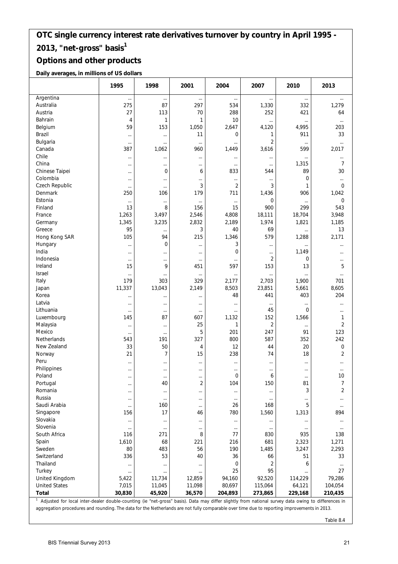#### **Options and other products**

**Daily averages, in millions of US dollars**

|                      | 1995            | 1998           | 2001           | 2004           | 2007                    | 2010           | 2013             |
|----------------------|-----------------|----------------|----------------|----------------|-------------------------|----------------|------------------|
| Argentina            | $\cdots$        | $\cdots$       | $\cdots$       | $\cdots$       |                         | $\cdots$       | $\cdots$         |
| Australia            | 275             | 87             | 297            | 534            | 1,330                   | 332            | 1,279            |
| Austria              | 27              | 113            | 70             | 288            | 252                     | 421            | 64               |
| Bahrain              | 4               | 1              | 1              | 10             | $\cdots$                | $\cdots$       | $\cdots$         |
| Belgium              | 59              | 153            | 1,050          | 2,647          | 4,120                   | 4,995          | 203              |
| Brazil               | $\cdots$        | $\cdots$       | 11             | $\overline{0}$ | 1                       | 911            | 33               |
| Bulgaria             | $\ldots$        | $\cdots$       | $\ldots$       |                | $\overline{\mathbf{c}}$ | $\cdots$       | $\cdots$         |
| Canada               | 387             | 1,062          | 960            | 1,449          | 3,616                   | 599            | 2,017            |
| Chile                | $\cdots$        | $\cdots$       | $\cdots$       | $\cdots$       | $\cdots$                | $\cdots$       | $\cdots$         |
| China                | $\cdots$        | $\ldots$       |                | $\cdots$       | $\cdots$                | 1,315          | 7                |
| Chinese Taipei       | $\cdots$        | $\mathbf 0$    | 6              | 833            | 544                     | 89             | 30               |
| Colombia             | $\ldots$        | $\cdots$       | $\cdots$       |                |                         | 0              | $\cdots$         |
| Czech Republic       | $\ldots$        | $\cdots$       | 3              | $\overline{2}$ | 3                       | 1              | $\mathbf 0$      |
| Denmark              | 250             | 106            | 179            | 711            | 1,436                   | 906            | 1,042            |
| Estonia              | $\ldots$        |                | $\cdots$       |                | 0                       | $\cdots$       | $\mathbf 0$      |
| Finland              | 13              | 8              | 156            | 15             | 900                     | 299            | 543              |
| France               | 1,263           | 3,497          | 2,546          | 4,808          | 18,111                  | 18,704         | 3,948            |
| Germany              | 1,345           | 3,235          | 2,832          | 2,189          | 1,974                   | 1,821          | 1,185            |
| Greece               | 95              | $\cdots$       | 3              | 40             | 69                      | $\cdots$       | 13               |
| Hong Kong SAR        | 105             | 94             | 215            | 1,346          | 579                     | 1,288          | 2,171            |
| Hungary              | $\ldots$        | $\mathbf 0$    | $\cdots$       | 3              | $\cdots$                | $\cdots$       | $\cdots$         |
| India                | $\cdots$        |                | $\cdots$       | $\overline{0}$ |                         | 1,149          | $\cdots$         |
| Indonesia            | $\cdots$        | $\cdots$       | $\cdots$       |                | $\overline{2}$          | 0              | $\cdots$         |
| Ireland              | 15              | 9              | 451            | 597            | 153                     | 13             | 5                |
| Israel               | $\ldots$        |                | $\ldots$       | $\cdots$       | $\cdots$                | $\cdots$       | $\cdots$         |
| Italy                | 179             | 303            | 329            | 2,177          | 2,703                   | 1,900          | 701              |
| Japan                | 11,337          | 13,043         | 2,149          | 8,503          | 23,851                  | 5,661          | 8,605            |
| Korea                | $\cdots$        | $\cdots$       |                | 48             | 441                     | 403            | 204              |
| Latvia               | $\ldots$        | $\cdots$       | $\cdots$       |                | $\cdots$                | $\cdots$       |                  |
| Lithuania            | $\ldots$        | $\cdots$       | $\ldots$       |                | 45                      | $\overline{0}$ | $\cdots$         |
| Luxembourg           | 145             | 87             | 607            | 1,132          | 152                     | 1,566          | 1                |
| Malaysia             | $\ldots$        |                | 25             | 1              | $\overline{2}$          | $\ldots$       | $\overline{2}$   |
| Mexico               | $\cdots$        |                | 5              | 201            | 247                     | 91             | 123              |
| <b>Netherlands</b>   | 543             | 191            | 327            | 800            | 587                     | 352            | 242              |
| New Zealand          | 33              | 50             | 4              | 12             | 44                      | 20             | $\boldsymbol{0}$ |
| Norway               | 21              | $\overline{7}$ | 15             | 238            | 74                      | 18             | $\overline{2}$   |
| Peru                 | $\cdots$        |                | $\cdots$       | $\cdots$       | $\cdots$                | $\cdots$       | $\cdots$         |
| Philippines          | $\cdots$        |                | $\cdots$       | <br>$\Omega$   | $\cdots$                | $\cdots$       | $\cdots$         |
| Poland<br>Portugal   |                 | 40             | $\overline{2}$ | 104            | 6<br>150                | 81             | 10<br>7          |
| Romania              | $\cdots$        |                |                |                |                         | 3              | $\overline{2}$   |
| Russia               | $\cdots$        | $\cdots$       |                | $\cdots$       | $\cdots$                |                |                  |
| Saudi Arabia         | $\cdots$        | <br>160        |                | $\cdots$<br>26 | $\cdots$<br>168         | $\cdots$<br>5  |                  |
| Singapore            | $\ldots$<br>156 | 17             | $\ldots$<br>46 | 780            | 1,560                   | 1,313          | $\ldots$<br>894  |
| Slovakia             | $\cdots$        |                | $\cdots$       | $\cdots$       | $\cdots$                | $\cdots$       | $\cdots$         |
| Slovenia             | $\ldots$        | $\ldots$       | $\ldots$       | $\ldots$       | $\cdots$                | $\cdots$       | $\ldots$         |
| South Africa         | 116             | 271            | 8              | 77             | 830                     | 935            | 138              |
| Spain                | 1,610           | 68             | 221            | 216            | 681                     | 2,323          | 1,271            |
| Sweden               | 80              | 483            | 56             | 190            | 1,485                   | 3,247          | 2,293            |
| Switzerland          | 336             | 53             | 40             | 36             | 66                      | 51             | 33               |
| Thailand             | $\ldots$        |                | $\cdots$       | $\mathbf 0$    | $\overline{2}$          | 6              | $\cdots$         |
| Turkey               | $\ldots$        | $\cdots$       | $\cdots$       | 25             | 95                      | $\cdots$       | 27               |
| United Kingdom       | 5,422           | 11,734         | 12,859         | 94,160         | 92,520                  | 114,229        | 79,286           |
| <b>United States</b> | 7,015           | 11,045         | 11,098         | 80,697         | 115,064                 | 64,121         | 104,054          |
| <b>Total</b>         | 30,830          | 45,920         | 36,570         | 204,893        | 273,865                 | 229,168        | 210,435          |
|                      |                 |                |                |                |                         |                |                  |

<sup>1</sup> Adjusted for local inter-dealer double-counting (ie "net-gross" basis). Data may differ slightly from national survey data owing to differences in aggregation procedures and rounding. The data for the Netherlands are not fully comparable over time due to reporting improvements in 2013.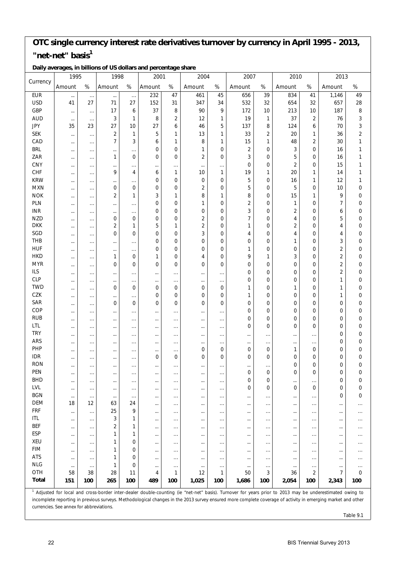### **OTC single currency interest rate derivatives turnover by currency in April 1995 - 2013,**  "net-net" basis<sup>1</sup>

|              | 1995                                     |                      | 1998                 |                      | 2001                 |                      | 2004           |                      | 2007                                                                                                                                                                                                                                                                                                                               |                              | 2010                 |                      | 2013                    |                            |
|--------------|------------------------------------------|----------------------|----------------------|----------------------|----------------------|----------------------|----------------|----------------------|------------------------------------------------------------------------------------------------------------------------------------------------------------------------------------------------------------------------------------------------------------------------------------------------------------------------------------|------------------------------|----------------------|----------------------|-------------------------|----------------------------|
| Currency     | Amount                                   | $\%$                 | Amount               | $\%$                 | Amount               | $\%$                 | Amount         | $\%$                 | Amount                                                                                                                                                                                                                                                                                                                             | $\%$                         | Amount               | $\%$                 | Amount                  | $\%$                       |
| <b>EUR</b>   | $\cdots$                                 | $\ldots$             | $\cdots$             | $\ldots$             | 232                  | 47                   | 461            | 45                   | 656                                                                                                                                                                                                                                                                                                                                | 39                           | 834                  | 41                   | 1,146                   | 49                         |
| <b>USD</b>   | 41                                       | 27                   | 71                   | 27                   | 152                  | 31                   | 347            | 34                   | 532                                                                                                                                                                                                                                                                                                                                | 32                           | 654                  | 32                   | 657                     | 28                         |
| GBP          | $\cdots$                                 | $\cdots$             | 17                   | 6                    | 37                   | 8                    | 90             | 9                    | 172                                                                                                                                                                                                                                                                                                                                | 10                           | 213                  | 10                   | 187                     | 8                          |
| <b>AUD</b>   | $\cdots$                                 | $\cdots$             | 3                    | 1                    | 8                    | 2                    | 12             | 1                    | 19                                                                                                                                                                                                                                                                                                                                 | $\mathbf{1}$                 | 37                   | $\overline{2}$       | 76                      | 3                          |
| <b>JPY</b>   | 35                                       | 23                   | 27                   | 10                   | 27                   | 6                    | 46             | 5                    | 137                                                                                                                                                                                                                                                                                                                                | 8                            | 124                  | 6                    | 70                      | 3                          |
| <b>SEK</b>   | $\cdots$                                 | $\cdots$             | $\overline{2}$       | 1                    | 5                    | 1                    | 13             | 1                    | 33                                                                                                                                                                                                                                                                                                                                 | $\overline{2}$               | 20                   | 1                    | 36                      | $\overline{2}$             |
| CAD          | $\cdots$                                 | $\cdots$             | $\overline{7}$       | 3                    | 6                    | 1                    | 8              | 1                    | 15                                                                                                                                                                                                                                                                                                                                 | 1                            | 48                   | $\overline{2}$       | 30                      | 1                          |
| <b>BRL</b>   | $\cdots$                                 | $\cdots$             | $\ldots$             |                      | $\mathbf 0$          | 0                    | 1              | 0                    | $\overline{2}$                                                                                                                                                                                                                                                                                                                     | 0                            | 3                    | 0                    | 16                      | 1                          |
| ZAR          | $\cdots$                                 | $\cdots$             | 1                    | $\overline{0}$       | $\mathbf 0$          | 0                    | 2              | 0                    | 3                                                                                                                                                                                                                                                                                                                                  | 0                            | 5                    | 0                    | 16                      | 1                          |
| CNY          | $\cdots$                                 | $\cdots$             | $\cdots$             | .                    | $\cdots$             | $\cdots$             | $\ldots$       | $\cdots$             | $\mathbf 0$                                                                                                                                                                                                                                                                                                                        | 0                            | $\overline{2}$       | 0                    | 15                      | 1                          |
| <b>CHF</b>   |                                          | $\cdots$             | 9                    | 4                    | 6                    | $\mathbf{1}$         | 10             | 1                    | 19                                                                                                                                                                                                                                                                                                                                 | 1                            | 20                   | 1                    | 14                      | 1                          |
| <b>KRW</b>   | $\cdots$                                 | $\cdots$             | $\cdots$             |                      | 0                    | 0                    | $\mathbf 0$    | 0                    | 5                                                                                                                                                                                                                                                                                                                                  | $\mathbf 0$                  | 16                   | 1                    | 12                      | 1                          |
| <b>MXN</b>   | $\cdots$                                 | $\cdots$             | $\mathbf 0$          | $\overline{0}$       | $\mathbf 0$          | 0                    | $\overline{2}$ | 0                    | 5                                                                                                                                                                                                                                                                                                                                  | 0                            | 5                    | 0                    | 10                      | $\boldsymbol{0}$           |
| <b>NOK</b>   |                                          | $\cdots$             | $\overline{2}$       | 1                    | 3                    | 1                    | 8              | 1                    | 8                                                                                                                                                                                                                                                                                                                                  | 0                            | 15                   | 1                    | 9                       | $\mathbf 0$                |
| PLN          |                                          | $\cdots$             | $\cdots$             |                      | $\mathbf 0$          | 0                    | 1              | 0                    | $\overline{c}$                                                                                                                                                                                                                                                                                                                     | 0                            | $\mathbf{1}$         | 0                    | 7                       | $\mathbf 0$                |
| <b>INR</b>   | $\cdots$                                 | $\cdots$             | $\cdots$             | $\cdots$             | 0                    | 0                    | $\mathbf 0$    | 0                    | 3                                                                                                                                                                                                                                                                                                                                  | 0                            | $\overline{2}$       | 0                    | 6                       | $\mathbf 0$                |
| <b>NZD</b>   | $\cdots$                                 | $\cdots$             | 0                    | $\mathbf 0$          | 0                    | 0                    | $\overline{2}$ | 0                    | $\overline{7}$                                                                                                                                                                                                                                                                                                                     | 0                            | 4                    | 0                    | 5                       | $\mathbf 0$                |
| <b>DKK</b>   | $\cdots$                                 | $\cdots$             | $\overline{2}$       | 1                    | 5                    | 1                    | 2              | $\overline{0}$       | 1                                                                                                                                                                                                                                                                                                                                  | 0                            | 2                    | $\overline{0}$       | 4                       | $\mathbf 0$                |
| SGD          | $\cdots$                                 | $\cdots$             | 0                    | $\mathbf 0$          | $\mathbf 0$          | 0                    | 3              | $\mathbf 0$          | 4                                                                                                                                                                                                                                                                                                                                  | 0                            | 4                    | 0                    | 4                       | 0                          |
| THB          | $\cdots$                                 | $\cdots$             | $\cdots$             | $\cdots$             | 0                    | 0                    | $\mathbf 0$    | 0                    | 0                                                                                                                                                                                                                                                                                                                                  | 0                            | 1                    | 0                    | 3                       | 0                          |
| <b>HUF</b>   | $\cdots$                                 | $\cdots$             | $\ldots$             |                      | $\mathbf 0$          | 0                    | $\mathbf 0$    | 0                    | 1                                                                                                                                                                                                                                                                                                                                  | 0                            | 0                    | 0                    | 2                       | $\mathbf 0$                |
| <b>HKD</b>   |                                          | $\cdots$             | 1                    | $\overline{0}$       | $\mathbf{1}$         | 0                    | 4              | 0                    | 9                                                                                                                                                                                                                                                                                                                                  | 1                            | 3                    | 0                    | $\overline{2}$          | $\mathbf 0$                |
| <b>MYR</b>   | $\cdots$                                 | $\cdots$             | 0                    | $\overline{0}$       | $\mathbf 0$          | 0                    | $\mathbf 0$    | 0                    | 0                                                                                                                                                                                                                                                                                                                                  | 0                            | $\mathbf 0$          | 0                    | 2                       | $\mathbf 0$                |
| <b>ILS</b>   | $\cdots$                                 | $\cdots$             | $\ldots$             | $\cdots$             | $\cdots$             | $\cdots$             |                | $\cdots$             | 0                                                                                                                                                                                                                                                                                                                                  | 0                            | $\mathbf 0$          | $\mathbf 0$          | $\overline{\mathbf{c}}$ | $\mathbf 0$                |
| <b>CLP</b>   | $\cdots$                                 | $\cdots$             | $\cdots$             |                      | $\cdots$             | $\cdots$             |                | $\cdots$             | 0                                                                                                                                                                                                                                                                                                                                  | 0                            | 0                    | 0                    | 1                       | $\mathbf 0$                |
| <b>TWD</b>   | $\cdots$                                 | $\cdots$             | 0                    | $\mathbf 0$          | 0                    | 0                    | 0              | 0                    | 1                                                                                                                                                                                                                                                                                                                                  | 0                            | 1                    | 0                    | 1                       | $\mathbf 0$                |
| CZK          | $\cdots$                                 | $\cdots$             | $\cdots$             | .                    | 0                    | 0                    | 0              | 0                    | 1                                                                                                                                                                                                                                                                                                                                  | 0                            | 0                    | 0                    | $\mathbf{1}$            | $\mathbf 0$                |
| SAR<br>COP   |                                          | $\cdots$             | 0                    | $\mathbf 0$          | $\mathbf 0$          | 0                    | 0              | $\mathbf 0$          | $\overline{0}$                                                                                                                                                                                                                                                                                                                     | $\mathbf 0$                  | 0                    | 0                    | 0                       | $\mathbf 0$                |
| <b>RUB</b>   | $\cdots$                                 | $\cdots$             |                      |                      | $\cdots$             | $\cdots$             |                | $\cdots$             | 0                                                                                                                                                                                                                                                                                                                                  | $\mathbf 0$                  | 0                    | 0                    | 0                       | $\mathbf 0$                |
| LTL          | $\cdots$                                 | $\cdots$             | $\cdots$             | $\cdots$             | $\cdots$             | $\cdots$             | $\cdots$       | $\cdots$             | 0                                                                                                                                                                                                                                                                                                                                  | 0                            | 0                    | 0                    | 0                       | $\mathbf 0$                |
| <b>TRY</b>   | $\cdots$                                 | $\cdots$             | $\cdots$             |                      | $\cdots$             | $\cdots$             |                | $\cdots$             | 0                                                                                                                                                                                                                                                                                                                                  | $\mathbf 0$                  | 0                    | $\overline{0}$       | 0                       | $\mathbf 0$                |
| ARS          | $\cdots$                                 | $\cdots$             |                      |                      | $\cdots$             | $\cdots$             |                | $\cdots$             | $\cdots$                                                                                                                                                                                                                                                                                                                           | $\cdots$                     | $\cdots$             | $\cdots$             | 0                       | $\mathbf 0$<br>$\mathbf 0$ |
| PHP          | $\cdots$                                 | $\cdots$             | $\cdots$             | $\cdots$             | $\cdots$             | $\cdots$             | <br>0          | $\cdots$<br>0        | $\cdots$<br>0                                                                                                                                                                                                                                                                                                                      | $\cdots$<br>0                | $\cdots$<br>1        | $\cdots$<br>0        | 0<br>0                  | 0                          |
| <b>IDR</b>   | $\cdots$                                 | $\cdots$             | $\cdots$             | $\cdots$             | $\cdots$<br>0        | $\cdots$<br>0        | $\mathbf 0$    | 0                    | 0                                                                                                                                                                                                                                                                                                                                  | $\mathbf 0$                  | 0                    | 0                    | 0                       | 0                          |
| <b>RON</b>   | $\cdots$                                 | $\cdots$             | $\cdots$             | $\cdots$             |                      |                      |                |                      |                                                                                                                                                                                                                                                                                                                                    |                              | 0                    | $\boldsymbol{0}$     | 0                       | 0                          |
| PEN          | $\cdots$                                 | $\cdots$             | $\cdots$             | $\cdots$             | $\cdots$             | $\cdots$             |                | $\cdots$             | $\cdots$<br>0                                                                                                                                                                                                                                                                                                                      | $\cdots$<br>$\boldsymbol{0}$ | 0                    | 0                    | 0                       | $\overline{0}$             |
| <b>BHD</b>   | $\cdots$                                 | $\cdots$             | $\cdots$             | $\cdots$             | $\cdots$             | $\cdots$             | $\cdots$       | $\cdots$             | 0                                                                                                                                                                                                                                                                                                                                  | 0                            |                      |                      | 0                       | 0                          |
| LVL          |                                          | $\cdots$             | $\cdots$             |                      | $\cdots$             | $\cdots$             |                | $\cdots$             | 0                                                                                                                                                                                                                                                                                                                                  | 0                            | $\cdots$<br>0        | $\cdots$<br>0        | 0                       | 0                          |
| <b>BGN</b>   | $\cdots$                                 | $\cdots$<br>$\cdots$ | $\cdots$<br>$\cdots$ | $\cdots$<br>$\cdots$ | $\cdots$<br>$\cdots$ | $\cdots$             | <br>$\cdots$   | $\cdots$             |                                                                                                                                                                                                                                                                                                                                    |                              |                      |                      | 0                       | 0                          |
| <b>DEM</b>   | $\cdots$<br>18                           | 12                   | 63                   | 24                   | $\cdots$             | $\cdots$<br>$\cdots$ | $\cdots$       | $\cdots$<br>$\cdots$ | $\cdots$<br>$\cdots$                                                                                                                                                                                                                                                                                                               | $\cdots$<br>$\ldots$         | $\cdots$<br>$\cdots$ | $\cdots$<br>$\cdots$ | $\cdots$                |                            |
| <b>FRF</b>   | $\cdots$                                 | $\cdots$             | 25                   | 9                    | $\cdots$             | $\cdots$             |                | $\cdots$             | $\cdots$                                                                                                                                                                                                                                                                                                                           | $\ldots$                     |                      | $\cdots$             |                         |                            |
| ITL          | $\cdots$                                 | $\cdots$             | 3                    | 1                    | $\cdots$             | $\cdots$             | $\cdots$       | $\cdots$             | $\cdots$                                                                                                                                                                                                                                                                                                                           | $\cdots$                     | $\cdots$<br>$\cdots$ | $\cdots$             | $\cdots$<br>$\cdots$    |                            |
| <b>BEF</b>   |                                          | $\cdots$             | 2                    | 1                    | $\cdots$             | $\cdots$             | $\cdots$       | $\cdots$             | $\cdots$                                                                                                                                                                                                                                                                                                                           | $\cdots$                     | $\cdots$             | $\cdots$             | $\cdots$                |                            |
| <b>ESP</b>   |                                          | $\cdots$             | 1                    | 1                    |                      | $\cdots$             |                | $\cdots$             | $\cdots$                                                                                                                                                                                                                                                                                                                           | $\cdots$                     | $\cdots$             | $\cdots$             | $\cdots$                |                            |
| XEU          | $\cdots$                                 | $\cdots$             | 1                    | 0                    | $\cdots$             | $\cdots$             | $\cdots$       | $\cdots$             | $\cdots$                                                                                                                                                                                                                                                                                                                           | $\cdots$                     | $\cdots$             | $\cdots$             | $\cdots$                | $\cdots$                   |
| <b>FIM</b>   |                                          | $\cdots$             | 1                    | 0                    | $\cdots$             | $\cdots$             | $\cdots$       | $\cdots$             | $\cdots$                                                                                                                                                                                                                                                                                                                           | $\cdots$                     | $\cdots$             | $\ldots$             | $\cdots$                |                            |
| <b>ATS</b>   | $\cdots$                                 | $\cdots$             | 1                    | 0                    | $\cdots$             | $\cdots$             |                | $\ldots$             | $\cdots$                                                                                                                                                                                                                                                                                                                           | $\ldots$                     | $\cdots$             | $\cdots$             | $\cdots$                |                            |
| <b>NLG</b>   | $\cdots$                                 | $\cdots$             | 1                    | 0                    | $\cdots$             | $\cdots$             | $\cdots$       | $\cdots$             | $\cdots$                                                                                                                                                                                                                                                                                                                           | $\cdots$                     | $\cdots$             | $\cdots$             | $\cdots$                | $\cdots$                   |
| OTH          | 58                                       | 38                   | 28                   | 11                   | 4                    | 1                    | 12             | 1                    | 50                                                                                                                                                                                                                                                                                                                                 | 3                            | 36                   | $\overline{2}$       | 7                       | 0                          |
| <b>Total</b> | 151                                      | 100                  | 265                  | 100                  | 489                  | 100                  | 1,025          | 100                  | 1,686                                                                                                                                                                                                                                                                                                                              | 100                          | 2,054                | 100                  | 2,343                   | 100                        |
|              | currencies. See annex for abbreviations. |                      |                      |                      |                      |                      |                |                      | <sup>1</sup> Adjusted for local and cross-border inter-dealer double-counting (ie "net-net" basis). Turnover for years prior to 2013 may be underestimated owing to<br>incomplete reporting in previous surveys. Methodological changes in the 2013 survey ensured more complete coverage of activity in emerging market and other |                              |                      |                      |                         |                            |

**Daily averages, in billions of US dollars and percentage share**

Table 9.1